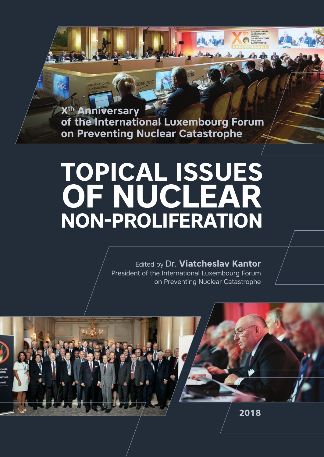**Xth Anniversary of the International Luxembourg Forum on Preventing Nuclear Catastrophe**

 $\theta$  ,  $\theta$  and

# **TOPICAL ISSUES OF NUCLEAR NON-PROLIFERATION**

Edited by Dr. **Viatcheslav Kantor** President of the International Luxembourg Forum on Preventing Nuclear Catastrophe





**2018**

**1**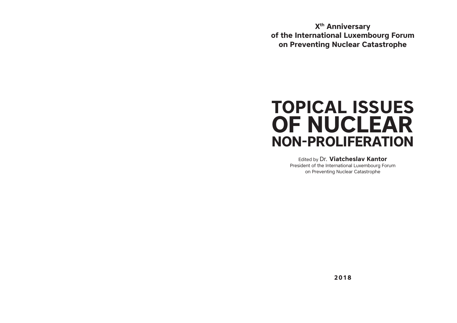**Xth Anniversary of the International Luxembourg Forum on Preventing Nuclear Catastrophe**

## **TOPICAL ISSUES OF NUCLEAR NON-PROLIFERATION**

Edited by Dr. **Viatcheslav Kantor**

President of the International Luxembourg Forum on Preventing Nuclear Catastrophe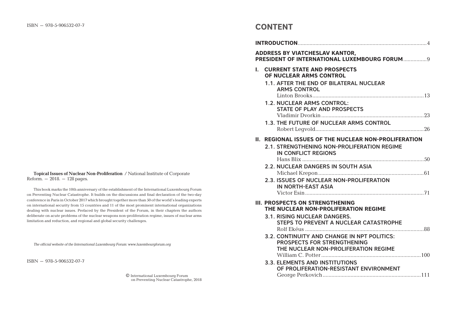**Topical Issues of Nuclear Non-Proliferation** / National Institute of Corporate  $Reform. - 2018. - 128$  pages.

This book marks the 10th anniversary of the establishment of the International Luxembourg Forum on Preventing Nuclear Catastrophe. It builds on the discussions and final declaration of the two-day conference in Paris in October 2017 which brought together more than 50 of the world's leading experts on international security from 15 countries and 11 of the most prominent international organizations dealing with nuclear issues. Prefaced by the President of the Forum, in their chapters the authors deliberate on acute problems of the nuclear weapons non-proliferation regime, issues of nuclear arms limitation and reduction, and regional and global security challenges.

*The official website of the International Luxembourg Forum: www.luxembourgforum.org*

ISBN – 978-5-906532-07-7

© International Luxembourg Forum on Preventing Nuclear Catastrophe, 2018

| <b>ADDRESS BY VIATCHESLAV KANTOR,</b><br>PRESIDENT OF INTERNATIONAL LUXEMBOURG FORUM 9 |                                                                                                                                      |
|----------------------------------------------------------------------------------------|--------------------------------------------------------------------------------------------------------------------------------------|
| I.                                                                                     | <b>CURRENT STATE AND PROSPECTS</b><br>OF NUCLEAR ARMS CONTROL<br>1.1. AFTER THE END OF BILATERAL NUCLEAR<br><b>ARMS CONTROL</b>      |
|                                                                                        | 1.2. NUCLEAR ARMS CONTROL:<br><b>STATE OF PLAY AND PROSPECTS</b>                                                                     |
|                                                                                        | 1.3. THE FUTURE OF NUCLEAR ARMS CONTROL                                                                                              |
| II. -                                                                                  | <b>REGIONAL ISSUES OF THE NUCLEAR NON-PROLIFERATION</b><br>2.1. STRENGTHENING NON-PROLIFERATION REGIME<br><b>IN CONFLICT REGIONS</b> |
|                                                                                        | 2.2. NUCLEAR DANGERS IN SOUTH ASIA<br>2.3. ISSUES OF NUCLEAR NON-PROLIFERATION<br>IN NORTH-EAST ASIA                                 |
|                                                                                        | III. PROSPECTS ON STRENGTHENING<br>THE NUCLEAR NON-PROLIFERATION REGIME<br><b>3.1. RISING NUCLEAR DANGERS.</b>                       |
|                                                                                        | STEPS TO PREVENT A NUCLEAR CATASTROPHE<br>3.2. CONTINUITY AND CHANGE IN NPT POLITICS:                                                |
|                                                                                        | PROSPECTS FOR STRENGTHENING<br>THE NUCLEAR NON-PROLIFERATION REGIME                                                                  |
|                                                                                        | <b>3.3. ELEMENTS AND INSTITUTIONS</b><br>OF PROLIFERATION-RESISTANT ENVIRONMENT                                                      |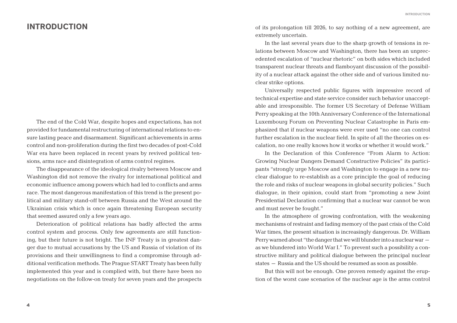#### **INTRODUCTION**

The end of the Cold War, despite hopes and expectations, has not provided for fundamental restructuring of international relations to ensure lasting peace and disarmament. Significant achievements in arms control and non-proliferation during the first two decades of post-Cold War era have been replaced in recent years by revived political tensions, arms race and disintegration of arms control regimes.

The disappearance of the ideological rivalry between Moscow and Washington did not remove the rivalry for international political and economic influence among powers which had led to conflicts and arms race. The most dangerous manifestation of this trend is the present political and military stand-off between Russia and the West around the Ukrainian crisis which is once again threatening European security that seemed assured only a few years ago.

Deterioration of political relations has badly affected the arms control system and process. Only few agreements are still functioning, but their future is not bright. The INF Treaty is in greatest danger due to mutual accusations by the US and Russia of violation of its provisions and their unwillingness to find a compromise through additional verification methods. The Prague START Treaty has been fully implemented this year and is complied with, but there have been no negotiations on the follow-on treaty for seven years and the prospects of its prolongation till 2026, to say nothing of a new agreement, are extremely uncertain.

In the last several years due to the sharp growth of tensions in relations between Moscow and Washington, there has been an unprecedented escalation of "nuclear rhetoric" on both sides which included transparent nuclear threats and flamboyant discussion of the possibility of a nuclear attack against the other side and of various limited nuclear strike options.

Universally respected public figures with impressive record of technical expertise and state service consider such behavior unacceptable and irresponsible. The former US Secretary of Defense William Perry speaking at the 10th Anniversary Conference of the International Luxembourg Forum on Preventing Nuclear Catastrophe in Paris emphasized that if nuclear weapons were ever used "no one can control further escalation in the nuclear field. In spite of all the theories on escalation, no one really knows how it works or whether it would work."

In the Declaration of this Conference "From Alarm to Action: Growing Nuclear Dangers Demand Constructive Policies" its participants "strongly urge Moscow and Washington to engage in a new nuclear dialogue to re-establish as a core principle the goal of reducing the role and risks of nuclear weapons in global security policies." Such dialogue, in their opinion, could start from "promoting a new Joint Presidential Declaration confirming that a nuclear war cannot be won and must never be fought."

In the atmosphere of growing confrontation, with the weakening mechanisms of restraint and fading memory of the past crisis of the Cold War times, the present situation is increasingly dangerous. Dr. William Perry warned about "the danger that we will blunder into a nuclear war– as we blundered into World War I." To prevent such a possibility a constructive military and political dialogue between the principal nuclear states – Russia and the US should be resumed as soon as possible.

But this will not be enough. One proven remedy against the eruption of the worst case scenarios of the nuclear age is the arms control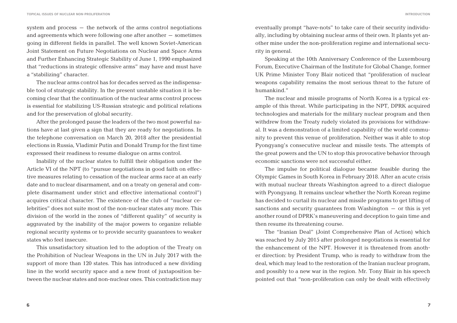system and process – the network of the arms control negotiations and agreements which were following one after another – sometimes going in different fields in parallel. The well known Soviet-American Joint Statement on Future Negotiations on Nuclear and Space Arms and Further Enhancing Strategic Stability of June 1, 1990 emphasized that "reductions in strategic offensive arms" may have and must have a "stabilizing" character.

The nuclear arms control has for decades served as the indispensable tool of strategic stability. In the present unstable situation it is becoming clear that the continuation of the nuclear arms control process is essential for stabilizing US-Russian strategic and political relations and for the preservation of global security.

After the prolonged pause the leaders of the two most powerful nations have at last given a sign that they are ready for negotiations. In the telephone conversation on March 20, 2018 after the presidential elections in Russia, Vladimir Putin and Donald Trump for the first time expressed their readiness to resume dialogue on arms control.

Inability of the nuclear states to fulfill their obligation under the Article VI of the NPT (to "pursue negotiations in good faith on effective measures relating to cessation of the nuclear arms race at an early date and to nuclear disarmament, and on a treaty on general and complete disarmament under strict and effective international control") acquires critical character. The existence of the club of "nuclear celebrities" does not suite most of the non-nuclear states any more. This division of the world in the zones of "different quality" of security is aggravated by the inability of the major powers to organize reliable regional security systems or to provide security guarantees to weaker states who feel insecure.

This unsatisfactory situation led to the adoption of the Treaty on the Prohibition of Nuclear Weapons in the UN in July 2017 with the support of more than 120 states. This has introduced a new dividing line in the world security space and a new front of juxtaposition between the nuclear states and non-nuclear ones. This contradiction may

eventually prompt "have-nots" to take care of their security individually, including by obtaining nuclear arms of their own. It plants yet another mine under the non-proliferation regime and international security in general.

Speaking at the 10th Anniversary Conference of the Luxembourg Forum, Executive Chairman of the Institute for Global Change, former UK Prime Minister Tony Blair noticed that "proliferation of nuclear weapons capability remains the most serious threat to the future of humankind."

The nuclear and missile programs of North Korea is a typical example of this threat. While participating in the NPT, DPRK acquired technologies and materials for the military nuclear program and then withdrew from the Treaty rudely violated its provisions for withdrawal. It was a demonstration of a limited capability of the world community to prevent this venue of proliferation. Neither was it able to stop Pyongyang's consecutive nuclear and missile tests. The attempts of the great powers and the UN to stop this provocative behavior through economic sanctions were not successful either.

The impulse for political dialogue became feasible during the Olympic Games in South Korea in February 2018. After an acute crisis with mutual nuclear threats Washington agreed to a direct dialogue with Pyongyang. It remains unclear whether the North Korean regime has decided to curtail its nuclear and missile programs to get lifting of sanctions and security guarantees from Washington  $-$  or this is yet another round of DPRK's maneuvering and deception to gain time and then resume its threatening course.

The "Iranian Deal" (Joint Comprehensive Plan of Action) which was reached by July 2015 after prolonged negotiations is essential for the enhancement of the NPT. However it is threatened from another direction: by President Trump, who is ready to withdraw from the deal, which may lead to the restoration of the Iranian nuclear program, and possibly to a new war in the region. Mr. Tony Blair in his speech pointed out that "non-proliferation can only be dealt with effectively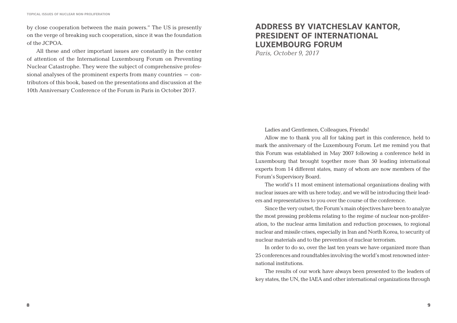by close cooperation between the main powers." The US is presently on the verge of breaking such cooperation, since it was the foundation of the JCPOA.

All these and other important issues are constantly in the center of attention of the International Luxembourg Forum on Preventing Nuclear Catastrophe. They were the subject of comprehensive professional analyses of the prominent experts from many countries – contributors of this book, based on the presentations and discussion at the 10th Anniversary Conference of the Forum in Paris in October 2017.

### **ADDRESS BY VIATCHESLAV KANTOR, PRESIDENT OF INTERNATIONAL LUXEMBOURG FORUM**

*Paris, October 9, 2017*

Ladies and Gentlemen, Colleagues, Friends!

Allow me to thank you all for taking part in this conference, held to mark the anniversary of the Luxembourg Forum. Let me remind you that this Forum was established in May 2007 following a conference held in Luxembourg that brought together more than 50 leading international experts from 14 different states, many of whom are now members of the Forum's Supervisory Board.

The world's 11 most eminent international organizations dealing with nuclear issues are with us here today, and we will be introducing their leaders and representatives to you over the course of the conference.

Since the very outset, the Forum's main objectives have been to analyze the most pressing problems relating to the regime of nuclear non-proliferation, to the nuclear arms limitation and reduction processes, to regional nuclear and missile crises, especially in Iran and North Korea, to security of nuclear materials and to the prevention of nuclear terrorism.

In order to do so, over the last ten years we have organized more than 25 conferences and roundtables involving the world's most renowned international institutions.

The results of our work have always been presented to the leaders of key states, the UN, the IAEA and other international organizations through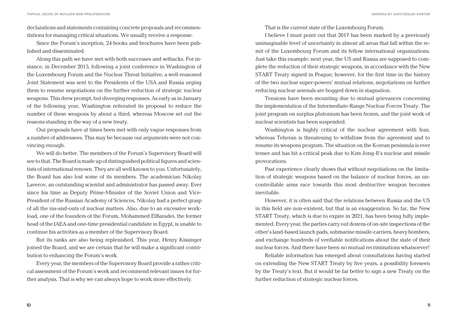declarations and statements containing concrete proposals and recommendations for managing critical situations. We usually receive a response.

Since the Forum's inception, 24 books and brochures have been published and disseminated.

Along this path we have met with both successes and setbacks. For instance, in December 2015, following a joint conference in Washington of the Luxembourg Forum and the Nuclear Threat Initiative, a well-reasoned Joint Statement was sent to the Presidents of the USA and Russia urging them to resume negotiations on the further reduction of strategic nuclear weapons. This drew prompt, but diverging responses. As early as in January of the following year, Washington reiterated its proposal to reduce the number of these weapons by about a third, whereas Moscow set out the reasons standing in the way of a new treaty.

Our proposals have at times been met with only vague responses from a number of addressees. This may be because our arguments were not convincing enough.

We will do better. The members of the Forum's Supervisory Board will see to that. The Board is made up of distinguished political figures and scientists of international renown. They are all well known to you. Unfortunately, the Board has also lost some of its members. The academician Nikolay Laverov, an outstanding scientist and administrator has passed away. Ever since his time as Deputy Prime-Minister of the Soviet Union and Vice-President of the Russian Academy of Sciences, Nikolay had a perfect grasp of all the ins-and-outs of nuclear matters. Also, due to an excessive workload, one of the founders of the Forum, Mohammed ElBaradei, the former head of the IAEA and one-time presidential candidate in Egypt, is unable to continue his activities as a member of the Supervisory Board.

But its ranks are also being replenished. This year, Henry Kissinger joined the Board, and we are certain that he will make a significant contribution to enhancing the Forum's work.

Every year, the members of the Supervisory Board provide a rather critical assessment of the Forum's work and recommend relevant issues for further analysis. That is why we can always hope to work more effectively.

That is the current state of the Luxembourg Forum.

I believe I must point out that 2017 has been marked by a previously unimaginable level of uncertainty in almost all areas that fall within the remit of the Luxembourg Forum and its fellow international organizations. Just take this example: next year, the US and Russia are supposed to complete the reduction of their strategic weapons, in accordance with the New START Treaty signed in Prague; however, for the first time in the history of the two nuclear super-powers' mutual relations, negotiations on further reducing nuclear arsenals are bogged down in stagnation.

Tensions have been mounting due to mutual grievances concerning the implementation of the Intermediate-Range Nuclear Forces Treaty. The joint program on surplus plutonium has been frozen, and the joint work of nuclear scientists has been suspended.

Washington is highly critical of the nuclear agreement with Iran, whereas Teheran is threatening to withdraw from the agreement and to resume its weapons program. The situation on the Korean peninsula is ever tenser and has hit a critical peak due to Kim Jong-Il's nuclear and missile provocations.

Past experience clearly shows that without negotiations on the limitation of strategic weapons based on the balance of nuclear forces, an uncontrollable arms race towards this most destructive weapon becomes inevitable.

However, it is often said that the relations between Russia and the US in this field are non-existent, but that is an exaggeration. So far, the New START Treaty, which is due to expire in 2021, has been being fully implemented. Every year, the parties carry out dozens of on-site inspections of the other's land-based launch pads, submarine missile-carriers, heavy bombers, and exchange hundreds of verifiable notifications about the state of their nuclear forces. And there have been no mutual recriminations whatsoever!

Reliable information has emerged about consultations having started on extending the New START Treaty by five years, a possibility foreseen by the Treaty's text. But it would be far better to sign a new Treaty on the further reduction of strategic nuclear forces.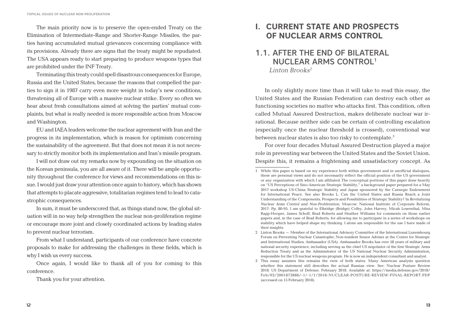The main priority now is to preserve the open-ended Treaty on the Elimination of Intermediate-Range and Shorter-Range Missiles, the parties having accumulated mutual grievances concerning compliance with its provisions. Already there are signs that the treaty might be repudiated. The USA appears ready to start preparing to produce weapons types that are prohibited under the INF Treaty.

Terminating this treaty could spell disastrous consequences for Europe, Russia and the United States, because the reasons that compelled the parties to sign it in 1987 carry even more weight in today's new conditions, threatening all of Europe with a massive nuclear strike. Every so often we hear about fresh consultations aimed at solving the parties' mutual complaints, but what is really needed is more responsible action from Moscow and Washington.

EU and IAEA leaders welcome the nuclear agreement with Iran and the progress in its implementation, which is reason for optimism concerning the sustainability of the agreement. But that does not mean it is not necessary to strictly monitor both its implementation and Iran's missile program.

I will not draw out my remarks now by expounding on the situation on the Korean peninsula, you are all aware of it. There will be ample opportunity throughout the conference for views and recommendations on this issue. I would just draw your attention once again to history, which has shown that attempts to placate aggressive, totalitarian regimes tend to lead to catastrophic consequences.

In sum, it must be underscored that, as things stand now, the global situation will in no way help strengthen the nuclear non-proliferation regime or encourage more joint and closely coordinated actions by leading states to prevent nuclear terrorism.

From what I understand, participants of our conference have concrete proposals to make for addressing the challenges in these fields, which is why I wish us every success.

#### **I. CURRENT STATE AND PROSPECTS OF NUCLEAR ARMS CONTROL**

#### 1.1. AFTER THE END OF BILATERAL NUCLEAR ARMS CONTROL1  *Linton Brooks2*

In only slightly more time than it will take to read this essay, the United States and the Russian Federation can destroy each other as functioning societies no matter who attacks first. This condition, often called Mutual Assured Destruction, makes deliberate nuclear war irrational. Because neither side can be certain of controlling escalation (especially once the nuclear threshold is crossed), conventional war between nuclear states is also too risky to contemplate.3

For over four decades Mutual Assured Destruction played a major role in preventing war between the United States and the Soviet Union. Despite this, it remains a frightening and unsatisfactory concept. As

Once again, I would like to thank all of you for coming to this conference.

Thank you for your attention.

<sup>1</sup> While this paper is based on my experience both within government and in unofficial dialogues, these are personal views and do not necessarily reflect the official position of the US government or any organization with which I am affiliated. The conceptual portions of this paper draw heavily on "US Perceptions of Sino-American Strategic Stability," a background paper prepared for a May 2017 workshop US-China Strategic Stability and Japan sponsored by the Carnegie Endowment for International Peace. See also Brooks L. Can the United States and Russia Reach a Joint Understanding of the Components, Prospects and Possibilities of Strategic Stability? In *Revitalizing Nuclear Arms Control and Non-Proliferation,* Moscow: National Institute of Corporate Reform, 2017. Pp. 80-95. I am grateful to Elbridge (Bridge) Colby, John Harvey, Micah Lowenthal, Mira Rapp-Hooper, James Schoff, Brad Roberts and Heather Williams for comments on those earlier papers and, in the case of Brad Roberts, for allowing me to participate in a series of workshops on stability which have helped shape my thinking. I alone am responsible for the use I have made of their insights.

<sup>2</sup> Linton Brooks – Member of the International Advisory Committee of the International Luxembourg Forum on Preventing Nuclear Catastrophe; Non-resident Senior Adviser at the Center for Strategic and International Studies; Ambassador (USA). Ambassador Brooks has over 58 years of military and national security experience, including serving as the chief US negotiator of the first Strategic Arms Reduction Treaty and as the Administrator of the US National Nuclear Security Administration, responsible for the US nuclear weapons program. He is now an independent consultant and analyst.

<sup>3</sup> This essay assumes this remains the view of both states. Many American analysts question whether this statement still describes the actual Russian view. See: Nuclear Posture Review 2018. US Department of Defense. February 2018. Available at: https://media.defense.gov/2018/ Feb/02/2001872886/-1/-1/1/2018-NUCLEAR-POSTURE-REVIEW-FINAL-REPORT.PDF (accessed on 15 February 2018).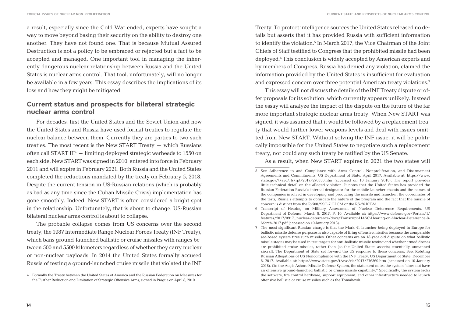a result, especially since the Cold War ended, experts have sought a way to move beyond basing their security on the ability to destroy one another. They have not found one. That is because Mutual Assured Destruction is not a policy to be embraced or rejected but a fact to be accepted and managed. One important tool in managing the inherently dangerous nuclear relationship between Russia and the United States is nuclear arms control. That tool, unfortunately, will no longer be available in a few years. This essay describes the implications of its loss and how they might be mitigated.

#### **Current status and prospects for bilateral strategic nuclear arms control**

For decades, first the United States and the Soviet Union and now the United States and Russia have used formal treaties to regulate the nuclear balance between them. Currently they are parties to two such treaties. The most recent is the New START Treaty – which Russians often call START  $III^4$  – limiting deployed strategic warheads to 1550 on each side. New START was signed in 2010, entered into force in February 2011 and will expire in February 2021. Both Russia and the United States completed the reductions mandated by the treaty on February 5, 2018. Despite the current tension in US-Russian relations (which is probably as bad as any time since the Cuban Missile Crisis) implementation has gone smoothly. Indeed, New START is often considered a bright spot in the relationship. Unfortunately, that is about to change. US-Russian bilateral nuclear arms control is about to collapse.

The probable collapse comes from US concerns over the second treaty, the 1987 Intermediate Range Nuclear Forces Treaty (INF Treaty), which bans ground-launched ballistic or cruise missiles with ranges between 500 and 5500 kilometers regardless of whether they carry nuclear or non-nuclear payloads. In 2014 the United States formally accused Russia of testing a ground-launched cruise missile that violated the INF Treaty. To protect intelligence sources the United States released no details but asserts that it has provided Russia with sufficient information to identify the violation.5 In March 2017, the Vice Chairman of the Joint Chiefs of Staff testified to Congress that the prohibited missile had been deployed.6 This conclusion is widely accepted by American experts and by members of Congress. Russia has denied any violation, claimed the information provided by the United States is insufficient for evaluation and expressed concern over three potential American treaty violations.7

This essay will not discuss the details of the INF Treaty dispute or offer proposals for its solution, which currently appears unlikely. Instead the essay will analyze the impact of the dispute on the future of the far more important strategic nuclear arms treaty. When New START was signed, it was assumed that it would be followed by a replacement treaty that would further lower weapons levels and deal with issues omitted from New START. Without solving the INF issue, it will be politically impossible for the United States to negotiate such a replacement treaty, nor could any such treaty be ratified by the US Senate.

As a result, when New START expires in 2021 the two states will

<sup>4</sup> Formally the Treaty between the United States of America and the Russian Federation on Measures for the Further Reduction and Limitation of Strategic Offensive Arms, signed in Prague on April 8, 2010.

<sup>5</sup> See Adherence to and Compliance with Arms Control, Nonproliferation, and Disarmament Agreements and Commitments. US Department of State, April 2017. Available at: https://www. state.gov/t/avc/rls/rpt/2017/270330.htm (accessed on 10 January 2018). The report provides little technical detail on the alleged violation. It notes that the United States has provided the Russian Federation Russia's internal designator for the mobile launcher chassis and the names of the companies involved in developing and producing the missile and launcher, the coordinates of the tests, Russia's attempts to obfuscate the nature of the program and the fact that the missile of concern is distinct from the R-500/SSC-7 GLCM or the RS-26 ICBM.

<sup>6</sup> Transcript of Hearing on Military Assessment of Nuclear Deterrence Requirements. US Department of Defense. March 8, 2017. P. 10. Available at: https://www.defense.gov/Portals/1/ features/2017/0917\_nuclear-deterrence/docs/Transcript-HASC-Hearing-on-Nuclear-Deterrence-8- March-2017.pdf (accessed on 10 January 2018).

<sup>7</sup> The most significant Russian charge is that the Mark 41 launcher being deployed in Europe for ballistic missile defense purposes is also capable of firing offensive missiles because the comparable sea-based system fires such missiles. Other concerns are an 18-year old dispute on what ballistic missile stages may be used in test targets for anti-ballistic missile testing and whether armed drones are prohibited cruise missiles, rather than (as the United States asserts) essentially unmanned aircraft. The Department of State set forward the US response to these concerns. See: Refuting Russian Allegations of US Noncompliance with the INF Treaty. US Department of State, December 8, 2017. Available at: https://www.state.gov/t/avc/rls/2017/276360.htm (accessed on 10 January 2018). On the Aegis Ashore Missile Defense System, the statement notes the system "does not have an offensive ground-launched ballistic or cruise missile capability." Specifically, the system lacks the software, fire control hardware, support equipment, and other infrastructure needed to launch offensive ballistic or cruise missiles such as the Tomahawk.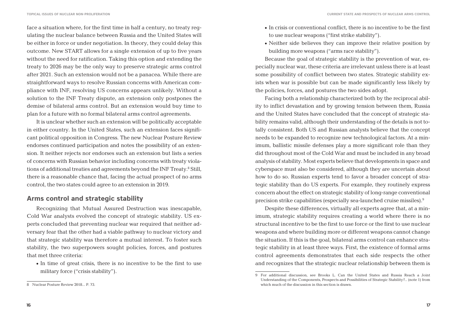face a situation where, for the first time in half a century, no treaty regulating the nuclear balance between Russia and the United States will be either in force or under negotiation. In theory, they could delay this outcome. New START allows for a single extension of up to five years without the need for ratification. Taking this option and extending the treaty to 2026 may be the only way to preserve strategic arms control after 2021. Such an extension would not be a panacea. While there are straightforward ways to resolve Russian concerns with American compliance with INF, resolving US concerns appears unlikely. Without a solution to the INF Treaty dispute, an extension only postpones the demise of bilateral arms control. But an extension would buy time to plan for a future with no formal bilateral arms control agreements.

It is unclear whether such an extension will be politically acceptable in either country. In the United States, such an extension faces significant political opposition in Congress. The new Nuclear Posture Review endorses continued participation and notes the possibility of an extension. It neither rejects nor endorses such an extension but lists a series of concerns with Russian behavior including concerns with treaty violations of additional treaties and agreements beyond the INF Treaty.<sup>8</sup> Still, there is a reasonable chance that, facing the actual prospect of no arms control, the two states could agree to an extension in 2019.

#### **Arms control and strategic stability**

Recognizing that Mutual Assured Destruction was inescapable, Cold War analysts evolved the concept of strategic stability. US experts concluded that preventing nuclear war required that neither adversary fear that the other had a viable pathway to nuclear victory and that strategic stability was therefore a mutual interest. To foster such stability, the two superpowers sought policies, forces, and postures that met three criteria:

• In time of great crisis, there is no incentive to be the first to use military force ("crisis stability").

- In crisis or conventional conflict, there is no incentive to be the first to use nuclear weapons ("first strike stability").
- Neither side believes they can improve their relative position by building more weapons ("arms race stability").

Because the goal of strategic stability is the prevention of war, especially nuclear war, these criteria are irrelevant unless there is at least some possibility of conflict between two states. Strategic stability exists when war is possible but can be made significantly less likely by the policies, forces, and postures the two sides adopt.

Facing both a relationship characterized both by the reciprocal ability to inflict devastation and by growing tension between them, Russia and the United States have concluded that the concept of strategic stability remains valid, although their understanding of the details is not totally consistent. Both US and Russian analysts believe that the concept needs to be expanded to recognize new technological factors. At a minimum, ballistic missile defenses play a more significant role than they did throughout most of the Cold War and must be included in any broad analysis of stability. Most experts believe that developments in space and cyberspace must also be considered, although they are uncertain about how to do so. Russian experts tend to favor a broader concept of strategic stability than do US experts. For example, they routinely express concern about the effect on strategic stability of long-range conventional precision strike capabilities (especially sea-launched cruise missiles).9

Despite these differences, virtually all experts agree that, at a minimum, strategic stability requires creating a world where there is no structural incentive to be the first to use force or the first to use nuclear weapons and where building more or different weapons cannot change the situation. If this is the goal, bilateral arms control can enhance strategic stability in at least three ways. First, the existence of formal arms control agreements demonstrates that each side respects the other and recognizes that the strategic nuclear relationship between them is

<sup>8</sup> Nuclear Posture Review 2018… P. 73.

<sup>9</sup> For additional discussion, see Brooks L. Can the United States and Russia Reach a Joint Understanding of the Components, Prospects and Possibilities of Strategic Stability?.. (note 1) from which much of the discussion in this section is drawn.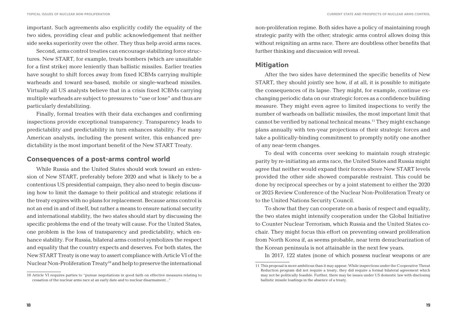important. Such agreements also explicitly codify the equality of the two sides, providing clear and public acknowledgement that neither side seeks superiority over the other. They thus help avoid arms races.

Second, arms control treaties can encourage stabilizing force structures. New START, for example, treats bombers (which are unsuitable for a first strike) more leniently than ballistic missiles. Earlier treaties have sought to shift forces away from fixed ICBMs carrying multiple warheads and toward sea-based, mobile or single-warhead missiles. Virtually all US analysts believe that in a crisis fixed ICBMs carrying multiple warheads are subject to pressures to "use or lose" and thus are particularly destabilizing.

Finally, formal treaties with their data exchanges and confirming inspections provide exceptional transparency. Transparency leads to predictability and predictability in turn enhances stability. For many American analysts, including the present writer, this enhanced predictability is the most important benefit of the New START Treaty.

#### **Consequences of a post-arms control world**

While Russia and the United States should work toward an extension of New START, preferably before 2020 and what is likely to be a contentious US presidential campaign, they also need to begin discussing how to limit the damage to their political and strategic relations if the treaty expires with no plans for replacement. Because arms control is not an end in and of itself, but rather a means to ensure national security and international stability, the two states should start by discussing the specific problems the end of the treaty will cause. For the United States, one problem is the loss of transparency and predictability, which enhance stability. For Russia, bilateral arms control symbolizes the respect and equality that the country expects and deserves. For both states, the New START Treaty is one way to assert compliance with Article VI of the Nuclear Non-Proliferation Treaty<sup>10</sup> and help to preserve the international

non-proliferation regime. Both sides have a policy of maintaining rough strategic parity with the other; strategic arms control allows doing this without reigniting an arms race. There are doubtless other benefits that further thinking and discussion will reveal.

#### **Mitigation**

After the two sides have determined the specific benefits of New START, they should jointly see how, if at all, it is possible to mitigate the consequences of its lapse. They might, for example, continue exchanging periodic data on our strategic forces as a confidence building measure. They might even agree to limited inspections to verify the number of warheads on ballistic missiles, the most important limit that cannot be verified by national technical means.11 They might exchange plans annually with ten-year projections of their strategic forces and take a politically-binding commitment to promptly notify one another of any near-term changes.

To deal with concerns over seeking to maintain rough strategic parity by re-initiating an arms race, the United States and Russia might agree that neither would expand their forces above New START levels provided the other side showed comparable restraint. This could be done by reciprocal speeches or by a joint statement to either the 2020 or 2025 Review Conference of the Nuclear Non-Proliferation Treaty or to the United Nations Security Council.

To show that they can cooperate on a basis of respect and equality, the two states might intensify cooperation under the Global Initiative to Counter Nuclear Terrorism, which Russia and the United States cochair. They might focus this effort on preventing onward proliferation from North Korea if, as seems probable, near term denuclearization of the Korean peninsula is not attainable in the next few years.

In 2017, 122 states (none of which possess nuclear weapons or are

<sup>10</sup> Article VI requires parties to "pursue negotiations in good faith on effective measures relating to cessation of the nuclear arms race at an early date and to nuclear disarmament..."

<sup>11</sup> This proposal is more ambitious than it may appear. While inspections under the Cooperative Threat Reduction program did not require a treaty, they did require a formal bilateral agreement which may not be politically feasible. Further, there may be issues under US domestic law with disclosing ballistic missile loadings in the absence of a treaty.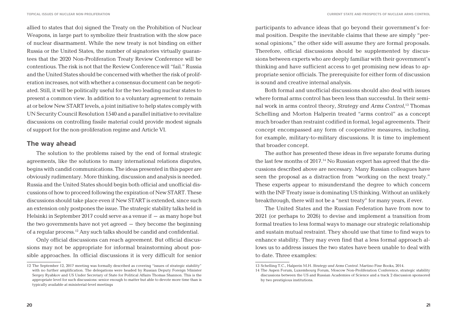allied to states that do) signed the Treaty on the Prohibition of Nuclear Weapons, in large part to symbolize their frustration with the slow pace of nuclear disarmament. While the new treaty is not binding on either Russia or the United States, the number of signatories virtually guarantees that the 2020 Non-Proliferation Treaty Review Conference will be contentious. The risk is not that the Review Conference will "fail." Russia and the United States should be concerned with whether the risk of proliferation increases, not with whether a consensus document can be negotiated. Still, it will be politically useful for the two leading nuclear states to present a common view. In addition to a voluntary agreement to remain at or below New START levels, a joint initiative to help states comply with UN Security Council Resolution 1540 and a parallel initiative to revitalize discussions on controlling fissile material could provide modest signals of support for the non-proliferation regime and Article VI.

#### **The way ahead**

The solution to the problems raised by the end of formal strategic agreements, like the solutions to many international relations disputes, begins with candid communications. The ideas presented in this paper are obviously rudimentary. More thinking, discussion and analysis is needed. Russia and the United States should begin both official and unofficial discussions of how to proceed following the expiration of New START. These discussions should take place even if New START is extended, since such an extension only postpones the issue. The strategic stability talks held in Helsinki in September 2017 could serve as a venue if  $-$  as many hope but the two governments have not yet agreed – they become the beginning of a regular process.12 Any such talks should be candid and confidential.

Only official discussions can reach agreement. But official discussions may not be appropriate for informal brainstorming about possible approaches. In official discussions it is very difficult for senior participants to advance ideas that go beyond their government's formal position. Despite the inevitable claims that these are simply "personal opinions," the other side will assume they are formal proposals. Therefore, official discussions should be supplemented by discussions between experts who are deeply familiar with their government's thinking and have sufficient access to get promising new ideas to appropriate senior officials. The prerequisite for either form of discussion is sound and creative internal analysis.

Both formal and unofficial discussions should also deal with issues where formal arms control has been less than successful. In their seminal work in arms control theory, *Strategy and Arms Control*, 13 Thomas Schelling and Morton Halperin treated "arms control" as a concept much broader than restraint codified in formal, legal agreements. Their concept encompassed any form of cooperative measures, including, for example, military-to-military discussions. It is time to implement that broader concept.

The author has presented these ideas in five separate forums during the last few months of 2017.14 No Russian expert has agreed that the discussions described above are necessary. Many Russian colleagues have seen the proposal as a distraction from "working on the next treaty." These experts appear to misunderstand the degree to which concern with the INF Treaty issue is dominating US thinking. Without an unlikely breakthrough, there will not be a "next treaty" for many years, if ever.

The United States and the Russian Federation have from now to 2021 (or perhaps to 2026) to devise and implement a transition from formal treaties to less formal ways to manage our strategic relationship and sustain mutual restraint. They should use that time to find ways to enhance stability. They may even find that a less formal approach allows us to address issues the two states have been unable to deal with to date. Three examples:

<sup>12</sup> The September 12, 2017 meeting was formally described as covering "issues of strategic stability" with no further amplification. The delegations were headed by Russian Deputy Foreign Minister Sergey Ryabkov and US Under Secretary of State for Political Affairs Thomas Shannon. This is the appropriate level for such discussions: senior enough to matter but able to devote more time than is typically available at ministerial-level meetings

<sup>13</sup> Schelling T.C., Halperin M.H. *Strategy and Arms Control*. Martino Fine Books, 2014.

<sup>14</sup> The Aspen Forum, Luxembourg Forum, Moscow Non-Proliferation Conference, strategic stability discussions between the US and Russian Academies of Science and a track 2 discussion sponsored by two prestigious institutions.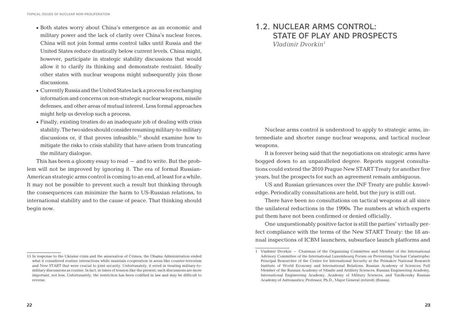- Both states worry about China's emergence as an economic and military power and the lack of clarity over China's nuclear forces. China will not join formal arms control talks until Russia and the United States reduce drastically below current levels. China might, however, participate in strategic stability discussions that would allow it to clarify its thinking and demonstrate restraint. Ideally other states with nuclear weapons might subsequently join those discussions.
- Currently Russia and the United States lack a process for exchanging information and concerns on non-strategic nuclear weapons, missile defenses, and other areas of mutual interest. Less formal approaches might help us develop such a process.
- Finally, existing treaties do an inadequate job of dealing with crisis stability. The two sides should consider resuming military-to-military discussions or, if that proves infeasible, $15$  should examine how to mitigate the risks to crisis stability that have arisen from truncating the military dialogue.

This has been a gloomy essay to read – and to write. But the problem will not be improved by ignoring it. The era of formal Russian-American strategic arms control is coming to an end, at least for a while. It may not be possible to prevent such a result but thinking through the consequences can minimize the harm to US-Russian relations, to international stability and to the cause of peace. That thinking should begin now.

#### 1.2. NUCLEAR ARMS CONTROL: STATE OF PLAY AND PROSPECTS *Vladimir Dvorkin1*

Nuclear arms control is understood to apply to strategic arms, intermediate and shorter range nuclear weapons, and tactical nuclear weapons.

It is forever being said that the negotiations on strategic arms have bogged down to an unparalleled degree. Reports suggest consultations could extend the 2010 Prague New START Treaty for another five years, but the prospects for such an agreement remain ambiguous.

US and Russian grievances over the INF Treaty are public knowledge. Periodically consultations are held, but the jury is still out.

There have been no consultations on tactical weapons at all since the unilateral reductions in the 1990s. The numbers at which experts put them have not been confirmed or denied officially.

One unquestionably positive factor is still the parties' virtually perfect compliance with the terms of the New START Treaty: the 18 annual inspections of ICBM launchers, subsurface launch platforms and

<sup>15</sup> In response to the Ukraine crisis and the annexation of Crimea, the Obama Administration ended what it considered routine interactions while maintain cooperation in areas like counter-terrorism and New START that were crucial to joint security. Unfortunately, it erred in treating military-tomilitary discussions as routine. In fact, in times of tension like the present, such discussions are more important, not less. Unfortunately, the restriction has been codified in law and may be difficult to reverse.

<sup>1</sup> Vladimir Dvorkin – Chairman of the Organizing Committee and Member of the International Advisory Committee of the International Luxembourg Forum on Preventing Nuclear Catastrophe; Principal Researcher of the Center for International Security at the Primakov National Research Institute of World Economy and International Relations, Russian Academy of Sciences; Full Member of the Russian Academy of Missile and Artillery Sciences, Russian Engineering Academy, International Engineering Academy, Academy of Military Sciences, and Tsiolkovsky Russian Academy of Astronautics; Professor, Ph.D., Major General (retired) (Russia).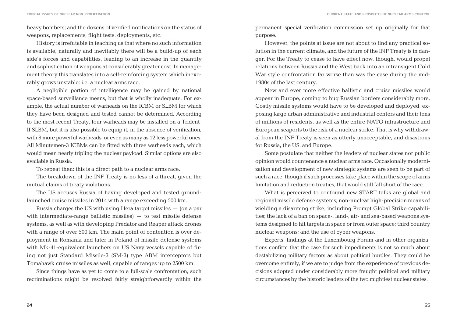heavy bombers; and the dozens of verified notifications on the status of weapons, replacements, flight tests, deployments, etc.

History is irrefutable in teaching us that where no such information is available, naturally and inevitably there will be a build-up of each side's forces and capabilities, leading to an increase in the quantity and sophistication of weapons at considerably greater cost. In management theory this translates into a self-reinforcing system which inexorably grows unstable: i.e. a nuclear arms race.

A negligible portion of intelligence may be gained by national space-based surveillance means, but that is wholly inadequate. For example, the actual number of warheads on the ICBM or SLBM for which they have been designed and tested cannot be determined. According to the most recent Treaty, four warheads may be installed on a Trident-II SLBM, but it is also possible to equip it, in the absence of verification, with 8 more powerful warheads, or even as many as 12 less powerful ones. All Minutemen-3 ICBMs can be fitted with three warheads each, which would mean nearly tripling the nuclear payload. Similar options are also available in Russia.

To repeat then: this is a direct path to a nuclear arms race.

The breakdown of the INF Treaty is no less of a threat, given the mutual claims of treaty violations.

The US accuses Russia of having developed and tested groundlaunched cruise missiles in 2014 with a range exceeding 500 km.

Russia charges the US with using Hera target missiles  $-$  (on a par with intermediate-range ballistic missiles) – to test missile defense systems, as well as with developing Predator and Reaper attack drones with a range of over 500 km. The main point of contention is over deployment in Romania and later in Poland of missile defense systems with Mk-41-equivalent launchers on US Navy vessels capable of firing not just Standard Missile-3 (SM-3) type ABM interceptors but Tomahawk cruise missiles as well, capable of ranges up to 2500 km.

Since things have as yet to come to a full-scale confrontation, such recriminations might be resolved fairly straightforwardly within the permanent special verification commission set up originally for that purpose.

However, the points at issue are not about to find any practical solution in the current climate, and the future of the INF Treaty is in danger. For the Treaty to cease to have effect now, though, would propel relations between Russia and the West back into an intransigent Cold War style confrontation far worse than was the case during the mid-1980s of the last century.

New and ever more effective ballistic and cruise missiles would appear in Europe, coming to hug Russian borders considerably more. Costly missile systems would have to be developed and deployed, exposing large urban administrative and industrial centers and their tens of millions of residents, as well as the entire NATO infrastructure and European seaports to the risk of a nuclear strike. That is why withdrawal from the INF Treaty is seen as utterly unacceptable, and disastrous for Russia, the US, and Europe.

Some postulate that neither the leaders of nuclear states nor public opinion would countenance a nuclear arms race. Occasionally modernization and development of new strategic systems are seen to be part of such a race, though if such processes take place within the scope of arms limitation and reduction treaties, that would still fall short of the race.

What is perceived to confound new START talks are global and regional missile defense systems; non-nuclear high-precision means of wielding a disarming strike, including Prompt Global Strike capabilities; the lack of a ban on space-, land-, air- and sea-based weapons systems designed to hit targets in space or from outer space; third country nuclear weapons; and the use of cyber weapons.

Experts' findings at the Luxembourg Forum and in other organizations confirm that the case for such impediments is not so much about destabilizing military factors as about political hurdles. They could be overcome entirely, if we are to judge from the experience of previous decisions adopted under considerably more fraught political and military circumstances by the historic leaders of the two mightiest nuclear states.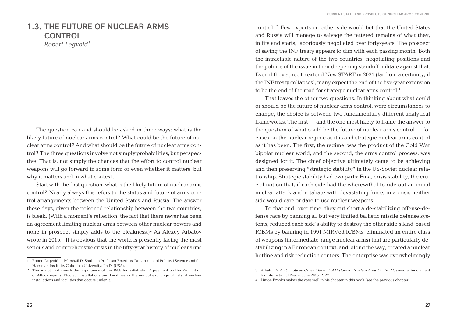#### 1.3. THE FUTURE OF NUCLEAR ARMS **CONTROL**  *Robert Legvold1*

The question can and should be asked in three ways: what is the likely future of nuclear arms control? What could be the future of nuclear arms control? And what should be the future of nuclear arms control? The three questions involve not simply probabilities, but perspective. That is, not simply the chances that the effort to control nuclear weapons will go forward in some form or even whether it matters, but why it matters and in what context.

Start with the first question, what is the likely future of nuclear arms control? Nearly always this refers to the status and future of arms control arrangements between the United States and Russia. The answer these days, given the poisoned relationship between the two countries, is bleak. (With a moment's reflection, the fact that there never has been an agreement limiting nuclear arms between other nuclear powers and none in prospect simply adds to the bleakness.)<sup>2</sup> As Alexey Arbatov wrote in 2015, "It is obvious that the world is presently facing the most serious and comprehensive crisis in the fifty-year history of nuclear arms

control."3 Few experts on either side would bet that the United States and Russia will manage to salvage the tattered remains of what they, in fits and starts, laboriously negotiated over forty-years. The prospect of saving the INF treaty appears to dim with each passing month. Both the intractable nature of the two countries' negotiating positions and the politics of the issue in their deepening standoff militate against that. Even if they agree to extend New START in 2021 (far from a certainty, if the INF treaty collapses), many expect the end of the five-year extension to be the end of the road for strategic nuclear arms control.<sup>4</sup>

That leaves the other two questions. In thinking about what could or should be the future of nuclear arms control, were circumstances to change, the choice is between two fundamentally different analytical frameworks. The first – and the one most likely to frame the answer to the question of what could be the future of nuclear arms control – focuses on the nuclear regime as it is and strategic nuclear arms control as it has been. The first, the regime, was the product of the Cold War bipolar nuclear world, and the second, the arms control process, was designed for it. The chief objective ultimately came to be achieving and then preserving "strategic stability" in the US-Soviet nuclear relationship. Strategic stability had two parts: First, crisis stability, the crucial notion that, if each side had the wherewithal to ride out an initial nuclear attack and retaliate with devastating force, in a crisis neither side would care or dare to use nuclear weapons.

To that end, over time, they cut short a de-stabilizing offense-defense race by banning all but very limited ballistic missile defense systems, reduced each side's ability to destroy the other side's land-based ICBMs by banning in 1991 MIRVed ICBMs, eliminated an entire class of weapons (intermediate-range nuclear arms) that are particularly destabilizing in a European context, and, along the way, created a nuclear hotline and risk reduction centers. The enterprise was overwhelmingly

<sup>1</sup> Robert Legvold – Marshall D. Shulman Professor Emeritus, Department of Political Science and the Harriman Institute, Columbia University; Ph.D. (USA).

<sup>2</sup> This is not to diminish the importance of the 1988 India-Pakistan Agreement on the Prohibition of Attack against Nuclear Installations and Facilities or the annual exchange of lists of nuclear installations and facilities that occurs under it.

<sup>3</sup> Arbatov A. *An Unnoticed Crisis: The End of History for Nuclear Arms Control?* Carnegie Endowment for International Peace, June 2015. P. 22.

<sup>4</sup> Linton Brooks makes the case well in his chapter in this book (see the previous chapter).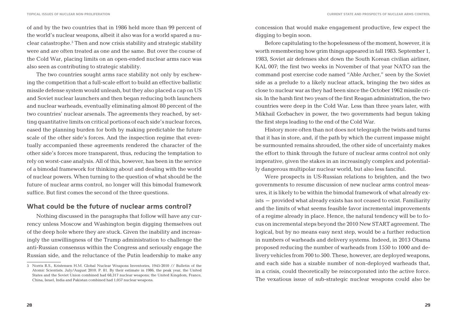of and by the two countries that in 1986 held more than 99 percent of the world's nuclear weapons, albeit it also was for a world spared a nuclear catastrophe.<sup>5</sup> Then and now crisis stability and strategic stability were and are often treated as one and the same. But over the course of the Cold War, placing limits on an open-ended nuclear arms race was also seen as contributing to strategic stability.

The two countries sought arms race stability not only by eschewing the competition that a full-scale effort to build an effective ballistic missile defense system would unleash, but they also placed a cap on US and Soviet nuclear launchers and then began reducing both launchers and nuclear warheads, eventually eliminating almost 80 percent of the two countries' nuclear arsenals. The agreements they reached, by setting quantitative limits on critical portions of each side's nuclear forces, eased the planning burden for both by making predictable the future scale of the other side's forces. And the inspection regime that eventually accompanied these agreements rendered the character of the other side's forces more transparent, thus, reducing the temptation to rely on worst-case analysis. All of this, however, has been in the service of a bimodal framework for thinking about and dealing with the world of nuclear powers. When turning to the question of what should be the future of nuclear arms control, no longer will this bimodal framework suffice. But first comes the second of the three questions.

#### **What could be the future of nuclear arms control?**

Nothing discussed in the paragraphs that follow will have any currency unless Moscow and Washington begin digging themselves out of the deep hole where they are stuck. Given the inability and increasingly the unwillingness of the Trump administration to challenge the anti-Russian consensus within the Congress and seriously engage the Russian side, and the reluctance of the Putin leadership to make any concession that would make engagement productive, few expect the digging to begin soon.

Before capitulating to the hopelessness of the moment, however, it is worth remembering how grim things appeared in fall 1983. September 1, 1983, Soviet air defenses shot down the South Korean civilian airliner, KAL 007; the first two weeks in November of that year NATO ran the command post exercise code named "Able Archer," seen by the Soviet side as a prelude to a likely nuclear attack, bringing the two sides as close to nuclear war as they had been since the October 1962 missile crisis. In the harsh first two years of the first Reagan administration, the two countries were deep in the Cold War. Less than three years later, with Mikhail Gorbachev in power, the two governments had begun taking the first steps leading to the end of the Cold War.

History more often than not does not telegraph the twists and turns that it has in store, and, if the path by which the current impasse might be surmounted remains shrouded, the other side of uncertainty makes the effort to think through the future of nuclear arms control not only imperative, given the stakes in an increasingly complex and potentially dangerous multipolar nuclear world, but also less fanciful.

Were prospects in US-Russian relations to brighten, and the two governments to resume discussion of new nuclear arms control measures, it is likely to be within the bimodal framework of what already exists – provided what already exists has not ceased to exist. Familiarity and the limits of what seems feasible favor incremental improvements of a regime already in place. Hence, the natural tendency will be to focus on incremental steps beyond the 2010 New START agreement. The logical, but by no means easy next step, would be a further reduction in numbers of warheads and delivery systems. Indeed, in 2013 Obama proposed reducing the number of warheads from 1550 to 1000 and delivery vehicles from 700 to 500. These, however, are deployed weapons, and each side has a sizable number of non-deployed warheads that, in a crisis, could theoretically be reincorporated into the active force. The vexatious issue of sub-strategic nuclear weapons could also be

<sup>5</sup> Norris R.S., Kristensen H.M. Global Nuclear Weapons Inventories, 1945-2010 // Bulletin of the Atomic Scientists. July/August 2010. P. 81. By their estimate in 1986, the peak year, the United States and the Soviet Union combined had 68,317 nuclear weapons; the United Kingdom, France, China, Israel, India and Pakistan combined had 1,057 nuclear weapons.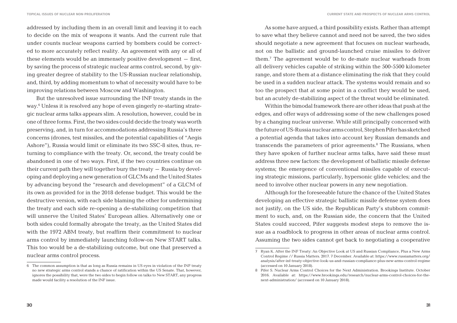addressed by including them in an overall limit and leaving it to each to decide on the mix of weapons it wants. And the current rule that under counts nuclear weapons carried by bombers could be corrected to more accurately reflect reality. An agreement with any or all of these elements would be an immensely positive development – first, by saving the process of strategic nuclear arms control, second, by giving greater degree of stability to the US-Russian nuclear relationship, and, third, by adding momentum to what of necessity would have to be improving relations between Moscow and Washington.

But the unresolved issue surrounding the INF treaty stands in the way.6 Unless it is resolved any hope of even gingerly re-starting strategic nuclear arms talks appears slim. A resolution, however, could be in one of three forms. First, the two sides could decide the treaty was worth preserving, and, in turn for accommodations addressing Russia's three concerns (drones, test missiles, and the potential capabilities of "Aegis Ashore"), Russia would limit or eliminate its two SSC-8 sites, thus, returning to compliance with the treaty. Or, second, the treaty could be abandoned in one of two ways. First, if the two countries continue on their current path they will together bury the treaty – Russia by developing and deploying a new generation of GLCMs and the United States by advancing beyond the "research and development" of a GLCM of its own as provided for in the 2018 defense budget. This would be the destructive version, with each side blaming the other for undermining the treaty and each side re-opening a de-stabilizing competition that will unnerve the United States' European allies. Alternatively one or both sides could formally abrogate the treaty, as the United States did with the 1972 ABM treaty, but reaffirm their commitment to nuclear arms control by immediately launching follow-on New START talks. This too would be a de-stabilizing outcome, but one that preserved a nuclear arms control process.

As some have argued, a third possibility exists. Rather than attempt to save what they believe cannot and need not be saved, the two sides should negotiate a new agreement that focuses on nuclear warheads, not on the ballistic and ground-launched cruise missiles to deliver them.7 The agreement would be to de-mate nuclear warheads from all delivery vehicles capable of striking within the 500-5500 kilometer range, and store them at a distance eliminating the risk that they could be used in a sudden nuclear attack. The systems would remain and so too the prospect that at some point in a conflict they would be used, but an acutely de-stabilizing aspect of the threat would be eliminated.

Within the bimodal framework there are other ideas that push at the edges, and offer ways of addressing some of the new challenges posed by a changing nuclear universe. While still principally concerned with the future of US-Russia nuclear arms control, Stephen Pifer has sketched a potential agenda that takes into account key Russian demands and transcends the parameters of prior agreements.<sup>8</sup> The Russians, when they have spoken of further nuclear arms talks, have said these must address three new factors: the development of ballistic missile defense systems; the emergence of conventional missiles capable of executing strategic missions, particularly, hypersonic glide vehicles; and the need to involve other nuclear powers in any new negotiation.

Although for the foreseeable future the chance of the United States developing an effective strategic ballistic missile defense system does not justify, on the US side, the Republican Party's stubborn commitment to such, and, on the Russian side, the concern that the United States could succeed, Pifer suggests modest steps to remove the issue as a roadblock to progress in other areas of nuclear arms control. Assuming the two sides cannot get back to negotiating a cooperative

<sup>6</sup> The common assumption is that as long as Russia remains in US eyes in violation of the INF treaty no new strategic arms control stands a chance of ratification within the US Senate. That, however, ignores the possibility that, were the two sides to begin follow on talks to New START, any progress made would facility a resolution of the INF issue.

<sup>7</sup> Ryan K. After the INF Treaty: An Objective Look at US and Russian Compliance, Plus a New Arms Control Regime // Russia Matters. 2017. 7 December. Available at: https://www.russiamatters.org/ analysis/after-inf-treaty-objective-look-us-and-russian-compliance-plus-new-arms-control-regime (accessed on 10 January 2018).

<sup>8</sup> Pifer S. Nuclear Arms Control Choices for the Next Administration. Brookings Institute. October 2016. Available at: https://www.brookings.edu/research/nuclear-arms-control-choices-for-thenext-administration/ (accessed on 10 January 2018).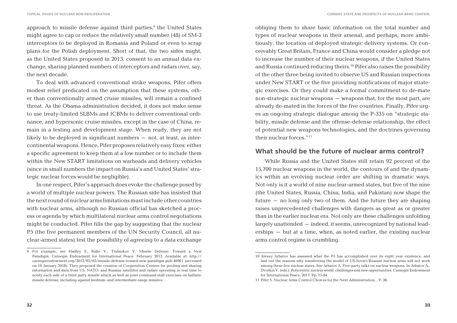#### **CURRENT STATE AND PROSPECTS OF NUCLEAR ARMS CONTROL**

#### **TOPICAL ISSUES OF NUCLEAR NON-PROLIFERATION**

approach to missile defense against third parties,<sup>9</sup> the United States might agree to cap or reduce the relatively small number (48) of SM-3 interceptors to be deployed in Romania and Poland or even to scrap plans for the Polish deployment. Short of that, the two sides might, as the United States proposed in 2013, consent to an annual data exchange, sharing planned numbers of interceptors and radars over, say, the next decade.

To deal with advanced conventional strike weapons, Pifer offers modest relief predicated on the assumption that these systems, other than conventionally armed cruise missiles, will remain a confined threat. As the Obama administration decided, it does not make sense to use treaty-limited SLBMs and ICBMs to deliver conventional ordinance, and hypersonic cruise missiles, except in the case of China, remain in a testing and development stage. When ready, they are not likely to be deployed in significant numbers  $-$  not, at least, as intercontinental weapons. Hence, Pifer proposes relatively easy fixes: either a specific agreement to keep them at a low number or to include them within the New START limitations on warheads and delivery vehicles (since in small numbers the impact on Russia's and United States' strategic nuclear forces would be negligible).

In one respect, Pifer's approach does evoke the challenge posed by a world of multiple nuclear powers. The Russian side has insisted that the next round of nuclear arms limitations must include other countries with nuclear arms, although no Russian official has sketched a process or agenda by which multilateral nuclear arms control negotiations might be conducted. Pifer fills the gap by suggesting that the nuclear P5 (the five permanent members of the UN Security Council, all nuclear-armed states) test the possibility of agreeing to a data exchange obliging them to share basic information on the total number and types of nuclear weapons in their arsenal, and perhaps, more ambitiously, the location of deployed strategic delivery systems. Or conceivably Great Britain, France and China would consider a pledge not to increase the number of their nuclear weapons, if the United States and Russia continued reducing theirs.10 Pifer also raises the possibility of the other three being invited to observe US and Russian inspections under New START or the five providing notifications of major strategic exercises. Or they could make a formal commitment to de-mate non-strategic nuclear weapons – weapons that, for the most part, are already de-mated in the forces of the five countries. Finally, Pifer urges an ongoing strategic dialogue among the P-335 on "strategic stability, missile defense and the offense-defense relationship, the effect of potential new weapons technologies, and the doctrines governing their nuclear forces."11

#### **What should be the future of nuclear arms control?**

While Russia and the United States still retain 92 percent of the 15,700 nuclear weapons in the world, the contours of and the dynamics within an evolving nuclear order are shifting in dramatic ways. Not only is it a world of nine nuclear-armed states, but five of the nine (the United States, Russia, China, India, and Pakistan) now shape the future – no long only two of them. And the future they are shaping raises unprecedented challenges with dangers as great as or greater than in the earlier nuclear era. Not only are these challenges unfolding largely unattended – indeed, it seems, unrecognized by national leaderships – but at a time, when, as noted earlier, the existing nuclear arms control regime is crumbling.

<sup>9</sup> For example, see Hadley S., Rühe V., Trubnikov V. Missile Defense: Toward a New Paradigm. Carnegie Endowment for International Peace. February 2012. Available at: http:// carnegieendowment.org/2012/02/03/missile-defense-toward-new-paradigm-pub-46961 (accessed on 10 January 2018). They proposed the creation of Cooperation Centers for pooling and sharing information and data from US, NATO, and Russian satellites and radars operating in real time to notify each side of a third party missile attack as well as joint command-staff exercises on ballistic missile defense, including against medium- and intermediate-range missiles.

<sup>10</sup> Alexey Arbatov has assessed what the P5 has accomplished over its eight year existence, and laid out the reasons why transferring the model of US-Soviet/Russian nuclear arms will not work among these five nuclear states. See Arbatov A. Five-party talks on nuclear weapons. In Arbatov A., Dvorkin V. (eds.). *Polycentric nuclear world: challenges and new opportunities.* Carnegie Endowment for International Peace, 2017. Pp. 75-84.

<sup>11</sup> Pifer S. Nuclear Arms Control Choices for the Next Administration… P. 38.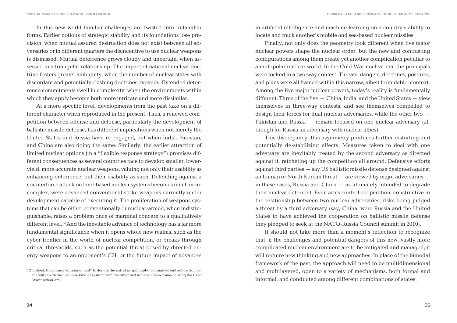In this new world familiar challenges are twisted into unfamiliar forms. Earlier notions of strategic stability and its foundations lose precision, when mutual assured destruction does not exist between all adversaries or in different quarters the disincentive to use nuclear weapons is dismissed. Mutual deterrence grows cloudy and uncertain, when assessed in a triangular relationship. The impact of national nuclear doctrine fosters greater ambiguity, when the number of nuclear states with discordant and potentially clashing doctrines expands. Extended deterrence commitments swell in complexity, when the environments within which they apply become both more intricate and more dissimilar.

At a more specific level, developments from the past take on a different character when reproduced in the present. Thus, a renewed competition between offense and defense, particularly the development of ballistic missile defense, has different implications when not merely the United States and Russia have re-engaged, but when India, Pakistan, and China are also doing the same. Similarly, the earlier attraction of limited nuclear options (in a "flexible response strategy") promises different consequences as several countries race to develop smaller, loweryield, more accurate nuclear weapons, valuing not only their usability as enhancing deterrence, but their usability as such. Defending against a counterforce attack on land-based nuclear systems becomes much more complex, were advanced conventional strike weapons currently under development capable of executing it. The proliferation of weapons systems that can be either conventionally or nuclear-armed, when indistinguishable, raises a problem once of marginal concern to a qualitatively different level.<sup>12</sup> And the inevitable advance of technology has a far more fundamental significance when it opens whole new realms, such as the cyber frontier in the world of nuclear competition, or breaks through critical thresholds, such as the potential threat posed by directed energy weapons to an opponent's C3I, or the future impact of advances

in artificial intelligence and machine learning on a country's ability to locate and track another's mobile and sea-based nuclear missiles.

Finally, not only does the geometry look different when five major nuclear powers shape the nuclear order, but the new and contrasting configurations among them create yet another complication peculiar to a multipolar nuclear world. In the Cold War nuclear era, the principals were locked in a two-way contest. Threats, dangers, doctrines, postures, and plans were all framed within this narrow, albeit formidable, context. Among the five major nuclear powers, today's reality is fundamentally different. Three of the five – China, India, and the United States – view themselves in three-way contests, and see themselves compelled to design their forces for dual nuclear adversaries, while the other two – Pakistan and Russia – remain focused on one nuclear adversary (although for Russia an adversary with nuclear allies).

This discrepancy, this asymmetry produces further distorting and potentially de-stabilizing effects. Measures taken to deal with one adversary are inevitably treated by the second adversary as directed against it, ratcheting up the competition all around. Defensive efforts against third parties – say US ballistic missile defense designed against an Iranian or North Korean threat – are viewed by major adversaries – in these cases, Russia and China – as ultimately intended to degrade their nuclear deterrent. Even arms control cooperation, constructive in the relationship between two nuclear adversaries, risks being judged a threat by a third adversary (say, China, were Russia and the United States to have achieved the cooperation on ballistic missile defense they pledged to seek at the NATO-Russia Council summit in 2010).

It should not take more than a moment's reflection to recognize that, if the challenges and potential dangers of this new, vastly more complicated nuclear environment are to be mitigated and managed, it will require new thinking and new approaches. In place of the bimodal framework of the past, the approach will need to be multidimensional and multilayered, open to a variety of mechanisms, both formal and informal, and conducted among different combinations of states.

<sup>12</sup> Indeed, the phrase "entanglement" to denote the risk of misperception or inadvertent action from an inability to distinguish one kind of system from the other had not even been coined during the Cold War nuclear era.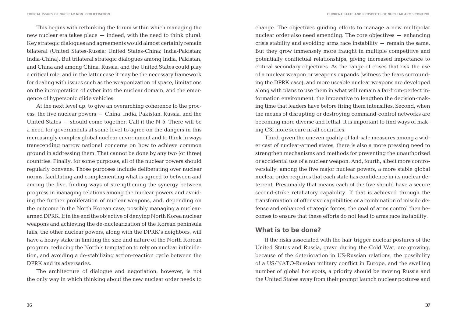This begins with rethinking the forum within which managing the new nuclear era takes place – indeed, with the need to think plural. Key strategic dialogues and agreements would almost certainly remain bilateral (United States-Russia; United States-China; India-Pakistan; India-China). But trilateral strategic dialogues among India, Pakistan, and China and among China, Russia, and the United States could play a critical role, and in the latter case it may be the necessary framework for dealing with issues such as the weaponization of space, limitations on the incorporation of cyber into the nuclear domain, and the emergence of hypersonic glide vehicles.

At the next level up, to give an overarching coherence to the process, the five nuclear powers – China, India, Pakistan, Russia, and the United States – should come together. Call it the N-5. There will be a need for governments at some level to agree on the dangers in this increasingly complex global nuclear environment and to think in ways transcending narrow national concerns on how to achieve common ground in addressing them. That cannot be done by any two (or three) countries. Finally, for some purposes, all of the nuclear powers should regularly convene. Those purposes include deliberating over nuclear norms, facilitating and complementing what is agreed to between and among the five, finding ways of strengthening the synergy between progress in managing relations among the nuclear powers and avoiding the further proliferation of nuclear weapons, and, depending on the outcome in the North Korean case, possibly managing a nucleararmed DPRK. If in the end the objective of denying North Korea nuclear weapons and achieving the de-nuclearization of the Korean peninsula fails, the other nuclear powers, along with the DPRK's neighbors, will have a heavy stake in limiting the size and nature of the North Korean program, reducing the North's temptation to rely on nuclear intimidation, and avoiding a de-stabilizing action-reaction cycle between the DPRK and its adversaries.

The architecture of dialogue and negotiation, however, is not the only way in which thinking about the new nuclear order needs to

change. The objectives guiding efforts to manage a new multipolar nuclear order also need amending. The core objectives – enhancing crisis stability and avoiding arms race instability – remain the same. But they grow immensely more fraught in multiple competitive and potentially conflictual relationships, giving increased importance to critical secondary objectives. As the range of crises that risk the use of a nuclear weapon or weapons expands (witness the fears surrounding the DPRK case), and more useable nuclear weapons are developed along with plans to use them in what will remain a far-from-perfect information environment, the imperative to lengthen the decision-making time that leaders have before firing them intensifies. Second, when the means of disrupting or destroying command-control networks are becoming more diverse and lethal, it is important to find ways of making C3I more secure in all countries.

Third, given the uneven quality of fail-safe measures among a wider cast of nuclear-armed states, there is also a more pressing need to strengthen mechanisms and methods for preventing the unauthorized or accidental use of a nuclear weapon. And, fourth, albeit more controversially, among the five major nuclear powers, a more stable global nuclear order requires that each state has confidence in its nuclear deterrent. Presumably that means each of the five should have a secure second-strike retaliatory capability. If that is achieved through the transformation of offensive capabilities or a combination of missile defense and enhanced strategic forces, the goal of arms control then becomes to ensure that these efforts do not lead to arms race instability.

#### **What is to be done?**

If the risks associated with the hair-trigger nuclear postures of the United States and Russia, grave during the Cold War, are growing, because of the deterioration in US-Russian relations, the possibility of a US/NATO-Russian military conflict in Europe, and the swelling number of global hot spots, a priority should be moving Russia and the United States away from their prompt launch nuclear postures and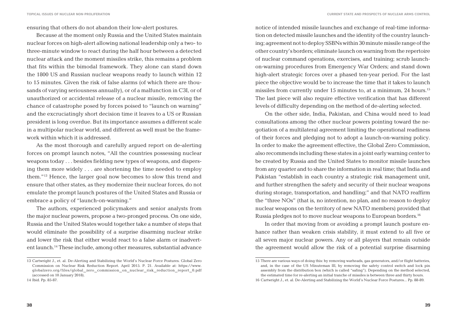ensuring that others do not abandon their low-alert postures.

Because at the moment only Russia and the United States maintain nuclear forces on high-alert allowing national leadership only a two- to three-minute window to react during the half hour between a detected nuclear attack and the moment missiles strike, this remains a problem that fits within the bimodal framework. They alone can stand down the 1800 US and Russian nuclear weapons ready to launch within 12 to 15 minutes. Given the risk of false alarms (of which there are thousands of varying seriousness annually), or of a malfunction in C3I, or of unauthorized or accidental release of a nuclear missile, removing the chance of catastrophe posed by forces poised to "launch on warning" and the excruciatingly short decision time it leaves to a US or Russian president is long overdue. But its importance assumes a different scale in a multipolar nuclear world, and different as well must be the framework within which it is addressed.

As the most thorough and carefully argued report on de-alerting forces on prompt launch notes, "All the countries possessing nuclear weapons today . . . besides fielding new types of weapons, and dispersing them more widely . . . are shortening the time needed to employ them."13 Hence, the larger goal now becomes to slow this trend and ensure that other states, as they modernize their nuclear forces, do not emulate the prompt launch postures of the United States and Russia or embrace a policy of "launch-on-warning."

The authors, experienced policymakers and senior analysts from the major nuclear powers, propose a two-pronged process. On one side, Russia and the United States would together take a number of steps that would eliminate the possibility of a surprise disarming nuclear strike and lower the risk that either would react to a false alarm or inadvertent launch.14 These include, among other measures, substantial advance notice of intended missile launches and exchange of real-time information on detected missile launches and the identity of the country launching; agreement not to deploy SSBNs within 30 minute missile range of the other country's borders; eliminate launch on warning from the repertoire of nuclear command operations, exercises, and training; scrub launchon-warning procedures from Emergency War Orders; and stand down high-alert strategic forces over a phased ten-year period. For the last piece the objective would be to increase the time that it takes to launch missiles from currently under 15 minutes to, at a minimum, 24 hours.<sup>15</sup> The last piece will also require effective verification that has different levels of difficulty depending on the method of de-alerting selected.

On the other side, India, Pakistan, and China would need to lead consultations among the other nuclear powers pointing toward the negotiation of a multilateral agreement limiting the operational readiness of their forces and pledging not to adopt a launch-on-warning policy. In order to make the agreement effective, the Global Zero Commission, also recommends including these states in a joint early warning center to be created by Russia and the United States to monitor missile launches from any quarter and to share the information in real time; that India and Pakistan "establish in each country a strategic risk management unit, and further strengthen the safety and security of their nuclear weapons during storage, transportation, and handling;" and that NATO reaffirm the "three NOs" (that is, no intention, no plan, and no reason to deploy nuclear weapons on the territory of new NATO members) provided that Russia pledges not to move nuclear weapons to European borders.16

In order that moving from or avoiding a prompt launch posture enhance rather than weaken crisis stability, it must extend to all five or all seven major nuclear powers. Any or all players that remain outside the agreement would allow the risk of a potential surprise disarming

<sup>13</sup> Cartwright J., et. al. De-Alerting and Stabilizing the World's Nuclear Force Postures. Global Zero Commission on Nuclear Risk Reduction Report. April 2015. P. 21. Available at: https://www. globalzero.org/files/global\_zero\_commission\_on\_nuclear\_risk\_reduction\_report\_0.pdf (accessed on 10 January 2018).

<sup>14</sup> Ibid. Pp. 85-87.

<sup>15</sup> There are various ways of doing this: by removing warheads, gas generators, and/or flight batteries, and, in the case of the US Minuteman III, by removing the safety control switch and lock pin assembly from the distribution box (which is called "safing"). Depending on the method selected, the estimated time for re-alerting an initial tranche of missiles is between three and thirty hours.

<sup>16</sup> Cartwright J., et. al. De-Alerting and Stabilizing the World's Nuclear Force Postures... Pp. 88-89.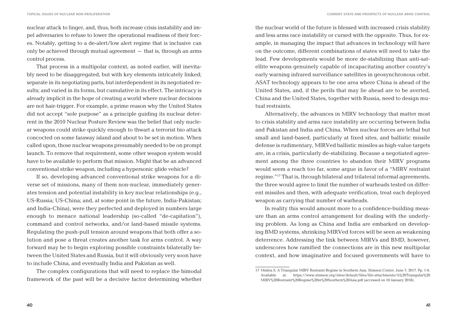nuclear attack to linger, and, thus, both increase crisis instability and impel adversaries to refuse to lower the operational readiness of their forces. Notably, getting to a de-alert/low alert regime that is inclusive can only be achieved through mutual agreement – that is, through an arms control process.

That process in a multipolar context, as noted earlier, will inevitably need to be disaggregated, but with key elements intricately linked; separate in its negotiating parts, but interdependent in its negotiated results; and varied in its forms, but cumulative in its effect. The intricacy is already implicit in the hope of creating a world where nuclear decisions are not hair-trigger. For example, a prime reason why the United States did not accept "sole purpose" as a principle guiding its nuclear deterrent in the 2010 Nuclear Posture Review was the belief that only nuclear weapons could strike quickly enough to thwart a terrorist bio attack concocted on some faraway island and about to be set in motion. When called upon, those nuclear weapons presumably needed to be on prompt launch. To remove that requirement, some other weapon system would have to be available to perform that mission. Might that be an advanced conventional strike weapon, including a hypersonic glide vehicle?

If so, developing advanced conventional strike weapons for a diverse set of missions, many of them non-nuclear, immediately generates tension and potential instability in key nuclear relationships (e.g., US-Russia; US-China; and, at some point in the future, India-Pakistan; and India-China), were they perfected and deployed in numbers large enough to menace national leadership (so-called "de-capitation"), command and control networks, and/or land-based missile systems. Regulating the push-pull tension around weapons that both offer a solution and pose a threat creates another task for arms control. A way forward may be to begin exploring possible constraints bilaterally between the United States and Russia, but it will obviously very soon have to include China, and eventually India and Pakistan as well.

The complex configurations that will need to replace the bimodal framework of the past will be a decisive factor determining whether the nuclear world of the future is blessed with increased crisis stability and less arms race instability or cursed with the opposite. Thus, for example, in managing the impact that advances in technology will have on the outcome, different combinations of states will need to take the lead. Few developments would be more de-stabilizing than anti-satellite weapons genuinely capable of incapacitating another country's early warning infrared surveillance satellites in geosynchronous orbit. ASAT technology appears to be one area where China is ahead of the United States, and, if the perils that may lie ahead are to be averted, China and the United States, together with Russia, need to design mutual restraints.

Alternatively, the advances in MIRV technology that matter most to crisis stability and arms race instability are occurring between India and Pakistan and India and China. When nuclear forces are lethal but small and land-based, particularly at fixed sites, and ballistic missile defense is rudimentary, MIRVed ballistic missiles as high-value targets are, in a crisis, particularly de-stabilizing. Because a negotiated agreement among the three countries to abandon their MIRV programs would seem a reach too far, some argue in favor of a "MIRV restraint regime."17 That is, through bilateral and trilateral informal agreements, the three would agree to limit the number of warheads tested on different missiles and then, with adequate verification, treat each deployed weapon as carrying that number of warheads.

In reality this would amount more to a confidence-building measure than an arms control arrangement for dealing with the underlying problem. As long as China and India are embarked on developing BMD systems, shrinking MIRVed forces will be seen as weakening deterrence. Addressing the link between MIRVs and BMD, however, underscores how ramified the connections are in this new multipolar context, and how imaginative and focused governments will have to

<sup>17</sup> Mishra S. A Triangular MIRV Restraint Regime in Southern Asia. Stimson Center. June 7, 2017. Pp. 1-6. Available at: https://www.stimson.org/sites/default/files/file-attachments/A%20Triangular%20 MIRV%20Restraint%20Regime%20in%20Southern%20Asia.pdf (accessed on 10 January 2018).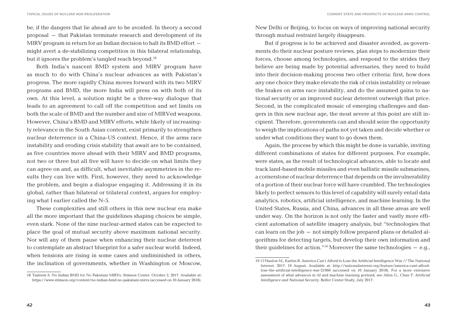be, if the dangers that lie ahead are to be avoided. In theory a second proposal – that Pakistan terminate research and development of its MIRV program in return for an Indian decision to halt its BMD effort – might avert a de-stabilizing competition in this bilateral relationship, but it ignores the problem's tangled reach beyond.<sup>18</sup>

Both India's nascent BMD system and MIRV program have as much to do with China's nuclear advances as with Pakistan's progress. The more rapidly China moves forward with its two MIRV programs and BMD, the more India will press on with both of its own. At this level, a solution might be a three-way dialogue that leads to an agreement to call off the competition and set limits on both the scale of BMD and the number and size of MIRVed weapons. However, China's BMD and MIRV efforts, while likely of increasingly relevance in the South Asian context, exist primarily to strengthen nuclear deterrence in a China-US context. Hence, if the arms race instability and eroding crisis stability that await are to be contained, as five countries move ahead with their MIRV and BMD programs, not two or three but all five will have to decide on what limits they can agree on and, as difficult, what inevitable asymmetries in the results they can live with. First, however, they need to acknowledge the problem, and begin a dialogue engaging it. Addressing it in its global, rather than bilateral or trilateral context, argues for employing what I earlier called the N-5.

These complexities and still others in this new nuclear era make all the more important that the guidelines shaping choices be simple, even stark. None of the nine nuclear-armed states can be expected to place the goal of mutual security above maximum national security. Nor will any of them pause when enhancing their nuclear deterrent to contemplate an abstract blueprint for a safer nuclear world. Indeed, when tensions are rising in some cases and undiminished in others, the inclination of governments, whether in Washington or Moscow,

New Delhi or Beijing, to focus on ways of improving national security through mutual restraint largely disappears.

But if progress is to be achieved and disaster avoided, as governments do their nuclear posture reviews, plan steps to modernize their forces, choose among technologies, and respond to the strides they believe are being made by potential adversaries, they need to build into their decision-making process two other criteria: first, how does any one choice they make elevate the risk of crisis instability or release the brakes on arms race instability, and do the assumed gains to national security or an improved nuclear deterrent outweigh that price. Second, in the complicated mosaic of emerging challenges and dangers in this new nuclear age, the most severe at this point are still incipient. Therefore, governments can and should seize the opportunity to weigh the implications of paths not yet taken and decide whether or under what conditions they want to go down them.

Again, the process by which this might be done is variable, inviting different combinations of states for different purposes. For example, were states, as the result of technological advances, able to locate and track land-based mobile missiles and even ballistic missile submarines, a cornerstone of nuclear deterrence that depends on the invulnerability of a portion of their nuclear force will have crumbled. The technologies likely to perfect sensors to this level of capability will surely entail data analytics, robotics, artificial intelligence, and machine learning. In the United States, Russia, and China, advances in all these areas are well under way. On the horizon is not only the faster and vastly more efficient automation of satellite imagery analysis, but "technologies that can learn on the job – not simply follow prepared plans or detailed algorithms for detecting targets, but develop their own information and their quidelines for action."<sup>19</sup> Moreover the same technologies  $-$  e.g.,

<sup>18</sup> Tasleem S. No Indian BMD for No Pakistani MIRVs. Stimson Center. October 2, 2017. Available at: https://www.stimson.org/content/no-indian-bmd-no-pakistani-mirvs (accessed on 10 January 2018).

<sup>19</sup> O'Hanlon M., Karlen R. America Can't Afford to Lose the Artificial Intelligence War // The National Interest. 2017. 19 August. Available at: http://nationalinterest.org/feature/america-cant-affordlose-the-artificial-intelligence-war-21960 (accessed on 10 January 2018). For a more extensive assessment of what advances in AI and machine learning portend, see Allen G., Chan T. *Artificial Intelligence and National Security*. Belfer Center Study, July 2017.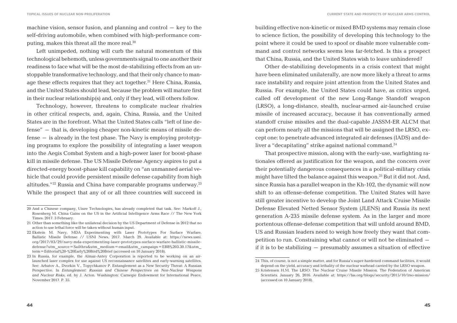machine vision, sensor fusion, and planning and control  $-$  key to the self-driving automobile, when combined with high-performance computing, makes this threat all the more real.<sup>20</sup>

Left unimpeded, nothing will curb the natural momentum of this technological behemoth, unless governments signal to one another their readiness to face what will be the most de-stabilizing effects from an unstoppable transformative technology, and that their only chance to manage these effects requires that they act together.<sup>21</sup> Here China, Russia, and the United States should lead, because the problem will mature first in their nuclear relationship(s) and, only if they lead, will others follow.

Technology, however, threatens to complicate nuclear rivalries in other critical respects, and, again, China, Russia, and the United States are in the forefront. What the United States calls "left of line defense" – that is, developing cheaper non-kinetic means of missile defense – is already in the test phase. The Navy is employing prototyping programs to explore the possibility of integrating a laser weapon into the Aegis Combat System and a high-power laser for boost-phase kill in missile defense. The US Missile Defense Agency aspires to put a directed-energy boost-phase kill capability on "an unmanned aerial vehicle that could provide persistent missile defense capability from high altitudes."<sup>22</sup> Russia and China have comparable programs underway.<sup>23</sup> While the prospect that any of or all three countries will succeed in

building effective non-kinetic or mixed BMD systems may remain close to science fiction, the possibility of developing this technology to the point where it could be used to spoof or disable more vulnerable command and control networks seems less far-fetched. Is this a prospect that China, Russia, and the United States wish to leave unhindered?

Other de-stabilizing developments in a crisis context that might have been eliminated unilaterally, are now more likely a threat to arms race instability and require joint attention from the United States and Russia. For example, the United States could have, as critics urged, called off development of the new Long-Range Standoff weapon (LRSO), a long-distance, stealth, nuclear-armed air-launched cruise missile of increased accuracy, because it has conventionally armed standoff cruise missiles and the dual-capable JASSM-ER ALCM that can perform nearly all the missions that will be assigned the LRSO, except one: to penetrate advanced integrated air defenses (IADS) and deliver a "decapitating" strike against national command.<sup>24</sup>

That prospective mission, along with the early-use, warfighting rationales offered as justification for the weapon, and the concern over their potentially dangerous consequences in a political-military crisis might have tilted the balance against this weapon.25 But it did not. And, since Russia has a parallel weapon in the Kh-102, the dynamic will now shift to an offense-defense competition. The United States will have still greater incentive to develop the Joint Land Attack Cruise Missile Defense Elevated Netted Sensor System (JLENS) and Russia its next generation A-235 missile defense system. As in the larger and more portentous offense-defense competition that will unfold around BMD, US and Russian leaders need to weigh how freely they want that competition to run. Constraining what cannot or will not be eliminated – if it is to be stabilizing  $-$  presumably assumes a situation of effective

<sup>20</sup> And a Chinese company, Uisee Technologies, has already completed that task. See: Markoff J., Rosenberg M. China Gains on the US in the Artificial Intelligence Arms Race // The New York Times. 2017. 3 February.

<sup>21</sup> Other than something like the unilateral decision by the US Department of Defense in 2012 that no action to use lethal force will be taken without human input.

<sup>22</sup> Ekstein M. Navy, MDA Experimenting with Laser Prototypes For Surface Warfare, Ballistic Missile Defense // USNI News. 2017. March 29. Available at: https://news.usni. org/2017/03/29/navy-mda-experimenting-laser-prototypes-surface-warfare-ballistic-missiledefense?utm\_source=Sailthru&utm\_medium=email&utm\_campaign=EBB%203.30.17&utm\_ term=Editorial%20-%20Early%20Bird%20Brief (accessed on 10 January 2018).

<sup>23</sup> In Russia, for example, the Almaz-Antey Corporation is reported to be working on an airlaunched laser complex for use against US reconnaissance satellites and early-warning satellites. See: Arbatov A., Dvorkin V., Topychkanov P. Entanglement as a New Security Threat: A Russian Perspective. In *Entanglement: Russian and Chinese Perspectives on Non-Nuclear Weapons and Nuclear Risks*, ed. by J. Acton. Washington: Carnegie Endowment for International Peace, November 2017. P. 35.

<sup>24</sup> This, of course, is not a simple matter, and for Russia's super-hardened command facilities, it would depend on the yield, accuracy and lethality of the nuclear warhead carried by the LRSO weapon.

<sup>25</sup> Kristensen H.M. The LRSO: The Nuclear Cruise Missile Mission. The Federation of American Scientists. January 26, 2016. Available at: https://fas.org/blogs/security/2015/10/lrso-mission/ (accessed on 10 January 2018).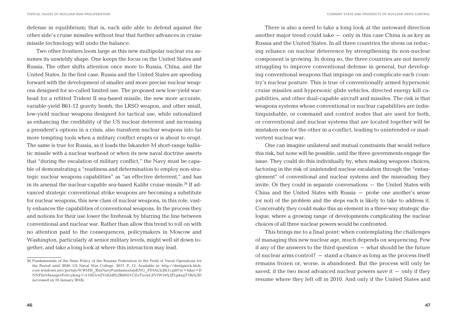defense in equilibrium; that is, each side able to defend against the other side's cruise missiles without fear that further advances in cruise missile technology will undo the balance.

Two other frontiers loom large as this new multipolar nuclear era assumes its unwieldy shape. One keeps the focus on the United States and Russia. The other shifts attention once more to Russia, China, and the United States. In the first case, Russia and the United States are speeding forward with the development of smaller and more precise nuclear weapons designed for so-called limited use. The proposed new low-yield warhead for a refitted Trident II sea-based missile, the new more accurate, variable-yield B61-12 gravity bomb, the LRSO weapon, and other small, low-yield nuclear weapons designed for tactical use, while rationalized as enhancing the credibility of the US nuclear deterrent and increasing a president's options in a crisis, also transform nuclear weapons into far more tempting tools when a military conflict erupts or is about to erupt. The same is true for Russia, as it loads the Iskander-M short-range ballistic missile with a nuclear warhead or when its new naval doctrine asserts that "during the escalation of military conflict," the Navy must be capable of demonstrating a "readiness and determination to employ non-strategic nuclear weapons capabilities" as "an effective deterrent," and has in its arsenal the nuclear-capable sea-based Kalibr cruise missile.<sup>26</sup> If advanced strategic conventional strike weapons are becoming a substitute for nuclear weapons, this new class of nuclear weapons, in this role, vastly enhances the capabilities of conventional weapons. In the process they and notions for their use lower the firebreak by blurring the line between conventional and nuclear war. Rather than allow this trend to roll on with no attention paid to the consequences, policymakers in Moscow and Washington, particularly at senior military levels, might well sit down together, and take a long look at where this interaction may lead.

There is also a need to take a long look at the untoward direction another major trend could take  $-$  only in this case China is as key as Russia and the United States. In all three countries the stress on reducing reliance on nuclear deterrence by strengthening its non-nuclear component is growing. In doing so, the three countries are not merely struggling to improve conventional defense in general, but developing conventional weapons that impinge on and complicate each country's nuclear posture. This is true of conventionally armed hypersonic cruise missiles and hypersonic glide vehicles, directed energy kill capabilities, and other dual-capable aircraft and missiles. The risk is that weapons systems whose conventional or nuclear capabilities are indistinguishable, or command and control nodes that are used for both, or conventional and nuclear systems that are located together will be mistaken one for the other in a conflict, leading to unintended or inadvertent nuclear war.

One can imagine unilateral and mutual constraints that would reduce this risk, but none will be possible, until the three governments engage the issue. They could do this individually by, when making weapons choices, factoring in the risk of unintended nuclear escalation through the "entanglement" of conventional and nuclear systems and the misreading they invite. Or they could in separate conversations – the United States with China and the United States with Russia – probe one another's sense (or not) of the problem and the steps each is likely to take to address it. Conceivably they could make this an element in a three-way strategic dialogue, where a growing range of developments complicating the nuclear choices of all three nuclear powers would be confronted.

This brings me to a final point: when contemplating the challenges of managing this new nuclear age, much depends on sequencing. Few if any of the answers to the third question  $-$  what should be the future of nuclear arms control? – stand a chance as long as the process itself remains frozen or, worse, is abandoned. But the process will only be saved, if the two most advanced nuclear powers save it  $-$  only if they resume where they left off in 2010. And only if the United States and

<sup>26</sup> Fundamentals of the State Policy of the Russian Federation in the Field of Naval Operations for the Period until 2030. US Naval War College. 2017. P. 12. Available at: http://dnnlgwick.blob. core.windows.net/portals/0/RMSI\_RusNavyFundamentalsENG\_FINAL%20(1).pdf?sr=b&si=D NNFileManagerPolicy&sig=i110Z1rxZVzKbB%2BdHJ1CZuTxvwL3N7W34%2FLpksgT1Bs%3D (accessed on 10 January 2018).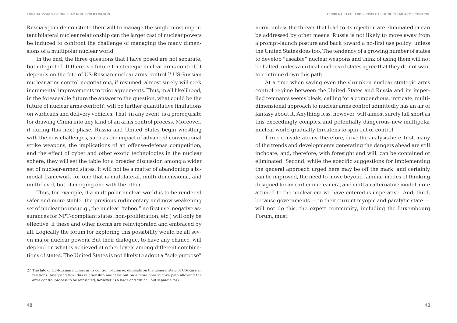Russia again demonstrate their will to manage the single most important bilateral nuclear relationship can the larger cast of nuclear powers be induced to confront the challenge of managing the many dimensions of a multipolar nuclear world.

In the end, the three questions that I have posed are not separate, but integrated. If there is a future for strategic nuclear arms control, it depends on the fate of US-Russian nuclear arms control.<sup>27</sup> US-Russian nuclear arms control negotiations, if resumed, almost surely will seek incremental improvements to prior agreements. Thus, in all likelihood, in the foreseeable future the answer to the question, what could be the future of nuclear arms control?, will be further quantitative limitations on warheads and delivery vehicles. That, in any event, is a prerequisite for drawing China into any kind of an arms control process. Moreover, if during this next phase, Russia and United States begin wrestling with the new challenges, such as the impact of advanced conventional strike weapons, the implications of an offense-defense competition, and the effect of cyber and other exotic technologies in the nuclear sphere, they will set the table for a broader discussion among a wider set of nuclear-armed states. It will not be a matter of abandoning a bimodal framework for one that is multilateral, multi-dimensional, and multi-level, but of merging one with the other.

Thus, for example, if a multipolar nuclear world is to be rendered safer and more stable, the previous rudimentary and now weakening set of nuclear norms (e.g., the nuclear "taboo," no first use, negative assurances for NPT-compliant states, non-proliferation, etc.) will only be effective, if these and other norms are reinvigorated and embraced by all. Logically the forum for exploring this possibility would be all seven major nuclear powers. But their dialogue, to have any chance, will depend on what is achieved at other levels among different combinations of states. The United States is not likely to adopt a "sole purpose"

norm, unless the threats that lead to its rejection are eliminated or can be addressed by other means. Russia is not likely to move away from a prompt-launch posture and back toward a no-first use policy, unless the United States does too. The tendency of a growing number of states to develop "useable" nuclear weapons and think of using them will not be halted, unless a critical nucleus of states agree that they do not want to continue down this path.

At a time when saving even the shrunken nuclear strategic arms control regime between the United States and Russia and its imperiled remnants seems bleak, calling for a compendious, intricate, multidimensional approach to nuclear arms control admittedly has an air of fantasy about it. Anything less, however, will almost surely fall short as this exceedingly complex and potentially dangerous new multipolar nuclear world gradually threatens to spin out of control.

Three considerations, therefore, drive the analysis here: first, many of the trends and developments generating the dangers ahead are still inchoate, and, therefore, with foresight and will, can be contained or eliminated. Second, while the specific suggestions for implementing the general approach urged here may be off the mark, and certainly can be improved, the need to move beyond familiar modes of thinking designed for an earlier nuclear era, and craft an alternative model more attuned to the nuclear era we have entered is imperative. And, third, because governments – in their current myopic and paralytic state – will not do this, the expert community, including the Luxembourg Forum, must.

<sup>27</sup> The fate of US-Russian nuclear arms control, of course, depends on the general state of US-Russian relations. Analyzing how this relationship might be put on a more constructive path allowing the arms control process to be reinstated, however, is a large and critical, but separate task.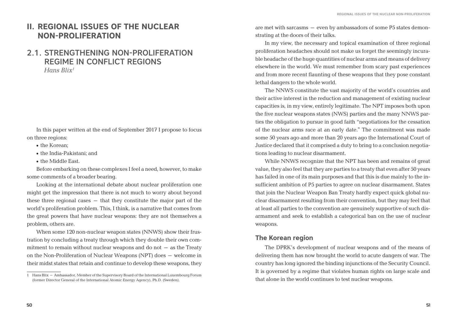### **II. REGIONAL ISSUES OF THE NUCLEAR NON-PROLIFERATION**

#### 2.1. STRENGTHENING NON-PROLIFERATION REGIME IN CONFLICT REGIONS *Hans Blix1*

In this paper written at the end of September 2017 I propose to focus on three regions:

- the Korean:
- the India-Pakistani: and
- the Middle East.

Before embarking on these complexes I feel a need, however, to make some comments of a broader bearing.

Looking at the international debate about nuclear proliferation one might get the impression that there is not much to worry about beyond these three regional cases – that they constitute the major part of the world's proliferation problem. This, I think, is a narrative that comes from the great powers that have nuclear weapons: they are not themselves a problem, others are.

When some 120 non-nuclear weapon states (NNWS) show their frustration by concluding a treaty through which they double their own commitment to remain without nuclear weapons and do not  $-$  as the Treaty on the Non-Proliferation of Nuclear Weapons (NPT) does – welcome in their midst states that retain and continue to develop these weapons, they are met with sarcasms – even by ambassadors of some P5 states demonstrating at the doors of their talks.

In my view, the necessary and topical examination of three regional proliferation headaches should not make us forget the seemingly incurable headache of the huge quantities of nuclear arms and means of delivery elsewhere in the world. We must remember from scary past experiences and from more recent flaunting of these weapons that they pose constant lethal dangers to the whole world.

The NNWS constitute the vast majority of the world's countries and their active interest in the reduction and management of existing nuclear capacities is, in my view, entirely legitimate. The NPT imposes both upon the five nuclear weapons states (NWS) parties and the many NNWS parties the obligation to pursue in good faith "negotiations for the cessation of the nuclear arms race at an early date." The commitment was made some 50 years ago and more than 20 years ago the International Court of Justice declared that it comprised a duty to bring to a conclusion negotiations leading to nuclear disarmament.

While NNWS recognize that the NPT has been and remains of great value, they also feel that they are parties to a treaty that even after 50 years has failed in one of its main purposes and that this is due mainly to the insufficient ambition of P5 parties to agree on nuclear disarmament. States that join the Nuclear Weapon Ban Treaty hardly expect quick global nuclear disarmament resulting from their convention, but they may feel that at least all parties to the convention are genuinely supportive of such disarmament and seek to establish a categorical ban on the use of nuclear weapons.

#### **The Korean region**

The DPRK's development of nuclear weapons and of the means of delivering them has now brought the world to acute dangers of war. The country has long ignored the binding injunctions of the Security Council. It is governed by a regime that violates human rights on large scale and that alone in the world continues to test nuclear weapons.

<sup>1</sup> Hans Blix – Ambassador, Member of the Supervisory Board of the International Luxembourg Forum (former Director General of the International Atomic Energy Agency), Ph.D. (Sweden).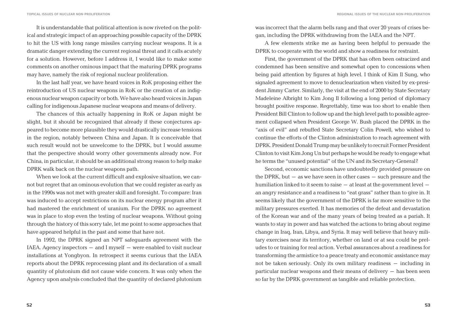It is understandable that political attention is now riveted on the political and strategic impact of an approaching possible capacity of the DPRK to hit the US with long range missiles carrying nuclear weapons. It is a dramatic danger extending the current regional threat and it calls acutely for a solution. However, before I address it, I would like to make some comments on another ominous impact that the maturing DPRK programs may have, namely the risk of regional nuclear proliferation.

In the last half year, we have heard voices in RoK proposing either the reintroduction of US nuclear weapons in RoK or the creation of an indigenous nuclear weapon capacity or both. We have also heard voices in Japan calling for indigenous Japanese nuclear weapons and means of delivery.

The chances of this actually happening in RoK or Japan might be slight, but it should be recognized that already if these conjectures appeared to become more plausible they would drastically increase tensions in the region, notably between China and Japan. It is conceivable that such result would not be unwelcome to the DPRK, but I would assume that the perspective should worry other governments already now. For China, in particular, it should be an additional strong reason to help make DPRK walk back on the nuclear weapons path.

When we look at the current difficult and explosive situation, we cannot but regret that an ominous evolution that we could register as early as in the 1990s was not met with greater skill and foresight. To compare: Iran was induced to accept restrictions on its nuclear energy program after it had mastered the enrichment of uranium. For the DPRK no agreement was in place to stop even the testing of nuclear weapons. Without going through the history of this sorry tale, let me point to some approaches that have appeared helpful in the past and some that have not.

In 1992, the DPRK signed an NPT safeguards agreement with the IAEA. Agency inspectors  $-$  and I myself  $-$  were enabled to visit nuclear installations at Yongbyon. In retrospect it seems curious that the IAEA reports about the DPRK reprocessing plant and its declaration of a small quantity of plutonium did not cause wide concern. It was only when the Agency upon analysis concluded that the quantity of declared plutonium was incorrect that the alarm bells rang and that over 20 years of crises began, including the DPRK withdrawing from the IAEA and the NPT.

A few elements strike me as having been helpful to persuade the DPRK to cooperate with the world and show a readiness for restraint.

First, the government of the DPRK that has often been ostracized and condemned has been sensitive and somewhat open to concessions when being paid attention by figures at high level. I think of Kim Il Sung, who signaled agreement to move to denuclearization when visited by ex-president Jimmy Carter. Similarly, the visit at the end of 2000 by State Secretary Madeleine Albright to Kim Jong Il following a long period of diplomacy brought positive response. Regrettably, time was too short to enable then President Bill Clinton to follow up and the high level path to possible agreement collapsed when President George W. Bush placed the DPRK in the "axis of evil" and rebuffed State Secretary Colin Powell, who wished to continue the efforts of the Clinton administration to reach agreement with DPRK. President Donald Trump may be unlikely to recruit Former President Clinton to visit Kim Jong Un but perhaps he would be ready to engage what he terms the "unused potential" of the UN and its Secretary-General?

Second, economic sanctions have undoubtedly provided pressure on the DPRK, but  $-$  as we have seen in other cases  $-$  such pressure and the humiliation linked to it seem to raise – at least at the government level – an angry resistance and a readiness to "eat grass" rather than to give in. It seems likely that the government of the DPRK is far more sensitive to the military pressures exerted. It has memories of the defeat and devastation of the Korean war and of the many years of being treated as a pariah. It wants to stay in power and has watched the actions to bring about regime change in Iraq, Iran, Libya, and Syria. It may well believe that heavy military exercises near its territory, whether on land or at sea could be preludes to or training for real action. Verbal assurances about a readiness for transforming the armistice to a peace treaty and economic assistance may not be taken seriously. Only its own military readiness – including in particular nuclear weapons and their means of delivery – has been seen so far by the DPRK government as tangible and reliable protection.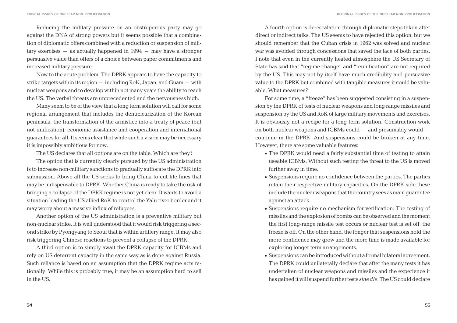Reducing the military pressure on an obstreperous party may go against the DNA of strong powers but it seems possible that a combination of diplomatic offers combined with a reduction or suspension of military exercises  $-$  as actually happened in  $1994 -$  may have a stronger persuasive value than offers of a choice between paper commitments and increased military pressure.

Now to the acute problem. The DPRK appears to have the capacity to strike targets within its region  $-$  including RoK, Japan, and Guam  $-$  with nuclear weapons and to develop within not many years the ability to reach the US. The verbal threats are unprecedented and the nervousness high.

Many seem to be of the view that a long term solution will call for some regional arrangement that includes the denuclearization of the Korean peninsula, the transformation of the armistice into a treaty of peace (but not unification), economic assistance and cooperation and international guarantees for all. It seems clear that while such a vision may be necessary it is impossibly ambitious for now.

The US declares that all options are on the table. Which are they?

The option that is currently clearly pursued by the US administration is to increase non-military sanctions to gradually suffocate the DPRK into submission. Above all the US seeks to bring China to cut life lines that may be indispensable to DPRK. Whether China is ready to take the risk of bringing a collapse of the DPRK regime is not yet clear. It wants to avoid a situation leading the US allied RoK to control the Yalu river border and it may worry about a massive influx of refugees.

Another option of the US administration is a preventive military but non-nuclear strike. It is well understood that it would risk triggering a second strike by Pyongyang to Seoul that is within artillery range. It may also risk triggering Chinese reactions to prevent a collapse of the DPRK.

A third option is to simply await the DPRK capacity for ICBMs and rely on US deterrent capacity in the same way as is done against Russia. Such reliance is based on an assumption that the DPRK regime acts rationally. While this is probably true, it may be an assumption hard to sell in the US.

A fourth option is de-escalation through diplomatic steps taken after direct or indirect talks. The US seems to have rejected this option, but we should remember that the Cuban crisis in 1962 was solved and nuclear war was avoided through concessions that saved the face of both parties. I note that even in the currently heated atmosphere the US Secretary of State has said that "regime change" and "reunification" are not required by the US. This may not by itself have much credibility and persuasive value to the DPRK but combined with tangible measures it could be valuable. What measures?

For some time, a "freeze" has been suggested consisting in a suspension by the DPRK of tests of nuclear weapons and long range missiles and suspension by the US and RoK of large military movements and exercises. It is obviously not a recipe for a long term solution. Construction work on both nuclear weapons and ICBMs could – and presumably would – continue in the DPRK. And suspensions could be broken at any time. However, there are some valuable features:

- The DPRK would need a fairly substantial time of testing to attain useable ICBMs. Without such testing the threat to the US is moved further away in time.
- Suspensions require no confidence between the parties. The parties retain their respective military capacities. On the DPRK side these include the nuclear weapons that the country sees as main guarantee against an attack.
- • Suspensions require no mechanism for verification. The testing of missiles and the explosion of bombs can be observed and the moment the first long-range missile test occurs or nuclear test is set off, the freeze is off. On the other hand, the longer that suspensions hold the more confidence may grow and the more time is made available for exploring longer term arrangements.
- Suspensions can be introduced without a formal bilateral agreement. The DPRK could unilaterally declare that after the many tests it has undertaken of nuclear weapons and missiles and the experience it has gained it will suspend further tests *sine die*. The US could declare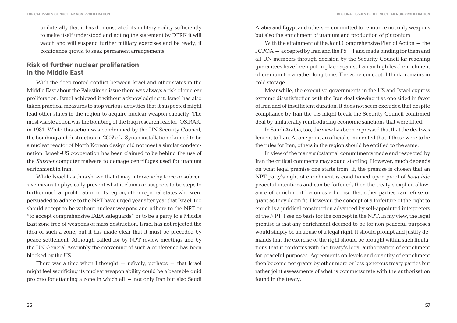unilaterally that it has demonstrated its military ability sufficiently to make itself understood and noting the statement by DPRK it will watch and will suspend further military exercises and be ready, if confidence grows, to seek permanent arrangements.

#### **Risk of further nuclear proliferation in the Middle East**

With the deep rooted conflict between Israel and other states in the Middle East about the Palestinian issue there was always a risk of nuclear proliferation. Israel achieved it without acknowledging it. Israel has also taken practical measures to stop various activities that it suspected might lead other states in the region to acquire nuclear weapon capacity. The most visible action was the bombing of the Iraqi research reactor, OSIRAK, in 1981. While this action was condemned by the UN Security Council, the bombing and destruction in 2007 of a Syrian installation claimed to be a nuclear reactor of North Korean design did not meet a similar condemnation. Israeli-US cooperation has been claimed to be behind the use of the *Stuxnet* computer malware to damage centrifuges used for uranium enrichment in Iran.

While Israel has thus shown that it may intervene by force or subversive means to physically prevent what it claims or suspects to be steps to further nuclear proliferation in its region, other regional states who were persuaded to adhere to the NPT have urged year after year that Israel, too should accept to be without nuclear weapons and adhere to the NPT or "to accept comprehensive IAEA safeguards" or to be a party to a Middle East zone free of weapons of mass destruction. Israel has not rejected the idea of such a zone, but it has made clear that it must be preceded by peace settlement. Although called for by NPT review meetings and by the UN General Assembly the convening of such a conference has been blocked by the US.

There was a time when I thought  $-$  naïvely, perhaps  $-$  that Israel might feel sacrificing its nuclear weapon ability could be a bearable quid pro quo for attaining a zone in which all – not only Iran but also Saudi Arabia and Egypt and others – committed to renounce not only weapons but also the enrichment of uranium and production of plutonium.

With the attainment of the Joint Comprehensive Plan of Action – the JCPOA– accepted by Iran and the P5+1 and made binding for them and all UN members through decision by the Security Council far reaching guarantees have been put in place against Iranian high level enrichment of uranium for a rather long time. The zone concept, I think, remains in cold storage.

Meanwhile, the executive governments in the US and Israel express extreme dissatisfaction with the Iran deal viewing it as one sided in favor of Iran and of insufficient duration. It does not seem excluded that despite compliance by Iran the US might break the Security Council confirmed deal by unilaterally reintroducing economic sanctions that were lifted.

In Saudi Arabia, too, the view has been expressed that that the deal was lenient to Iran. At one point an official commented that if these were to be the rules for Iran, others in the region should be entitled to the same.

In view of the many substantial commitments made and respected by Iran the critical comments may sound startling. However, much depends on what legal premise one starts from. If, the premise is chosen that an NPT party's right of enrichment is conditioned upon proof of *bona fide* peaceful intentions and can be forfeited, then the treaty's explicit allowance of enrichment becomes a license that other parties can refuse or grant as they deem fit. However, the concept of a forfeiture of the right to enrich is a juridical construction advanced by self-appointed interpreters of the NPT. I see no basis for the concept in the NPT. In my view, the legal premise is that any enrichment deemed to be for non-peaceful purposes would simply be an abuse of a legal right. It should prompt and justify demands that the exercise of the right should be brought within such limitations that it conforms with the treaty's legal authorization of enrichment for peaceful purposes. Agreements on levels and quantity of enrichment then become not grants by other more or less generous treaty parties but rather joint assessments of what is commensurate with the authorization found in the treaty.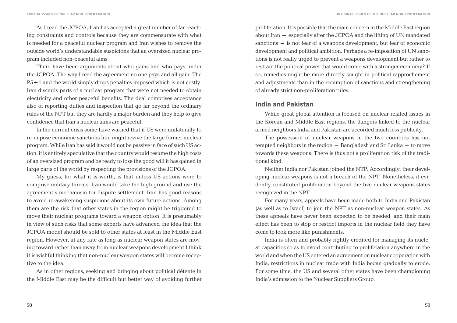As I read the JCPOA, Iran has accepted a great number of far reaching constraints and controls because they are commensurate with what is needed for a peaceful nuclear program and Iran wishes to remove the outside world's understandable suspicions that an oversized nuclear program included non-peaceful aims.

There have been arguments about who gains and who pays under the JCPOA. The way I read the agreement no one pays and all gain. The P5+1 and the world simply drops penalties imposed which is not costly. Iran discards parts of a nuclear program that were not needed to obtain electricity and other peaceful benefits. The deal comprises acceptance also of reporting duties and inspection that go far beyond the ordinary rules of the NPT but they are hardly a major burden and they help to give confidence that Iran's nuclear aims are peaceful.

In the current crisis some have warned that if US were unilaterally to re-impose economic sanctions Iran might revive the large former nuclear program. While Iran has said it would not be passive in face of such US action, it is entirely speculative that the country would resume the high costs of an oversized program and be ready to lose the good will it has gained in large parts of the world by respecting the provisions of the JCPOA.

My guess, for what it is worth, is that unless US actions were to comprise military threats, Iran would take the high ground and use the agreement's mechanism for dispute settlement. Iran has good reasons to avoid re-awakening suspicions about its own future actions. Among them are the risk that other states in the region might be triggered to move their nuclear programs toward a weapon option. It is presumably in view of such risks that some experts have advanced the idea that the JCPOA model should be sold to other states at least in the Middle East region. However, at any rate as long as nuclear weapon states are moving toward rather than away from nuclear weapons development I think it is wishful thinking that non-nuclear weapon states will become receptive to the idea.

As in other regions, seeking and bringing about political detente in the Middle East may be the difficult but better way of avoiding further proliferation. It is possible that the main concern in the Middle East region about Iran – especially after the JCPOA and the lifting of UN mandated sanctions – is not fear of a weapons development, but fear of economic development and political ambition. Perhaps a re-imposition of UN sanctions is not really urged to prevent a weapons development but rather to restrain the political power that would come with a stronger economy? If so, remedies might be more directly sought in political rapprochement and adjustments than in the resumption of sanctions and strengthening of already strict non-proliferation rules.

#### **India and Pakistan**

While great global attention is focused on nuclear related issues in the Korean and Middle East regions, the dangers linked to the nuclear armed neighbors India and Pakistan are accorded much less publicity.

The possession of nuclear weapons in the two countries has not tempted neighbors in the region – Bangladesh and Sri Lanka – to move towards these weapons. There is thus not a proliferation risk of the traditional kind.

Neither India nor Pakistan joined the NTP. Accordingly, their developing nuclear weapons is not a breach of the NPT. Nonetheless, it evidently constituted proliferation beyond the five nuclear weapons states recognized in the NPT.

For many years, appeals have been made both to India and Pakistan (as well as to Israel) to join the NPT as non-nuclear weapon states. As these appeals have never been expected to be heeded, and their main effect has been to stop or restrict imports in the nuclear field they have come to look more like punishments.

India is often and probably rightly credited for managing its nuclear capacities so as to avoid contributing to proliferation anywhere in the world and when the US entered an agreement on nuclear cooperation with India, restrictions in nuclear trade with India began gradually to erode. For some time, the US and several other states have been championing India's admission to the Nuclear Suppliers Group.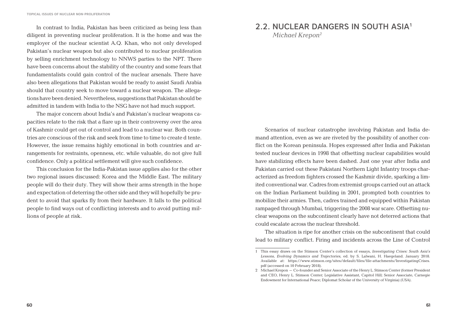In contrast to India, Pakistan has been criticized as being less than diligent in preventing nuclear proliferation. It is the home and was the employer of the nuclear scientist A.Q. Khan, who not only developed Pakistan's nuclear weapon but also contributed to nuclear proliferation by selling enrichment technology to NNWS parties to the NPT. There have been concerns about the stability of the country and some fears that fundamentalists could gain control of the nuclear arsenals. There have also been allegations that Pakistan would be ready to assist Saudi Arabia should that country seek to move toward a nuclear weapon. The allegations have been denied. Nevertheless, suggestions that Pakistan should be admitted in tandem with India to the NSG have not had much support.

The major concern about India's and Pakistan's nuclear weapons capacities relate to the risk that a flare up in their controversy over the area of Kashmir could get out of control and lead to a nuclear war. Both countries are conscious of the risk and seek from time to time to create détente. However, the issue remains highly emotional in both countries and arrangements for restraints, openness, etc. while valuable, do not give full confidence. Only a political settlement will give such confidence.

This conclusion for the India-Pakistan issue applies also for the other two regional issues discussed: Korea and the Middle East. The military people will do their duty. They will show their arms strength in the hope and expectation of deterring the other side and they will hopefully be prudent to avoid that sparks fly from their hardware. It falls to the political people to find ways out of conflicting interests and to avoid putting millions of people at risk.

#### 2.2. NUCLEAR DANGERS IN SOUTH ASIA1

 *Michael Krepon2*

Scenarios of nuclear catastrophe involving Pakistan and India demand attention, even as we are riveted by the possibility of another conflict on the Korean peninsula. Hopes expressed after India and Pakistan tested nuclear devices in 1998 that offsetting nuclear capabilities would have stabilizing effects have been dashed. Just one year after India and Pakistan carried out these Pakistani Northern Light Infantry troops characterized as freedom fighters crossed the Kashmir divide, sparking a limited conventional war. Cadres from extremist groups carried out an attack on the Indian Parliament building in 2001, prompted both countries to mobilize their armies. Then, cadres trained and equipped within Pakistan rampaged through Mumbai, triggering the 2008 war scare. Offsetting nuclear weapons on the subcontinent clearly have not deterred actions that could escalate across the nuclear threshold.

The situation is ripe for another crisis on the subcontinent that could lead to military conflict. Firing and incidents across the Line of Control

<sup>1</sup> This essay draws on the Stimson Center's collection of essays, *Investigating Crises: South Asia's Lessons, Evolving Dynamics and Trajectories,* ed. by S. Lalwani, H. Haegeland. January 2018. Available at: https://www.stimson.org/sites/default/files/file-attachments/InvestigatingCrises. pdf (accessed on 10 February 2018).

<sup>2</sup> Michael Krepon – Co-founder and Senior Associate of the Henry L. Stimson Center (former President and CEO, Henry L. Stimson Center; Legislative Assistant, Capitol Hill; Senior Associate, Carnegie Endowment for International Peace; Diplomat Scholar of the University of Virginia) (USA).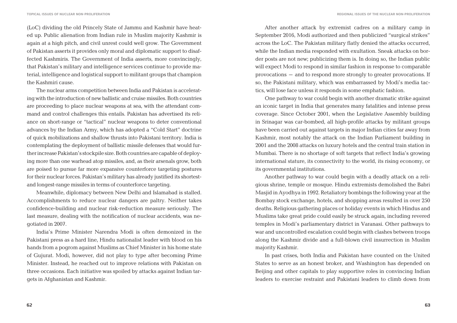(LoC) dividing the old Princely State of Jammu and Kashmir have heated up. Public alienation from Indian rule in Muslim majority Kashmir is again at a high pitch, and civil unrest could well grow. The Government of Pakistan asserts it provides only moral and diplomatic support to disaffected Kashmiris. The Government of India asserts, more convincingly, that Pakistan's military and intelligence services continue to provide material, intelligence and logistical support to militant groups that champion the Kashmiri cause.

The nuclear arms competition between India and Pakistan is accelerating with the introduction of new ballistic and cruise missiles. Both countries are proceeding to place nuclear weapons at sea, with the attendant command and control challenges this entails. Pakistan has advertised its reliance on short-range or "tactical" nuclear weapons to deter conventional advances by the Indian Army, which has adopted a "Cold Start" doctrine of quick mobilizations and shallow thrusts into Pakistani territory. India is contemplating the deployment of ballistic missile defenses that would further increase Pakistan's stockpile size. Both countries are capable of deploying more than one warhead atop missiles, and, as their arsenals grow, both are poised to pursue far more expansive counterforce targeting postures for their nuclear forces. Pakistan's military has already justified its shortestand longest-range missiles in terms of counterforce targeting.

Meanwhile, diplomacy between New Delhi and Islamabad is stalled. Accomplishments to reduce nuclear dangers are paltry. Neither takes confidence-building and nuclear risk-reduction measure seriously. The last measure, dealing with the notification of nuclear accidents, was negotiated in 2007.

India's Prime Minister Narendra Modi is often demonized in the Pakistani press as a hard line, Hindu nationalist leader with blood on his hands from a pogrom against Muslims as Chief Minister in his home state of Gujurat. Modi, however, did not play to type after becoming Prime Minister. Instead, he reached out to improve relations with Pakistan on three occasions. Each initiative was spoiled by attacks against Indian targets in Afghanistan and Kashmir.

After another attack by extremist cadres on a military camp in September 2016, Modi authorized and then publicized "surgical strikes" across the LoC. The Pakistan military flatly denied the attacks occurred, while the Indian media responded with exultation. Sneak attacks on border posts are not new; publicizing them is. In doing so, the Indian public will expect Modi to respond in similar fashion in response to comparable provocations – and to respond more strongly to greater provocations. If so, the Pakistani military, which was embarrassed by Modi's media tactics, will lose face unless it responds in some emphatic fashion.

One pathway to war could begin with another dramatic strike against an iconic target in India that generates many fatalities and intense press coverage. Since October 2001, when the Legislative Assembly building in Srinagar was car-bombed, all high-profile attacks by militant groups have been carried out against targets in major Indian cities far away from Kashmir, most notably the attack on the Indian Parliament building in 2001 and the 2008 attacks on luxury hotels and the central train station in Mumbai. There is no shortage of soft targets that reflect India's growing international stature, its connectivity to the world, its rising economy, or its governmental institutions.

Another pathway to war could begin with a deadly attack on a religious shrine, temple or mosque. Hindu extremists demolished the Babri Masjid in Ayodhya in 1992. Retaliatory bombings the following year at the Bombay stock exchange, hotels, and shopping areas resulted in over 250 deaths. Religious gathering places or holiday events in which Hindus and Muslims take great pride could easily be struck again, including revered temples in Modi's parliamentary district in Varanasi. Other pathways to war and uncontrolled escalation could begin with clashes between troops along the Kashmir divide and a full-blown civil insurrection in Muslim majority Kashmir.

In past crises, both India and Pakistan have counted on the United States to serve as an honest broker, and Washington has depended on Beijing and other capitals to play supportive roles in convincing Indian leaders to exercise restraint and Pakistani leaders to climb down from

**62 63**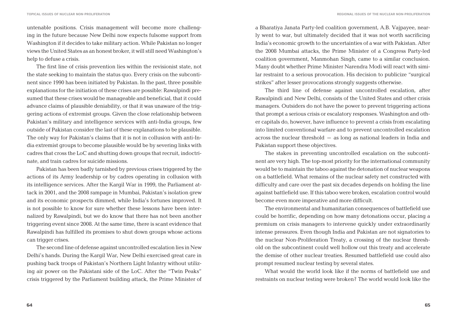untenable positions. Crisis management will become more challenging in the future because New Delhi now expects fulsome support from Washington if it decides to take military action. While Pakistan no longer views the United States as an honest broker, it will still need Washington's help to defuse a crisis.

The first line of crisis prevention lies within the revisionist state, not the state seeking to maintain the status quo. Every crisis on the subcontinent since 1990 has been initiated by Pakistan. In the past, three possible explanations for the initiation of these crises are possible: Rawalpindi presumed that these crises would be manageable and beneficial, that it could advance claims of plausible deniability, or that it was unaware of the triggering actions of extremist groups. Given the close relationship between Pakistan's military and intelligence services with anti-India groups, few outside of Pakistan consider the last of these explanations to be plausible. The only way for Pakistan's claims that it is not in collusion with anti-India extremist groups to become plausible would be by severing links with cadres that cross the LoC and shutting down groups that recruit, indoctrinate, and train cadres for suicide missions.

Pakistan has been badly tarnished by previous crises triggered by the actions of its Army leadership or by cadres operating in collusion with its intelligence services. After the Kargil War in 1999, the Parliament attack in 2001, and the 2008 rampage in Mumbai, Pakistan's isolation grew and its economic prospects dimmed, while India's fortunes improved. It is not possible to know for sure whether these lessons have been internalized by Rawalpindi, but we do know that there has not been another triggering event since 2008. At the same time, there is scant evidence that Rawalpindi has fulfilled its promises to shut down groups whose actions can trigger crises.

The second line of defense against uncontrolled escalation lies in New Delhi's hands. During the Kargil War, New Delhi exercised great care in pushing back troops of Pakistan's Northern Light Infantry without utilizing air power on the Pakistani side of the LoC. After the "Twin Peaks" crisis triggered by the Parliament building attack, the Prime Minister of a Bharatiya Janata Party-led coalition government, A.B. Vajpayee, nearly went to war, but ultimately decided that it was not worth sacrificing India's economic growth to the uncertainties of a war with Pakistan. After the 2008 Mumbai attacks, the Prime Minister of a Congress Party-led coalition government, Manmohan Singh, came to a similar conclusion. Many doubt whether Prime Minister Narendra Modi will react with similar restraint to a serious provocation. His decision to publicize "surgical strikes" after lesser provocations strongly suggests otherwise.

The third line of defense against uncontrolled escalation, after Rawalpindi and New Delhi, consists of the United States and other crisis managers. Outsiders do not have the power to prevent triggering actions that prompt a serious crisis or escalatory responses. Washington and other capitals do, however, have influence to prevent a crisis from escalating into limited conventional warfare and to prevent uncontrolled escalation across the nuclear threshold – as long as national leaders in India and Pakistan support these objectives.

The stakes in preventing uncontrolled escalation on the subcontinent are very high. The top-most priority for the international community would be to maintain the taboo against the detonation of nuclear weapons on a battlefield. What remains of the nuclear safety net constructed with difficulty and care over the past six decades depends on holding the line against battlefield use. If this taboo were broken, escalation control would become even more imperative and more difficult.

The environmental and humanitarian consequences of battlefield use could be horrific, depending on how many detonations occur, placing a premium on crisis managers to intervene quickly under extraordinarily intense pressures. Even though India and Pakistan are not signatories to the nuclear Non-Proliferation Treaty, a crossing of the nuclear threshold on the subcontinent could well hollow out this treaty and accelerate the demise of other nuclear treaties. Resumed battlefield use could also prompt resumed nuclear testing by several states.

What would the world look like if the norms of battlefield use and restraints on nuclear testing were broken? The world would look like the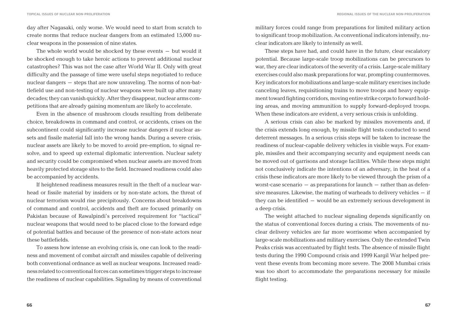day after Nagasaki, only worse. We would need to start from scratch to create norms that reduce nuclear dangers from an estimated 15,000 nuclear weapons in the possession of nine states.

The whole world would be shocked by these events – but would it be shocked enough to take heroic actions to prevent additional nuclear catastrophes? This was not the case after World War II. Only with great difficulty and the passage of time were useful steps negotiated to reduce nuclear dangers – steps that are now unraveling. The norms of non-battlefield use and non-testing of nuclear weapons were built up after many decades; they can vanish quickly. After they disappear, nuclear arms competitions that are already gaining momentum are likely to accelerate.

Even in the absence of mushroom clouds resulting from deliberate choice, breakdowns in command and control, or accidents, crises on the subcontinent could significantly increase nuclear dangers if nuclear assets and fissile material fall into the wrong hands. During a severe crisis, nuclear assets are likely to be moved to avoid pre-emption, to signal resolve, and to speed up external diplomatic intervention. Nuclear safety and security could be compromised when nuclear assets are moved from heavily protected storage sites to the field. Increased readiness could also be accompanied by accidents.

If heightened readiness measures result in the theft of a nuclear warhead or fissile material by insiders or by non-state actors, the threat of nuclear terrorism would rise precipitously. Concerns about breakdowns of command and control, accidents and theft are focused primarily on Pakistan because of Rawalpindi's perceived requirement for "tactical" nuclear weapons that would need to be placed close to the forward edge of potential battles and because of the presence of non-state actors near these battlefields.

To assess how intense an evolving crisis is, one can look to the readiness and movement of combat aircraft and missiles capable of delivering both conventional ordnance as well as nuclear weapons. Increased readiness related to conventional forces can sometimes trigger steps to increase the readiness of nuclear capabilities. Signaling by means of conventional

military forces could range from preparations for limited military action to significant troop mobilization. As conventional indicators intensify, nuclear indicators are likely to intensify as well.

These steps have had, and could have in the future, clear escalatory potential. Because large-scale troop mobilizations can be precursors to war, they are clear indicators of the severity of a crisis. Large-scale military exercises could also mask preparations for war, prompting countermoves. Key indicators for mobilizations and large-scale military exercises include canceling leaves, requisitioning trains to move troops and heavy equipment toward fighting corridors, moving entire strike corps to forward holding areas, and moving ammunition to supply forward-deployed troops. When these indicators are evident, a very serious crisis is unfolding.

A serious crisis can also be marked by missiles movements and, if the crisis extends long enough, by missile flight tests conducted to send deterrent messages. In a serious crisis steps will be taken to increase the readiness of nuclear-capable delivery vehicles in visible ways. For example, missiles and their accompanying security and equipment needs can be moved out of garrisons and storage facilities. While these steps might not conclusively indicate the intentions of an adversary, in the heat of a crisis these indicators are more likely to be viewed through the prism of a worst-case scenario – as preparations for launch – rather than as defensive measures. Likewise, the mating of warheads to delivery vehicles  $-$  if they can be identified – would be an extremely serious development in a deep crisis.

The weight attached to nuclear signaling depends significantly on the status of conventional forces during a crisis. The movements of nuclear delivery vehicles are far more worrisome when accompanied by large-scale mobilizations and military exercises. Only the extended Twin Peaks crisis was accentuated by flight tests. The absence of missile flight tests during the 1990 Compound crisis and 1999 Kargil War helped prevent these events from becoming more severe. The 2008 Mumbai crisis was too short to accommodate the preparations necessary for missile flight testing.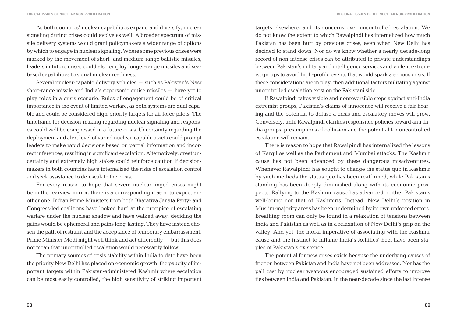As both countries' nuclear capabilities expand and diversify, nuclear signaling during crises could evolve as well. A broader spectrum of missile delivery systems would grant policymakers a wider range of options by which to engage in nuclear signaling. Where some previous crises were marked by the movement of short- and medium-range ballistic missiles, leaders in future crises could also employ longer-range missiles and seabased capabilities to signal nuclear readiness.

Several nuclear-capable delivery vehicles – such as Pakistan's Nasr short-range missile and India's supersonic cruise missiles – have yet to play roles in a crisis scenario. Rules of engagement could be of critical importance in the event of limited warfare, as both systems are dual capable and could be considered high-priority targets for air force pilots. The timeframe for decision-making regarding nuclear signaling and responses could well be compressed in a future crisis. Uncertainty regarding the deployment and alert level of varied nuclear-capable assets could prompt leaders to make rapid decisions based on partial information and incorrect inferences, resulting in significant escalation. Alternatively, great uncertainty and extremely high stakes could reinforce caution if decisionmakers in both countries have internalized the risks of escalation control and seek assistance to de-escalate the crisis.

For every reason to hope that severe nuclear-tinged crises might be in the rearview mirror, there is a corresponding reason to expect another one. Indian Prime Ministers from both Bharatiya Janata Party- and Congress-led coalitions have looked hard at the precipice of escalating warfare under the nuclear shadow and have walked away, deciding the gains would be ephemeral and pains long-lasting. They have instead chosen the path of restraint and the acceptance of temporary embarrassment. Prime Minister Modi might well think and act differently – but this does not mean that uncontrolled escalation would necessarily follow.

The primary sources of crisis stability within India to date have been the priority New Delhi has placed on economic growth, the paucity of important targets within Pakistan-administered Kashmir where escalation can be most easily controlled, the high sensitivity of striking important targets elsewhere, and its concerns over uncontrolled escalation. We do not know the extent to which Rawalpindi has internalized how much Pakistan has been hurt by previous crises, even when New Delhi has decided to stand down. Nor do we know whether a nearly decade-long record of non-intense crises can be attributed to private understandings between Pakistan's military and intelligence services and violent extremist groups to avoid high-profile events that would spark a serious crisis. If these considerations are in play, then additional factors militating against uncontrolled escalation exist on the Pakistani side.

If Rawalpindi takes visible and nonreversible steps against anti-India extremist groups, Pakistan's claims of innocence will receive a fair hearing and the potential to defuse a crisis and escalatory moves will grow. Conversely, until Rawalpindi clarifies responsible policies toward anti-India groups, presumptions of collusion and the potential for uncontrolled escalation will remain.

There is reason to hope that Rawalpindi has internalized the lessons of Kargil as well as the Parliament and Mumbai attacks. The Kashmir cause has not been advanced by these dangerous misadventures. Whenever Rawalpindi has sought to change the status quo in Kashmir by such methods the status quo has been reaffirmed, while Pakistan's standing has been deeply diminished along with its economic prospects. Rallying to the Kashmir cause has advanced neither Pakistan's well-being nor that of Kashmiris. Instead, New Delhi's position in Muslim-majority areas has been undermined by its own unforced errors. Breathing room can only be found in a relaxation of tensions between India and Pakistan as well as in a relaxation of New Delhi's grip on the valley. And yet, the moral imperative of associating with the Kashmir cause and the instinct to inflame India's Achilles' heel have been staples of Pakistan's existence.

The potential for new crises exists because the underlying causes of friction between Pakistan and India have not been addressed. Nor has the pall cast by nuclear weapons encouraged sustained efforts to improve ties between India and Pakistan. In the near-decade since the last intense

**68 69**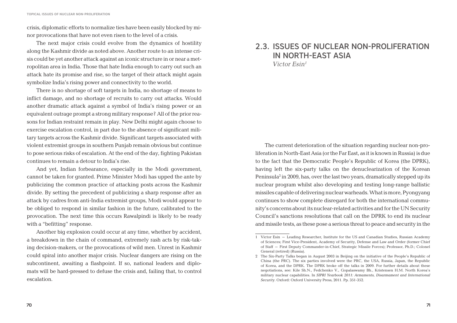crisis, diplomatic efforts to normalize ties have been easily blocked by minor provocations that have not even risen to the level of a crisis.

The next major crisis could evolve from the dynamics of hostility along the Kashmir divide as noted above. Another route to an intense crisis could be yet another attack against an iconic structure in or near a metropolitan area in India. Those that hate India enough to carry out such an attack hate its promise and rise, so the target of their attack might again symbolize India's rising power and connectivity to the world.

There is no shortage of soft targets in India, no shortage of means to inflict damage, and no shortage of recruits to carry out attacks. Would another dramatic attack against a symbol of India's rising power or an equivalent outrage prompt a strong military response? All of the prior reasons for Indian restraint remain in play. New Delhi might again choose to exercise escalation control, in part due to the absence of significant military targets across the Kashmir divide. Significant targets associated with violent extremist groups in southern Punjab remain obvious but continue to pose serious risks of escalation. At the end of the day, fighting Pakistan continues to remain a detour to India's rise.

And yet, Indian forbearance, especially in the Modi government, cannot be taken for granted. Prime Minister Modi has upped the ante by publicizing the common practice of attacking posts across the Kashmir divide. By setting the precedent of publicizing a sharp response after an attack by cadres from anti-India extremist groups, Modi would appear to be obliged to respond in similar fashion in the future, calibrated to the provocation. The next time this occurs Rawalpindi is likely to be ready with a "befitting" response.

Another big explosion could occur at any time, whether by accident, a breakdown in the chain of command, extremely rash acts by risk-taking decision-makers, or the provocations of wild men. Unrest in Kashmir could spiral into another major crisis. Nuclear dangers are rising on the subcontinent, awaiting a flashpoint. If so, national leaders and diplomats will be hard-pressed to defuse the crisis and, failing that, to control escalation.

#### 2.3. ISSUES OF NUCLEAR NON-PROLIFERATION IN NORTH-EAST ASIA *Victor Esin1*

The current deterioration of the situation regarding nuclear non-proliferation in North-East Asia (or the Far East, as it is known in Russia) is due to the fact that the Democratic People's Republic of Korea (the DPRK), having left the six-party talks on the denuclearization of the Korean Peninsula<sup>2</sup> in 2009, has, over the last two years, dramatically stepped up its nuclear program whilst also developing and testing long-range ballistic missiles capable of delivering nuclear warheads. What is more, Pyongyang continues to show complete disregard for both the international community's concerns about its nuclear-related activities and for the UN Security Council's sanctions resolutions that call on the DPRK to end its nuclear and missile tests, as these pose a serious threat to peace and security in the

<sup>1</sup> Victor Esin – Leading Researcher, Institute for the US and Canadian Studies, Russian Academy of Sciences; First Vice-President, Academy of Security, Defense and Law and Order (former Chief of Staff – First Deputy Commander-in-Chief, Strategic Missile Forces); Professor, Ph.D.; Colonel General (retired) (Russia).

<sup>2</sup> The Six-Party Talks began in August 2003 in Beijing on the initiative of the People's Republic of China (the PRC). The six parties involved were the PRC, the USA, Russia, Japan, the Republic of Korea, and the DPRK. The DPRK broke off the talks in 2009. For further details about these negotiations, see: Kile Sh.N., Fedchenko V., Gopalaswamy Bh., Kristensen H.M. North Korea's military nuclear capabilities. In *SIPRI Yearbook 2011: Armaments, Disarmament and International Security*. Oxford: Oxford University Press, 2011. Pp. 351-352.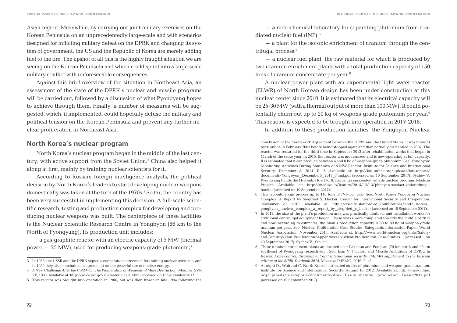Asian region. Meanwhile, by carrying out joint military exercises on the Korean Peninsula on an unprecedentedly large-scale and with scenarios designed for inflicting military defeat on the DPRK and changing its system of government, the US and the Republic of Korea are merely adding fuel to the fire. The upshot of all this is the highly fraught situation we are seeing on the Korean Peninsula and which could spiral into a large-scale military conflict with unforeseeable consequences.

Against this brief overview of the situation in Northeast Asia, an assessment of the state of the DPRK's nuclear and missile programs will be carried out, followed by a discussion of what Pyongyang hopes to achieve through them. Finally, a number of measures will be suggested, which, if implemented, could hopefully defuse the military and political tension on the Korean Peninsula and prevent any further nuclear proliferation in Northeast Asia.

#### **North Korea's nuclear program**

North Korea's nuclear program began in the middle of the last century, with active support from the Soviet Union.3 China also helped it along at first, mainly by training nuclear scientists for it.

According to Russian foreign intelligence analysts, the political decision by North Korea's leaders to start developing nuclear weapons domestically was taken at the turn of the 1970s.<sup>4</sup> So far, the country has been very successful in implementing this decision. A full-scale scientific research, testing and production complex for developing and producing nuclear weapons was built. The centerpiece of these facilities is the Nuclear Scientific Research Centre in Yongbyon (86 km to the North of Pyongyang). Its production unit includes:

- a gas-graphite reactor with an electric capacity of 5 MW (thermal power  $-25$  MW), used for producing weapons-grade plutonium;<sup>5</sup>

– a radiochemical laboratory for separating plutonium from irradiated nuclear fuel (INF);6

– a plant for the isotopic enrichment of uranium through the centrifugal process; $7$ 

– a nuclear fuel plant, the raw material for which is produced by two uranium enrichment plants with a total production capacity of 150 tons of uranium concentrate per year.<sup>8</sup>

A nuclear power plant with an experimental light water reactor (ELWR) of North Korean design has been under construction at this nuclear center since 2010. It is estimated that its electrical capacity will be 25-30MW (with a thermal output of more than 100 MW). It could potentially churn out up to 20 kg of weapons-grade plutonium per year.<sup>9</sup> This reactor is expected to be brought into operation in 2017-2018.

In addition to these production facilities, the Yongbyon Nuclear

<sup>3</sup> In 1956, the USSR and the DPRK signed a cooperation agreement for training nuclear scientists, and in 1959 they also concluded an agreement on the peaceful use of nuclear energy.

<sup>4</sup> *A New Challenge After the Cold War: The Proliferation of Weapons of Mass Destruction*. Moscow: SVR RF, 1993. Available at: http://www.svr.gov.ru/material/2-1.html (accessed on 10 September 2017).

<sup>5</sup> This reactor was brought into operation in 1986, but was then frozen in late 1994 following the

conclusion of the Framework Agreement between the DPRK and the United States. It was brought back online in February 2003 before being stopped again and then partially dismantled in 2007. The reactor was restarted for the third time in September 2013 after rehabilitation works that began in March of the same year. In 2015, the reactor was modernized and is now operating at full capacity. It is estimated that it can produce between 6 and 8 kg of weapons-grade plutonium. See: Yongbyon: Monitoring Activities During Shutdown of 5 MW Reactor. Institute for Science and International Security. December 5, 2014. P. 2. Available at: http://isis-online.org/uploads/isis-reports/ documents/Yongbyon\_December5\_2014\_Final.pdf (accessed on 10 September 2017); Sychev V. Pyongyang builds the H-bomb: How North Korea has succeeded with its nuclear program. Meduza Project. Available at: http://meduza.io/feature/2015/12/13/phenyan-sozdaet-vodorodnuyubombu (accessed on 10 September 2017).

<sup>6</sup> This laboratory can process up to 110 tons of INF per year. See: North Korea Yongbyon Nuclear Complex. A Report by Siegfried S. Hecker. Center for International Security and Cooperation. November 20, 2010. Available at: http://cisac.fsi.stanford.edu/publications/north\_koreas\_ yongbyon\_nuclear\_complex\_a\_report\_by\_siegfried\_s\_hecker (accessed on 10 September 2017).

<sup>7</sup> In 2013, the size of the plant's production area was practically doubled, and installation works for additional centrifugal equipment began. These works were completed towards the middle of 2015 and now, according to estimates, the plant's production capacity is 60 to 80 kg of weapon-grade uranium per year. See: Nuclear Proliferation Case Studies. Safeguards Information Paper. World Nuclear Association. November 2014. Available at: http://www.world-nuclear.org/info/Safetyand-Security/Non-Proliferation/Appendices/Nuclear-Proliferation-Case-Studies (accessed on 10 September 2017); Sychev V., Op. cit.

<sup>8</sup> These uranium enrichment plants are located near Pakchon and Pongsan (70 km north and 95 km southeast of Pyongyang respectively). See: Esin V. Nuclear and Missile Ambitions of DPRK. In *Russia: Arms control, disarmament and international security. IMEMO supplement to the Russian edition of the SIPRI Yearbook 2015*. Moscow: IMEMO, 2016. P. 45.

<sup>9</sup> Albright D., Walrond C. North Korea's estimated stocks of plutonium and weapon-grade uranium. Institute for Science and International Security. August 16, 2012. Available at: http://isis-online. org/uploads/isis-reports/documents/dprk\_fissile\_material\_production\_16Aug2012.pdf (accessed on 10 September 2017).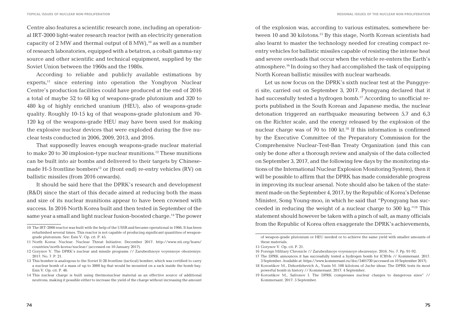Centre also features a scientific research zone, including an operational IRT-2000 light-water research reactor (with an electricity generation capacity of 2 MW and thermal output of 8 MW),  $10$  as well as a number of research laboratories, equipped with a betatron, a cobalt gamma-ray source and other scientific and technical equipment, supplied by the Soviet Union between the 1960s and the 1980s.

According to reliable and publicly available estimations by  $exports<sub>1</sub>$ <sup>11</sup> since entering into operation the Yongbyon Nuclear Centre's production facilities could have produced at the end of 2016 a total of maybe 52 to 68 kg of weapons-grade plutonium and 320 to 480 kg of highly enriched uranium (HEU), also of weapons-grade quality. Roughly 10-15 kg of that weapons-grade plutonium and 70- 120 kg of the weapons-grade HEU may have been used for making the explosive nuclear devices that were exploded during the five nuclear tests conducted in 2006, 2009, 2013, and 2016.

That supposedly leaves enough weapons-grade nuclear material to make 20 to 30 implosion-type nuclear munitions.12 These munitions can be built into air bombs and delivered to their targets by Chinesemade H-5 frontline bombers<sup>13</sup> or (front end) re-entry vehicles  $(RV)$  on ballistic missiles (from 2016 onwards).

It should be said here that the DPRK's research and development (R&D) since the start of this decade aimed at reducing both the mass and size of its nuclear munitions appear to have been crowned with success. In 2016 North Korea built and then tested in September of the same year a small and light nuclear fusion-boosted charge.14 The power

of the explosion was, according to various estimates, somewhere between 10 and 30 kilotons.<sup>15</sup> By this stage, North Korean scientists had also learnt to master the technology needed for creating compact reentry vehicles for ballistic missiles capable of resisting the intense heat and severe overloads that occur when the vehicle re-enters the Earth's atmosphere.16 In doing so they had accomplished the task of equipping North Korean ballistic missiles with nuclear warheads.

Let us now focus on the DPRK's sixth nuclear test at the Punggyeri site, carried out on September 3, 2017. Pyongyang declared that it had successfully tested a hydrogen bomb.<sup>17</sup> According to unofficial reports published in the South Korean and Japanese media, the nuclear detonation triggered an earthquake measuring between 5,7 and 6,3 on the Richter scale, and the energy released by the explosion of the nuclear charge was of 70 to 100 kt.<sup>18</sup> If this information is confirmed by the Executive Committee of the Preparatory Commission for the Comprehensive Nuclear-Test-Ban Treaty Organization (and this can only be done after a thorough review and analysis of the data collected on September 3, 2017, and the following few days by the monitoring stations of the International Nuclear Explosion Monitoring System), then it will be possible to affirm that the DPRK has made considerable progress in improving its nuclear arsenal. Note should also be taken of the statement made on the September 4, 2017, by the Republic of Korea's Defense Minister, Song Young-moo, in which he said that "Pyongyang has succeeded in reducing the weight of a nuclear charge to 500 kg."19 This statement should however be taken with a pinch of salt, as many officials from the Republic of Korea often exaggerate the DPRK's achievements,

<sup>10</sup> The IRT-2000 reactor was built with the help of the USSR and became operational in 1966. It has been refurbished several times. This reactor is not capable of producing significant quantities of weapongrade plutonium. See: Esin V. Op. cit. P. 45.

<sup>11</sup> North Korea: Nuclear. Nuclear Threat Initiative. December 2017. http://www.nti.org/learn/ countries/north-korea/nuclear/ (accessed on 10 January 2017).

<sup>12</sup> Gorynov V. The DPRK's nuclear and missile programs // Zarubezhnoye voyennoye obozreniye. 2017. No. 7. P. 21.

<sup>13</sup> This bomber is analogous to the Soviet Il-28 frontline (tactical) bomber, which was certified to carry a nuclear bomb of a mass of up to 3000 kg that would be mounted on a rack inside the bomb bay. Esin V. Op. cit. P. 46.

<sup>14</sup> This nuclear charge is built using thermonuclear material as an effective source of additional neutrons, making it possible either to increase the yield of the charge without increasing the amount

of weapon-grade plutonium or HEU needed or to achieve the same yield with smaller amounts of these materials.

<sup>15</sup> Gorynov V. Op. cit. P. 21.

<sup>16</sup> Foreign Military Chronicle // Zarubezhnoye voyennoye obozreniye. 2016. No. 7. Pp. 91-92.

<sup>17</sup> The DPRK announces it has successfully tested a hydrogen bomb for ICBMs // Kommersant. 2017. 3 September. Available at: https://www.kommersant.ru/doc/3401720 (accessed on 10 September 2017).

<sup>18</sup> Korostikov M., Dzhordzhevich A., Yusin M. 100 kilotons of Juche ideas: The DPRK tests its most powerful bomb in history // Kommersant. 2017. 4 September.

<sup>19</sup> Korostikov M., Safronov I. The DPRK compresses nuclear charges to dangerous sizes" // Kommersant. 2017. 5 September.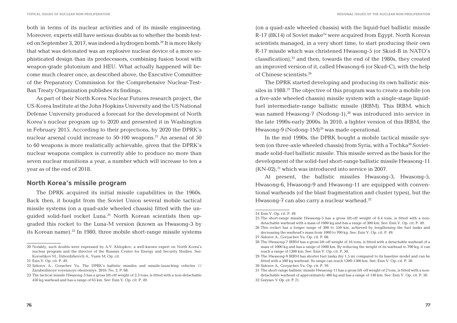both in terms of its nuclear activities and of its missile engineering. Moreover, experts still have serious doubts as to whether the bomb tested on September 3, 2017, was indeed a hydrogen bomb.<sup>20</sup> It is more likely that what was detonated was an explosive nuclear device of a more sophisticated design than its predecessors, combining fusion boost with weapon-grade plutonium and HEU. What actually happened will become much clearer once, as described above, the Executive Committee of the Preparatory Commission for the Comprehensive Nuclear-Test-Ban Treaty Organization publishes its findings.

As part of their North Korea Nuclear Futures research project, the US-Korea Institute at the John Hopkins University and the US National Defense University produced a forecast for the development of North Korea's nuclear program up to 2020 and presented it in Washington in February 2015. According to their projections, by 2020 the DPRK's nuclear arsenal could increase to 50-100 weapons.<sup>21</sup> An arsenal of 50 to 60 weapons is more realistically achievable, given that the DPRK's nuclear weapons complex is currently able to produce no more than seven nuclear munitions a year, a number which will increase to ten a year as of the end of 2018.

#### **North Korea's missile program**

The DPRK acquired its initial missile capabilities in the 1960s. Back then, it bought from the Soviet Union several mobile tactical missile systems (on a quad-axle wheeled chassis) fitted with the unguided solid-fuel rocket Luna.22 North Korean scientists then upgraded this rocket to the Luna-M version (known as Hwasong-3 by its Korean name).<sup>23</sup> In 1980, three mobile short-range missile systems

(on a quad-axle wheeled chassis) with the liquid-fuel ballistic missile  $R-17$  (8K14) of Soviet make<sup>24</sup> were acquired from Egypt. North Korean scientists managed, in a very short time, to start producing their own R-17 missile which was christened Hwasong-5 (or Skud-B in NATO's classification), $25$  and then, towards the end of the 1980s, they created an improved version of it, called Hwasong-6 (or Skud-C), with the help of Chinese scientists.26

The DPRK started developing and producing its own ballistic missiles in 1988.27 The objective of this program was to create a mobile (on a five-axle wheeled chassis) missile system with a single-stage liquidfuel intermediate-range ballistic missile (IRBM). This IRBM, which was named Hwasong-7 (Nodong-1),<sup>28</sup> was introduced into service in the late 1990s-early 2000s. In 2010, a lighter version of this IRBM, the Hwasong-9 (Nodong-1M)<sup>29</sup> was made operational.

In the mid 1990s, the DPRK bought a mobile tactical missile system (on three-axle wheeled chassis) from Syria, with a Tochka<sup>30</sup> Sovietmade solid-fuel ballistic missile. This missile served as the basis for the development of the solid-fuel short-range ballistic missile Hwasong-11  $(KN-02)$ ,<sup>31</sup> which was introduced into service in 2007.

At present, the ballistic missiles Hwasong-3, Hwasong-5, Hwasong-6, Hwasong-9 and Hwasong-11 are equipped with conventional warheads (of the blast fragmentation and cluster types), but the Hwasong-7 can also carry a nuclear warhead.<sup>32</sup>

<sup>20</sup> Notably, such doubts were expressed by A.V. Khlopkov, a well-known expert on North Korea's nuclear program and the director of the Russian Center for Energy and Security Studies. See: Korostikov M., Dzhordzhevich A., Yusin M. Op. cit.

<sup>21</sup> Esin V. Op. cit. P. 49.

<sup>22</sup> Sidorov A., Gorachev Yu. The DPRK's ballistic missiles and missile-launching vehicles // Zarubezhnoye voyennoye obozreniye*.* 2016. No. 2. P. 68.

<sup>23</sup> The tactical missile Hwasong-3 has a gross lift-off weight of 2.3 tons, is fitted with a non-detachable 450 kg warhead and has a range of 65 km. See: Esin V. Op. cit. P. 49.

<sup>24</sup> Esin V. Op. cit. P. 49.

<sup>25</sup> The short-range missile Hwasong-5 has a gross lift-off weight of 6.4 tons, is fitted with a nondetachable warhead with a mass of 1000 kg and has a range of 300 km. See: Esin V. Op. cit. P. 49.

<sup>26</sup> This rocket has a longer range of 300 to 550 km, achieved by lengthening the fuel tanks and decreasing the warhead's mass from 1000 to 700 kg. See: Esin V. Op. cit. P. 49.

<sup>27</sup> Sidorov A., Goryachev Yu. Op. cit. P. 68.

<sup>28</sup> The Hwasong-7 IRBM has a gross lift-off weight of 16 tons, is fitted with a detachable warhead of a mass of 1000 kg and has a range of 1000 km. By reducing the weight of its warhead to 700 kg, it can reach a range of 1300 km. See: Esin V. Op. cit. P. 50.

<sup>29</sup> The Hwasong-9 IRBM has shorter fuel tanks (by 1.5 m) compared to its baseline model and can be fitted with a 500 kg warhead. Its range can reach 1300-1500 km. See: Esin V. Op. cit. P. 50. 30 Sidorov A., Goryachev Yu. Op. cit. P. 70.

<sup>31</sup> The short-range ballistic missile Hwasong-11 has a gross lift-off weight of 2 tons, is fitted with a nondetachable warhead of approximately 480 kg and has a range of 140 km. See: Esin V. Op. cit. P. 50. 32 Gorynov V. Op. cit. P. 21.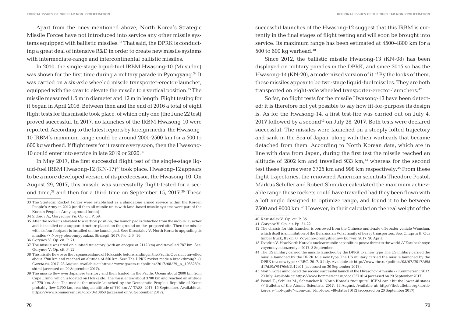Apart from the ones mentioned above, North Korea's Strategic Missile Forces have not introduced into service any other missile systems equipped with ballistic missiles.<sup>33</sup> That said, the DPRK is conducting a great deal of intensive R&D in order to create new missile systems with intermediate-range and intercontinental ballistic missiles.

In 2010, the single-stage liquid-fuel IRBM Hwasong-10 (Musudan) was shown for the first time during a military parade in Pyongyang.<sup>34</sup> It was carried on a six-axle wheeled missile transporter-erector-launcher, equipped with the gear to elevate the missile to a vertical position.<sup>35</sup> The missile measured 1.5 m in diameter and 12 m in length. Flight testing for it began in April 2016. Between then and the end of 2016 a total of eight flight tests for this missile took place, of which only one (the June 22 test) proved successful. In 2017, no launches of the IRBM Hwasong-10 were reported. According to the latest reports by foreign media, the Hwasong-10 IRBM's maximum range could be around 2000-2500 km for a 500 to 600 kg warhead. If flight tests for it resume very soon, then the Hwasong-10 could enter into service in late 2019 or 2020.36

In May 2017, the first successful flight test of the single-stage liquid-fuel IRBM Hwasong-12 (KN-17)37 took place. Hwasong-12 appears to be a more developed version of its predecessor, the Hwasong-10. On August 29, 2017, this missile was successfully flight-tested for a second time, $38$  and then for a third time on September 15, 2017. $39$  These successful launches of the Hwasong-12 suggest that this IRBM is currently in the final stages of flight testing and will soon be brought into service. Its maximum range has been estimated at 4500-4800 km for a 500 to 600 kg warhead. $40$ 

Since 2012, the ballistic missile Hwasong-13 (KN-08) has been displayed on military parades in the DPRK, and since 2015 so has the Hwasong-14 (KN-20), a modernized version of it.<sup>41</sup> By the looks of them, these missiles appear to be two-stage liquid-fuel missiles. They are both transported on eight-axle wheeled transporter-erector-launchers.<sup>42</sup>

So far, no flight tests for the missile Hwasong-13 have been detected; it is therefore not yet possible to say how fit-for-purpose its design is. As for the Hwasong-14, a first test-fire was carried out on July 4, 2017 followed by a second<sup>43</sup> on July 28, 2017. Both tests were declared successful. The missiles were launched on a steeply lofted trajectory and sank in the Sea of Japan, along with their warheads that became detached from them. According to North Korean data, which are in line with data from Japan, during the first test the missile reached an altitude of  $2802$  km and travelled  $933$  km,<sup>44</sup> whereas for the second test these figures were 3725 km and 998 km respectively.<sup>45</sup> From these flight trajectories, the renowned American scientists Theodore Postol, Markus Schiller and Robert Shmuker calculated the maximum achievable range these rockets could have travelled had they been flown with a loft angle designed to optimize range, and found it to be between 7500 and 9000 km.46 However, in their calculation the real weight of the

<sup>33</sup> The Strategic Rocket Forces were established as a standalone armed service within the Korean People's Army in 2012 (until then all missile units with land-based missile systems were part of the Korean People's Army's ground forces).

<sup>34</sup> Sidorov A., Goryachev Yu. Op. cit. P. 69.

<sup>35</sup> After the rocket is elevated to a vertical position, the launch pad is detached from the mobile launcher and is installed on a support structure placed on the ground on the prepared site. Then the missile with its four footpads is installed on the launch pad. See: Khrustalev V. North Korea is upgrading its missiles // Novyy oboronnyy zakaz. Strategii. 2017. No. 5. P. 36.

<sup>36</sup> Gorynov V. Op. cit. P. 21.

<sup>37</sup> The missile was fired on a lofted trajectory (with an apogee of 2112 km) and travelled 787 km. See: Gorynov V. Op. cit. P. 22.

<sup>38</sup> The missile flew over the Japanese island of Hokkaido before landing in the Pacific Ocean.It travelled about 2700 km and reached an altitude of 550 km. See: The DPRK rocket made a breakthrough // Gazeta.ru. 2017. 28 August. Available at: https://www.gazeta.ru/politics/2017/08/29\_a\_10862894. shtml (accessed on 20 September 2017).

<sup>39</sup> The missile flew over Japanese territory and then landed in the Pacific Ocean about 2000 km from Cape Erimo, which is located on Hokkaido. The missile flew about 3700 km and reached an altitude of 770 km. See: The media: the missile launched by the Democratic People's Republic of Korea probably flew 3,700 km, reaching an altitude of 770 km // TASS. 2017. 15 September. Available at: https://www.kommersant.ru/doc/3413850 (accessed on 20 September 2017).

<sup>40</sup> Khrustalev V. Op. cit. P. 35.

<sup>41</sup> Gorynov V. Op. cit. Pp. 21-22.

<sup>42</sup> The chassis for this launcher is borrowed from the Chinese multi-axle off-roader vehicle Wanshan, which itself is an imitation of the Belarussian Volat family of heavy transporters. See: Chuprin K. Our timber truck, fly on // Voyenno-promyshlennyy kur'yer. 2017. 26 April.

<sup>43</sup> Dvorkin V. How North Korea's nuclear missile capabilities pose a threat to the world // Zarubezhnoye voyennoye obozreniye. 2017. 8 September.

<sup>44</sup> The US military carried the missile launched by the DPRK to a new type The US military carried the missile launched by the DPRK to a new type The US military carried the missile launched by the DPRK to a new type // RBC. 2017. 5 July. Available at: http://www.rbc.ru/politics/05/07/2017/595 d17d59a79476eb2b12a01 (accessed on 20 September 2017).

<sup>45</sup> North Korea announced the second successful launch of the Hwasong-14 missile // Kommersant. 2017. 29 July. Available at: https://www.kommersant.ru/doc/3371614 (accessed on 20 September 2017).

<sup>46</sup> Postol T., Schiller M., Schmucker R. North Korea's "not quite" ICBM can't hit the lower 48 states // Bulletin of the Atomic Scientists. 2017. 11 August. Available at: http://thebulletin.org/northkorea's-"not-quite"-icbm-can't-hit-lower-48-states11012 (accessed on 20 September 2017).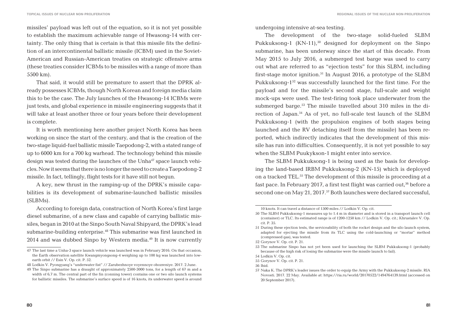missiles' payload was left out of the equation, so it is not yet possible to establish the maximum achievable range of Hwasong-14 with certainty. The only thing that is certain is that this missile fits the definition of an intercontinental ballistic missile (ICBM) used in the Soviet-American and Russian-American treaties on strategic offensive arms (these treaties consider ICBMs to be missiles with a range of more than 5500 km).

That said, it would still be premature to assert that the DPRK already possesses ICBMs, though North Korean and foreign media claim this to be the case. The July launches of the Hwasong-14 ICBMs were just tests, and global experience in missile engineering suggests that it will take at least another three or four years before their development is complete.

It is worth mentioning here another project North Korea has been working on since the start of the century, and that is the creation of the two-stage liquid-fuel ballistic missile Taepodong-2, with a stated range of up to 6000 km for a 700 kg warhead. The technology behind this missile design was tested during the launches of the  $U$ nha<sup>47</sup> space launch vehicles. Now it seems that there is no longer the need to create a Taepodong-2 missile. In fact, tellingly, flight tests for it have still not begun.

A key, new thrust in the ramping-up of the DPRK's missile capabilities is its development of submarine-launched ballistic missiles (SLBMs).

According to foreign data, construction of North Korea's first large diesel submarine, of a new class and capable of carrying ballistic missiles, began in 2010 at the Sinpo South Naval Shipyard, the DPRK's lead submarine-building enterprise.<sup>48</sup> This submarine was first launched in  $2014$  and was dubbed Sinpo by Western media.<sup>49</sup> It is now currently

undergoing intensive at-sea testing.

The development of the two-stage solid-fueled SLBM Pukkuksong-1  $(KN-11)$ ,<sup>50</sup> designed for deployment on the Sinpo submarine, has been underway since the start of this decade. From May 2015 to July 2016, a submerged test barge was used to carry out what are referred to as "ejection tests" for this SLBM, including first-stage motor ignition.51 In August 2016, a prototype of the SLBM Pukkuksong-1<sup>52</sup> was successfully launched for the first time. For the payload and for the missile's second stage, full-scale and weight mock-ups were used. The test-firing took place underwater from the submerged barge.<sup>53</sup> The missile travelled about 310 miles in the direction of Japan.<sup>54</sup> As of yet, no full-scale test launch of the SLBM Pukkuksong-1 (with the propulsion engines of both stages being launched and the RV detaching itself from the missile) has been reported, which indirectly indicates that the development of this missile has run into difficulties. Consequently, it is not yet possible to say when the SLBM Puukykson-1 might enter into service.

The SLBM Pukkuksong-1 is being used as the basis for developing the land-based IRBM Pukkuksong-2 (KN-15) which is deployed on a tracked TEL.55 The development of this missile is proceeding at a fast pace. In February 2017, a first test flight was carried out,<sup>56</sup> before a second one on May 21, 2017.<sup>57</sup> Both launches were declared successful,

<sup>47</sup> The last time a Unha-3 space launch vehicle was launched was in February 2016. On that occasion, the Earth observation satellite Kwangmyongsong-4 weighing up to 100 kg was launched into lowearth orbit // Esin V. Op. cit. P. 52.

<sup>48</sup> Lodkin V. Pyongyang's "underwater fist" // Zarubezhnoye voyennoye obozreniye. 2017. 2 June.

<sup>49</sup> The Sinpo submarine has a draught of approximately 2500-3000 tons, for a length of 67 m and a width of 6,7 m. The central part of the fin (conning tower) contains one or two silo launch systems for ballistic missiles. The submarine's surface speed is of 16 knots, its underwater speed is around

<sup>10</sup> knots. It can travel a distance of 1500 miles // Lodkin V. Op. cit.

<sup>50</sup> The SLBM Pukkuksong-1 measures up to 1.4 m in diameter and is stored in a transport launch cell (container) or TLC. Its estimated range is of 1200-1250 km // Lodkin V. Op. cit.; Khrustalev V. Op. cit. P. 35.

<sup>51</sup> During these ejection tests, the serviceability of both the rocket design and the silo launch system, adapted for ejecting the missile from its TLC using the cold-launching or "mortar" method (compressed gas), was tested.

<sup>52</sup> Gorynov V. Op. cit. P. 21.

<sup>53</sup> The submarine Sinpo has not yet been used for launching the SLBM Pukkuksong-1 (probably because of the high risk of losing the submarine were the missile launch to fail).

<sup>54</sup> Lodkin V. Op. cit.

<sup>55</sup> Gorynov V. Op. cit. P. 21.

<sup>56</sup> Ibid.

<sup>57</sup> Naka K. The DPRK's leader issues the order to equip the Army with the Pukkuksong-2 missile. RIA Novosti. 2017. 22 May. Available at: https://ria.ru/world/20170522/1494764139.html (accessed on 20 September 2017).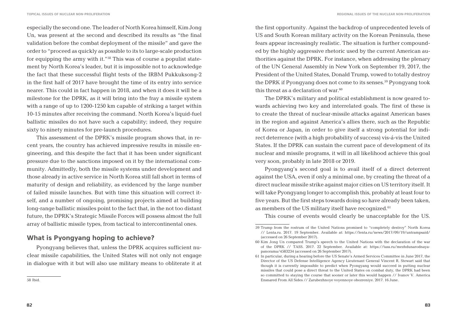especially the second one. The leader of North Korea himself, Kim Jong Un, was present at the second and described its results as "the final validation before the combat deployment of the missile" and gave the order to "proceed as quickly as possible to its to large-scale production for equipping the army with it."58 This was of course a populist statement by North Korea's leader, but it is impossible not to acknowledge the fact that these successful flight tests of the IRBM Pukkuksong-2 in the first half of 2017 have brought the time of its entry into service nearer. This could in fact happen in 2018, and when it does it will be a milestone for the DPRK, as it will bring into the fray a missile system with a range of up to 1200-1250 km capable of striking a target within 10-15 minutes after receiving the command. North Korea's liquid-fuel ballistic missiles do not have such a capability; indeed, they require sixty to ninety minutes for pre-launch procedures.

This assessment of the DPRK's missile program shows that, in recent years, the country has achieved impressive results in missile engineering, and this despite the fact that it has been under significant pressure due to the sanctions imposed on it by the international community. Admittedly, both the missile systems under development and those already in active service in North Korea still fall short in terms of maturity of design and reliability, as evidenced by the large number of failed missile launches. But with time this situation will correct itself, and a number of ongoing, promising projects aimed at building long-range ballistic missiles point to the fact that, in the not too distant future, the DPRK's Strategic Missile Forces will possess almost the full array of ballistic missile types, from tactical to intercontinental ones.

#### **What is Pyongyang hoping to achieve?**

Pyongyang believes that, unless the DPRK acquires sufficient nuclear missile capabilities, the United States will not only not engage in dialogue with it but will also use military means to obliterate it at

The DPRK's military and political establishment is now geared towards achieving two key and interrelated goals. The first of these is to create the threat of nuclear-missile attacks against American bases in the region and against America's allies there, such as the Republic of Korea or Japan, in order to give itself a strong potential for indirect deterrence (with a high probability of success) vis-á-vis the United States. If the DPRK can sustain the current pace of development of its nuclear and missile programs, it will in all likelihood achieve this goal very soon, probably in late 2018 or 2019.

Pyongyang's second goal is to avail itself of a direct deterrent against the USA, even if only a minimal one, by creating the threat of a direct nuclear missile strike against major cities on US territory itself. It will take Pyongyang longer to accomplish this, probably at least four to five years. But the first steps towards doing so have already been taken, as members of the US military itself have recognized.<sup>61</sup>

This course of events would clearly be unacceptable for the US.

the first opportunity. Against the backdrop of unprecedented levels of US and South Korean military activity on the Korean Peninsula, these fears appear increasingly realistic. The situation is further compounded by the highly aggressive rhetoric used by the current American authorities against the DPRK. For instance, when addressing the plenary of the UN General Assembly in New York on September 19, 2017, the President of the United States, Donald Trump, vowed to totally destroy the DPRK if Pyongyang does not come to its senses.<sup>59</sup> Pyongyang took this threat as a declaration of war.<sup>60</sup>

<sup>59</sup> Trump from the rostrum of the United Nations promised to "completely destroy" North Korea // Lenta.ru. 2017. 19 September. Available at: https://lenta.ru/news/2017/09/19/untrampsaid/ (accessed on 26 September 2017).

<sup>60</sup> Kim Jong Un compared Trump's speech to the United Nations with the declaration of the war of the DPRK // TASS. 2017. 22 September. Available at: https://tass.ru/mezhdunarodnayapanorama/4583234 (accessed on 26 September 2017).

<sup>61</sup> In particular, during a hearing before the US Senate's Armed Services Committee in June 2017, the Director of the US Defense Intelligence Agency Lieutenant General Vincent R. Stewart said that though it is currently impossible to predict when Pyongyang would succeed in putting nuclear missiles that could pose a direct threat to the United States on combat duty, the DPRK had been so committed to staying the course that sooner or later this would happen // Ivanov V. America Ensnared From All Sides // Zarubezhnoye voyennoye obozreniye. 2017. 16 June.

<sup>58</sup> Ibid.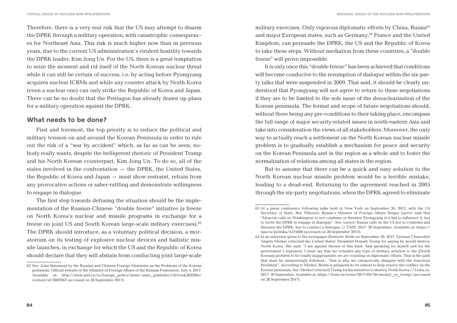Therefore, there is a very real risk that the US may attempt to disarm the DPRK through a military operation, with catastrophic consequences for Northeast Asia. This risk is much higher now than in previous years, due to the current US administration's virulent hostility towards the DPRK leader, Kim Jong Un. For the US, there is a great temptation to seize the moment and rid itself of the North Korean nuclear threat while it can still be certain of success, i.e. by acting before Pyongyang acquires nuclear ICBMs and while any counter attack by North Korea (even a nuclear one) can only strike the Republic of Korea and Japan. There can be no doubt that the Pentagon has already drawn up plans for a military operation against the DPRK.

#### **What needs to be done?**

First and foremost, the top priority is to reduce the political and military tension on and around the Korean Peninsula in order to rule out the risk of a "war by accident" which, as far as can be seen, nobody really wants, despite the belligerent rhetoric of President Trump and his North Korean counterpart, Kim Jong Un. To do so, all of the states involved in the confrontation – the DPRK, the United States, the Republic of Korea and Japan – must show restraint, refrain from any provocative actions or saber-rattling and demonstrate willingness to engage in dialogue.

The first step towards defusing the situation should be the implementation of the Russian-Chinese "double freeze" initiative (a freeze on North Korea's nuclear and missile programs in exchange for a freeze on joint US and South Korean large-scale military exercises).<sup>62</sup> The DPRK should introduce, as a voluntary political decision, a moratorium on its testing of explosive nuclear devices and ballistic missile launches, in exchange for which the US and the Republic of Korea should declare that they will abstain from conducting joint large-scale military exercises. Only vigorous diplomatic efforts by China, Russia<sup>63</sup> and major European states, such as Germany, <sup>64</sup> France and the United Kingdom, can persuade the DPRK, the US and the Republic of Korea to take these steps. Without mediation from these countries, a "double freeze" will prove impossible.

It is only once this "double freeze" has been achieved that conditions will become conducive to the resumption of dialogue within the six-party talks that were suspended in 2009. That said, it should be clearly understood that Pyongyang will not agree to return to these negotiations if they are to be limited to the sole issue of the denuclearization of the Korean peninsula. The format and scope of future negotiations should, without there being any pre-conditions to their taking place, encompass the full range of major security-related issues in north-eastern Asia and take into consideration the views of all stakeholders. Moreover, the only way to actually reach a settlement on the North Korean nuclear missile problem is to gradually establish a mechanism for peace and security on the Korean Peninsula and in the region as a whole and to foster the normalization of relations among all states in the region.

But to assume that there can be a quick and easy solution to the North Korean nuclear missile problem would be a terrible mistake, leading to a dead-end. Returning to the agreement reached in 2005 through the six-party negotiations, when the DPRK agreed to eliminate

<sup>62</sup> See: Joint Statement by the Russian and Chinese Foreign Ministries on the Problems of the Korean peninsula. Official website of the Ministry of Foreign Affairs of the Russian Federation. July 4, 2017. Available at: http://www.mid.ru/ru/foreign\_policy/news/-asset\_publisher/cKNonkJE02Bw/ content/id/2807662 (accessed on 28 September 2017).

<sup>63</sup> At a press conference following talks held in New York on September 20, 2017, with the US Secretary of State, Rex Tillerson, Russia's Minister of Foreign Affairs Sergey Lavrov said that "Moscow calls on Washington to not condemn or threaten Pyongyang in a bid to influence it, but to invite the DPRK to engage in dialogue". See: Lavrov: Russia calls on the US not to condemn and threaten the DPRK, but to conduct a dialogue // TASS. 2017. 20 September. Available at: https:// tass.ru/politika/4575600 (accessed on 28 September 2017).

<sup>64</sup> In an interview given to the newspaper *Deutsche Welle* on September 20, 2017, German Chancellor Angela Merkel criticized the United States' President Donald Trump for saying he would destroy North Korea. She said: "I am against threats of this kind. And speaking for myself and for the government I represent, I must say that we consider any type of military solution to the [North Korean] problem to be totally inappropriate; we are counting on diplomatic efforts. That is the path that must be unswervingly followed... That is why we categorically disagree with the American President". According to Merkel, Berlin is prepared do its utmost to help resolve the conflict on the Korean peninsula. See: Merkel criticized Trump for his intention to destroy North Korea // Lenta.ru. 2017. 20 September. Available at: https://lenta.ru/news/2017/09/20/merkel\_vs\_trump/ (accessed on 28 September 2017).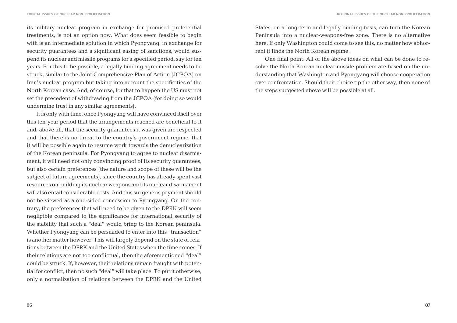its military nuclear program in exchange for promised preferential treatments, is not an option now. What does seem feasible to begin with is an intermediate solution in which Pyongyang, in exchange for security guarantees and a significant easing of sanctions, would suspend its nuclear and missile programs for a specified period, say for ten years. For this to be possible, a legally binding agreement needs to be struck, similar to the Joint Comprehensive Plan of Action (JCPOA) on Iran's nuclear program but taking into account the specificities of the North Korean case. And, of course, for that to happen the US must not set the precedent of withdrawing from the JCPOA (for doing so would undermine trust in any similar agreements).

It is only with time, once Pyongyang will have convinced itself over this ten-year period that the arrangements reached are beneficial to it and, above all, that the security guarantees it was given are respected and that there is no threat to the country's government regime, that it will be possible again to resume work towards the denuclearization of the Korean peninsula. For Pyongyang to agree to nuclear disarmament, it will need not only convincing proof of its security guarantees, but also certain preferences (the nature and scope of these will be the subject of future agreements), since the country has already spent vast resources on building its nuclear weapons and its nuclear disarmament will also entail considerable costs. And this sui generis payment should not be viewed as a one-sided concession to Pyongyang. On the contrary, the preferences that will need to be given to the DPRK will seem negligible compared to the significance for international security of the stability that such a "deal" would bring to the Korean peninsula. Whether Pyongyang can be persuaded to enter into this "transaction" is another matter however. This will largely depend on the state of relations between the DPRK and the United States when the time comes. If their relations are not too conflictual, then the aforementioned "deal" could be struck. If, however, their relations remain fraught with potential for conflict, then no such "deal" will take place. To put it otherwise, only a normalization of relations between the DPRK and the United

States, on a long-term and legally binding basis, can turn the Korean Peninsula into a nuclear-weapons-free zone. There is no alternative here. If only Washington could come to see this, no matter how abhorrent it finds the North Korean regime.

One final point. All of the above ideas on what can be done to resolve the North Korean nuclear missile problem are based on the understanding that Washington and Pyongyang will choose cooperation over confrontation. Should their choice tip the other way, then none of the steps suggested above will be possible at all.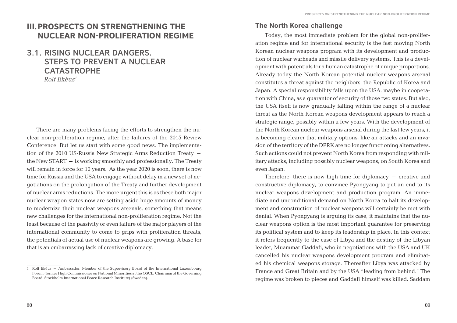## **III.PROSPECTS ON STRENGTHENING THE NUCLEAR NON-PROLIFERATION REGIME**

#### 3.1. RISING NUCLEAR DANGERS. STEPS TO PREVENT A NUCLEAR **CATASTROPHE**  *Rolf Ekeus1*

There are many problems facing the efforts to strengthen the nuclear non-proliferation regime, after the failures of the 2015 Review Conference. But let us start with some good news. The implementation of the 2010 US-Russia New Strategic Arms Reduction Treaty – the New START – is working smoothly and professionally. The Treaty will remain in force for 10 years. As the year 2020 is soon, there is now time for Russia and the USA to engage without delay in a new set of negotiations on the prolongation of the Treaty and further development of nuclear arms reductions. The more urgent this is as these both major nuclear weapon states now are setting aside huge amounts of money to modernize their nuclear weapons arsenals, something that means new challenges for the international non-proliferation regime. Not the least because of the passivity or even failure of the major players of the international community to come to grips with proliferation threats, the potentials of actual use of nuclear weapons are growing. A base for that is an embarrassing lack of creative diplomacy.

#### **The North Korea challenge**

Today, the most immediate problem for the global non-proliferation regime and for international security is the fast moving North Korean nuclear weapons program with its development and production of nuclear warheads and missile delivery systems. This is a development with potentials for a human catastrophe of unique proportions. Already today the North Korean potential nuclear weapons arsenal constitutes a threat against the neighbors, the Republic of Korea and Japan. A special responsibility falls upon the USA, maybe in cooperation with China, as a guarantor of security of those two states. But also, the USA itself is now gradually falling within the range of a nuclear threat as the North Korean weapons development appears to reach a strategic range, possibly within a few years. With the development of the North Korean nuclear weapons arsenal during the last few years, it is becoming clearer that military options, like air attacks and an invasion of the territory of the DPRK are no longer functioning alternatives. Such actions could not prevent North Korea from responding with military attacks, including possibly nuclear weapons, on South Korea and even Japan.

Therefore, there is now high time for diplomacy  $-$  creative and constructive diplomacy, to convince Pyongyang to put an end to its nuclear weapons development and production program. An immediate and unconditional demand on North Korea to halt its development and construction of nuclear weapons will certainly be met with denial. When Pyongyang is arguing its case, it maintains that the nuclear weapons option is the most important guarantee for preserving its political system and to keep its leadership in place. In this context it refers frequently to the case of Libya and the destiny of the Libyan leader, Muammar Gaddafi, who in negotiations with the USA and UK cancelled his nuclear weapons development program and eliminated his chemical weapons storage. Thereafter Libya was attacked by France and Great Britain and by the USA "leading from behind." The regime was broken to pieces and Gaddafi himself was killed. Saddam

<sup>1</sup> Rolf Ekeus – Ambassador, Member of the Supervisory Board of the International Luxembourg Forum (former High Commissioner on National Minorities at the OSCE; Chairman of the Governing Board, Stockholm International Peace Research Institute) (Sweden).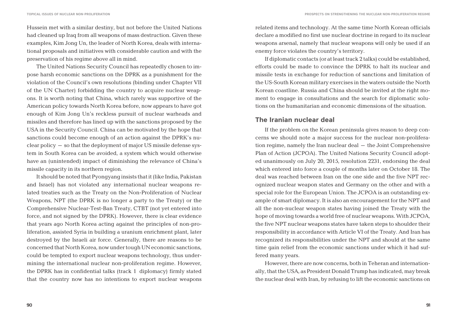Hussein met with a similar destiny, but not before the United Nations had cleaned up Iraq from all weapons of mass destruction. Given these examples, Kim Jong Un, the leader of North Korea, deals with international proposals and initiatives with considerable caution and with the preservation of his regime above all in mind.

The United Nations Security Council has repeatedly chosen to impose harsh economic sanctions on the DPRK as a punishment for the violation of the Council's own resolutions (binding under Chapter VII of the UN Charter) forbidding the country to acquire nuclear weapons. It is worth noting that China, which rarely was supportive of the American policy towards North Korea before, now appears to have got enough of Kim Jong Un's reckless pursuit of nuclear warheads and missiles and therefore has lined up with the sanctions proposed by the USA in the Security Council. China can be motivated by the hope that sanctions could become enough of an action against the DPRK's nuclear policy – so that the deployment of major US missile defense system in South Korea can be avoided, a system which would otherwise have an (unintended) impact of diminishing the relevance of China's missile capacity in its northern region.

It should be noted that Pyongyang insists that it (like India, Pakistan and Israel) has not violated any international nuclear weapons related treaties such as the Treaty on the Non-Proliferation of Nuclear Weapons, NPT (the DPRK is no longer a party to the Treaty) or the Comprehensive Nuclear-Test-Ban Treaty, CTBT (not yet entered into force, and not signed by the DPRK). However, there is clear evidence that years ago North Korea acting against the principles of non-proliferation, assisted Syria in building a uranium enrichment plant, later destroyed by the Israeli air force. Generally, there are reasons to be concerned that North Korea, now under tough UN economic sanctions, could be tempted to export nuclear weapons technology, thus undermining the international nuclear non-proliferation regime. However, the DPRK has in confidential talks (track 1 diplomacy) firmly stated that the country now has no intentions to export nuclear weapons

related items and technology. At the same time North Korean officials declare a modified no first use nuclear doctrine in regard to its nuclear weapons arsenal, namely that nuclear weapons will only be used if an enemy force violates the country's territory.

If diplomatic contacts (or at least track 2 talks) could be established, efforts could be made to convince the DPRK to halt its nuclear and missile tests in exchange for reduction of sanctions and limitation of the US-South Korean military exercises in the waters outside the North Korean coastline. Russia and China should be invited at the right moment to engage in consultations and the search for diplomatic solutions on the humanitarian and economic dimensions of the situation.

#### **The Iranian nuclear deal**

If the problem on the Korean peninsula gives reason to deep concerns we should note a major success for the nuclear non-proliferation regime, namely the Iran nuclear deal – the Joint Comprehensive Plan of Action (JCPOA). The United Nations Security Council adopted unanimously on July 20, 2015, resolution 2231, endorsing the deal which entered into force a couple of months later on October 18. The deal was reached between Iran on the one side and the five NPT recognized nuclear weapon states and Germany on the other and with a special role for the European Union. The JCPOA is an outstanding example of smart diplomacy. It is also an encouragement for the NPT and all the non-nuclear weapon states having joined the Treaty with the hope of moving towards a world free of nuclear weapons. With JCPOA, the five NPT nuclear weapons states have taken steps to shoulder their responsibility in accordance with Article VI of the Treaty. And Iran has recognized its responsibilities under the NPT and should at the same time gain relief from the economic sanctions under which it had suffered many years.

However, there are now concerns, both in Teheran and internationally, that the USA, as President Donald Trump has indicated, may break the nuclear deal with Iran, by refusing to lift the economic sanctions on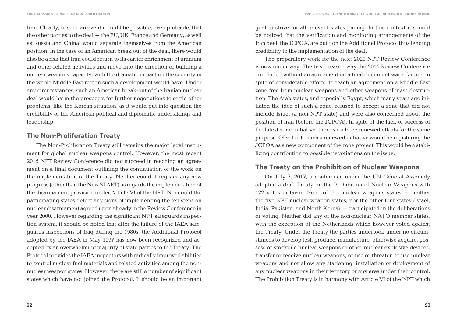Iran. Clearly, in such an event it could be possible, even probable, that the other parties to the deal– the EU, UK, France and Germany, as well as Russia and China, would separate themselves from the American position. In the case of an American break out of the deal, there would also be a risk that Iran could return to its earlier enrichment of uranium and other related activities and move into the direction of building a nuclear weapons capacity, with the dramatic impact on the security in the whole Middle East region such a development would have. Under any circumstances, such an American break-out of the Iranian nuclear deal would harm the prospects for further negotiations to settle other problems, like the Korean situation, as it would put into question the credibility of the American political and diplomatic undertakings and leadership.

#### **The Non-Proliferation Treaty**

The Non-Proliferation Treaty still remains the major legal instrument for global nuclear weapons control. However, the most recent 2015 NPT Review Conference did not succeed in reaching an agreement on a final document outlining the continuation of the work on the implementation of the Treaty. Neither could it register any new progress (other than the New START) as regards the implementation of the disarmament provision under Article VI of the NPT. Nor could the participating states detect any signs of implementing the ten steps on nuclear disarmament agreed upon already in the Review Conference in year 2000. However regarding the significant NPT safeguards inspection system, it should be noted that after the failure of the IAEA safeguards inspections of Iraq during the 1980s, the Additional Protocol adopted by the IAEA in May 1997 has now been recognized and accepted by an overwhelming majority of state parties to the Treaty. The Protocol provides the IAEA inspectors with radically improved abilities to control nuclear fuel materials and related activities among the nonnuclear weapon states. However, there are still a number of significant states which have not joined the Protocol. It should be an important

goal to strive for all relevant states joining. In this context it should be noticed that the verification and monitoring arrangements of the Iran deal, the JCPOA, are built on the Additional Protocol thus lending credibility to the implementation of the deal.

The preparatory work for the next 2020 NPT Review Conference is now under way. The basic reason why the 2015 Review Conference concluded without an agreement on a final document was a failure, in spite of considerable efforts, to reach an agreement on a Middle East zone free from nuclear weapons and other weapons of mass destruction. The Arab states, and especially Egypt, which many years ago initiated the idea of such a zone, refused to accept a zone that did not include Israel (a non-NPT state) and were also concerned about the position of Iran (before the JCPOA). In spite of the lack of success of the latest zone initiative, there should be renewed efforts for the same purpose. Of value to such a renewed initiative would be registering the JCPOA as a new component of the zone project. This would be a stabilizing contribution to possible negotiations on the issue.

#### **The Treaty on the Prohibition of Nuclear Weapons**

On July 7, 2017, a conference under the UN General Assembly adopted a draft Treaty on the Prohibition of Nuclear Weapons with 122 votes in favor. None of the nuclear weapons states – neither the five NPT nuclear weapon states, nor the other four states (Israel, India, Pakistan, and North Korea) – participated in the deliberations or voting. Neither did any of the non-nuclear NATO member states, with the exception of the Netherlands which however voted against the Treaty. Under the Treaty the parties undertook under no circumstances to develop test, produce, manufacture, otherwise acquire, possess or stockpile nuclear weapons or other nuclear explosive devices, transfer or receive nuclear weapons, or use or threaten to use nuclear weapons and not allow any stationing, installation or deployment of any nuclear weapons in their territory or any area under their control. The Prohibition Treaty is in harmony with Article VI of the NPT which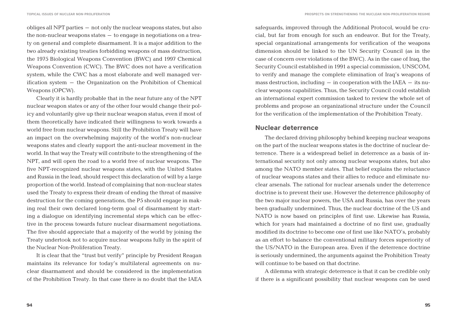obliges all NPT parties – not only the nuclear weapons states, but also the non-nuclear weapons states – to engage in negotiations on a treaty on general and complete disarmament. It is a major addition to the two already existing treaties forbidding weapons of mass destruction, the 1975 Biological Weapons Convention (BWC) and 1997 Chemical Weapons Convention (CWC). The BWC does not have a verification system, while the CWC has a most elaborate and well managed verification system – the Organization on the Prohibition of Chemical Weapons (OPCW).

Clearly it is hardly probable that in the near future any of the NPT nuclear weapon states or any of the other four would change their policy and voluntarily give up their nuclear weapon status, even if most of them theoretically have indicated their willingness to work towards a world free from nuclear weapons. Still the Prohibition Treaty will have an impact on the overwhelming majority of the world's non-nuclear weapons states and clearly support the anti-nuclear movement in the world. In that way the Treaty will contribute to the strengthening of the NPT, and will open the road to a world free of nuclear weapons. The five NPT-recognized nuclear weapons states, with the United States and Russia in the lead, should respect this declaration of will by a large proportion of the world. Instead of complaining that non-nuclear states used the Treaty to express their dream of ending the threat of massive destruction for the coming generations, the P5 should engage in making real their own declared long-term goal of disarmament by starting a dialogue on identifying incremental steps which can be effective in the process towards future nuclear disarmament negotiations. The five should appreciate that a majority of the world by joining the Treaty undertook not to acquire nuclear weapons fully in the spirit of the Nuclear Non-Proliferation Treaty.

It is clear that the "trust but verify" principle by President Reagan maintains its relevance for today's multilateral agreements on nuclear disarmament and should be considered in the implementation of the Prohibition Treaty. In that case there is no doubt that the IAEA **PROSPECTS ON STRENGTHENING THE NUCLEAR NON-PROLIFERATION REGIME**

safeguards, improved through the Additional Protocol, would be crucial, but far from enough for such an endeavor. But for the Treaty, special organizational arrangements for verification of the weapons dimension should be linked to the UN Security Council (as in the case of concern over violations of the BWC). As in the case of Iraq, the Security Council established in 1991 a special commission, UNSCOM, to verify and manage the complete elimination of Iraq's weapons of mass destruction, including  $-$  in cooperation with the IAEA  $-$  its nuclear weapons capabilities. Thus, the Security Council could establish an international expert commission tasked to review the whole set of problems and propose an organizational structure under the Council for the verification of the implementation of the Prohibition Treaty.

#### **Nuclear deterrence**

The declared driving philosophy behind keeping nuclear weapons on the part of the nuclear weapons states is the doctrine of nuclear deterrence. There is a widespread belief in deterrence as a basis of international security not only among nuclear weapons states, but also among the NATO member states. That belief explains the reluctance of nuclear weapons states and their allies to reduce and eliminate nuclear arsenals. The rational for nuclear arsenals under the deterrence doctrine is to prevent their use. However the deterrence philosophy of the two major nuclear powers, the USA and Russia, has over the years been gradually undermined. Thus, the nuclear doctrine of the US and NATO is now based on principles of first use. Likewise has Russia, which for years had maintained a doctrine of no first use, gradually modified its doctrine to become one of first use like NATO's, probably as an effort to balance the conventional military forces superiority of the US/NATO in the European area. Even if the deterrence doctrine is seriously undermined, the arguments against the Prohibition Treaty will continue to be based on that doctrine.

A dilemma with strategic deterrence is that it can be credible only if there is a significant possibility that nuclear weapons can be used

**94 95**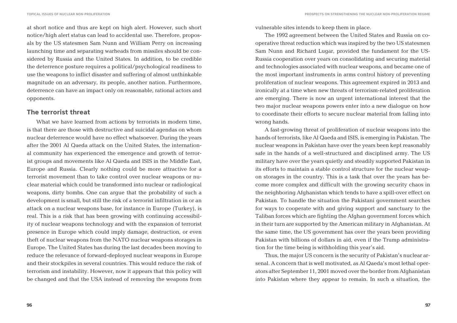**PROSPECTS ON STRENGTHENING THE NUCLEAR NON-PROLIFERATION REGIME**

at short notice and thus are kept on high alert. However, such short notice/high alert status can lead to accidental use. Therefore, proposals by the US statesmen Sam Nunn and William Perry on increasing launching time and separating warheads from missiles should be considered by Russia and the United States. In addition, to be credible the deterrence posture requires a political/psychological readiness to use the weapons to inflict disaster and suffering of almost unthinkable magnitude on an adversary, its people, another nation. Furthermore, deterrence can have an impact only on reasonable, rational actors and opponents.

#### **The terrorist threat**

What we have learned from actions by terrorists in modern time, is that there are those with destructive and suicidal agendas on whom nuclear deterrence would have no effect whatsoever. During the years after the 2001 Al Qaeda attack on the United States, the international community has experienced the emergence and growth of terrorist groups and movements like Al Qaeda and ISIS in the Middle East, Europe and Russia. Clearly nothing could be more attractive for a terrorist movement than to take control over nuclear weapons or nuclear material which could be transformed into nuclear or radiological weapons, dirty bombs. One can argue that the probability of such a development is small, but still the risk of a terrorist infiltration in or an attack on a nuclear weapons base, for instance in Europe (Turkey), is real. This is a risk that has been growing with continuing accessibility of nuclear weapons technology and with the expansion of terrorist presence in Europe which could imply damage, destruction, or even theft of nuclear weapons from the NATO nuclear weapons storages in Europe. The United States has during the last decades been moving to reduce the relevance of forward-deployed nuclear weapons in Europe and their stockpiles in several countries. This would reduce the risk of terrorism and instability. However, now it appears that this policy will be changed and that the USA instead of removing the weapons from

vulnerable sites intends to keep them in place.

The 1992 agreement between the United States and Russia on cooperative threat reduction which was inspired by the two US statesmen Sam Nunn and Richard Lugar, provided the fundament for the US-Russia cooperation over years on consolidating and securing material and technologies associated with nuclear weapons, and became one of the most important instruments in arms control history of preventing proliferation of nuclear weapons. This agreement expired in 2013 and ironically at a time when new threats of terrorism-related proliferation are emerging. There is now an urgent international interest that the two major nuclear weapons powers enter into a new dialogue on how to coordinate their efforts to secure nuclear material from falling into wrong hands.

A fast-growing threat of proliferation of nuclear weapons into the hands of terrorists, like Al Qaeda and ISIS, is emerging in Pakistan. The nuclear weapons in Pakistan have over the years been kept reasonably safe in the hands of a well-structured and disciplined army. The US military have over the years quietly and steadily supported Pakistan in its efforts to maintain a stable control structure for the nuclear weapon storages in the country. This is a task that over the years has become more complex and difficult with the growing security chaos in the neighboring Afghanistan which tends to have a spill-over effect on Pakistan. To handle the situation the Pakistani government searches for ways to cooperate with and giving support and sanctuary to the Taliban forces which are fighting the Afghan government forces which in their turn are supported by the American military in Afghanistan. At the same time, the US government has over the years been providing Pakistan with billions of dollars in aid, even if the Trump administration for the time being is withholding this year's aid.

Thus, the major US concern is the security of Pakistan's nuclear arsenal. A concern that is well motivated, as Al Qaeda's most lethal operators after September 11, 2001 moved over the border from Afghanistan into Pakistan where they appear to remain. In such a situation, the

**96 97**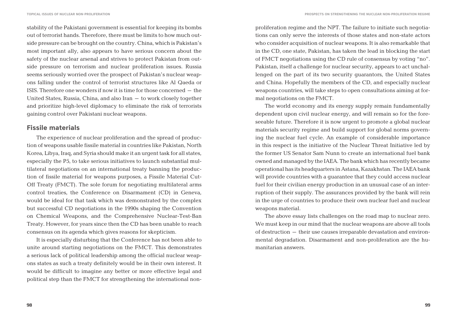stability of the Pakistani government is essential for keeping its bombs out of terrorist hands. Therefore, there must be limits to how much outside pressure can be brought on the country. China, which is Pakistan's most important ally, also appears to have serious concern about the safety of the nuclear arsenal and strives to protect Pakistan from outside pressure on terrorism and nuclear proliferation issues. Russia seems seriously worried over the prospect of Pakistan's nuclear weapons falling under the control of terrorist structures like Al Qaeda or ISIS. Therefore one wonders if now it is time for those concerned – the United States, Russia, China, and also Iran – to work closely together and prioritize high-level diplomacy to eliminate the risk of terrorists gaining control over Pakistani nuclear weapons.

#### **Fissile materials**

The experience of nuclear proliferation and the spread of production of weapons usable fissile material in countries like Pakistan, North Korea, Libya, Iraq, and Syria should make it an urgent task for all states, especially the P5, to take serious initiatives to launch substantial multilateral negotiations on an international treaty banning the production of fissile material for weapons purposes, a Fissile Material Cut-Off Treaty (FMCT). The sole forum for negotiating multilateral arms control treaties, the Conference on Disarmament (CD) in Geneva, would be ideal for that task which was demonstrated by the complex but successful CD negotiations in the 1990s shaping the Convention on Chemical Weapons, and the Comprehensive Nuclear-Test-Ban Treaty. However, for years since then the CD has been unable to reach consensus on its agenda which gives reasons for skepticism.

It is especially disturbing that the Conference has not been able to unite around starting negotiations on the FMCT. This demonstrates a serious lack of political leadership among the official nuclear weapons states as such a treaty definitely would be in their own interest. It would be difficult to imagine any better or more effective legal and political step than the FMCT for strengthening the international nonproliferation regime and the NPT. The failure to initiate such negotiations can only serve the interests of those states and non-state actors who consider acquisition of nuclear weapons. It is also remarkable that in the CD, one state, Pakistan, has taken the lead in blocking the start of FMCT negotiations using the CD rule of consensus by voting "no". Pakistan, itself a challenge for nuclear security, appears to act unchallenged on the part of its two security guarantors, the United States and China. Hopefully the members of the CD, and especially nuclear weapons countries, will take steps to open consultations aiming at formal negotiations on the FMCT.

The world economy and its energy supply remain fundamentally dependent upon civil nuclear energy, and will remain so for the foreseeable future. Therefore it is now urgent to promote a global nuclear materials security regime and build support for global norms governing the nuclear fuel cycle. An example of considerable importance in this respect is the initiative of the Nuclear Threat Initiative led by the former US Senator Sam Nunn to create an international fuel bank owned and managed by the IAEA. The bank which has recently became operational has its headquarters in Astana, Kazakhstan. The IAEA bank will provide countries with a guarantee that they could access nuclear fuel for their civilian energy production in an unusual case of an interruption of their supply. The assurances provided by the bank will rein in the urge of countries to produce their own nuclear fuel and nuclear weapons material.

The above essay lists challenges on the road map to nuclear zero. We must keep in our mind that the nuclear weapons are above all tools of destruction – their use causes irreparable devastation and environmental degradation. Disarmament and non-proliferation are the humanitarian answers.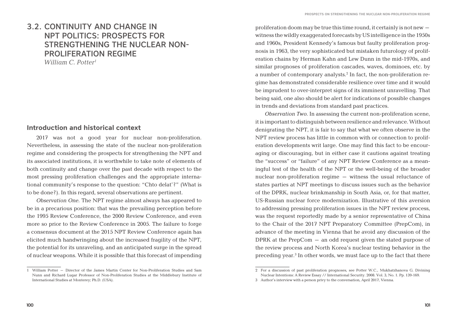### 3.2. CONTINUITY AND CHANGE IN NPT POLITICS: PROSPECTS FOR STRENGTHENING THE NUCLEAR NON-PROLIFERATION REGIME

 *William C. Potter1*

#### **Introduction and historical context**

2017 was not a good year for nuclear non-proliferation. Nevertheless, in assessing the state of the nuclear non-proliferation regime and considering the prospects for strengthening the NPT and its associated institutions, it is worthwhile to take note of elements of both continuity and change over the past decade with respect to the most pressing proliferation challenges and the appropriate international community's response to the question: "Chto delat'?" (What is to be done?). In this regard, several observations are pertinent.

*Observation One.* The NPT regime almost always has appeared to be in a precarious position: that was the prevailing perception before the 1995 Review Conference, the 2000 Review Conference, and even more so prior to the Review Conference in 2005. The failure to forge a consensus document at the 2015 NPT Review Conference again has elicited much handwringing about the increased fragility of the NPT, the potential for its unraveling, and an anticipated surge in the spread of nuclear weapons. While it is possible that this forecast of impending

proliferation doom may be true this time round, it certainly is not new– witness the wildly exaggerated forecasts by US intelligence in the 1950s and 1960s, President Kennedy's famous but faulty proliferation prognosis in 1963, the very sophisticated but mistaken futurology of proliferation chains by Herman Kahn and Lew Dunn in the mid-1970s, and similar prognoses of proliferation cascades, waves, dominoes, etc. by a number of contemporary analysts.2 In fact, the non-proliferation regime has demonstrated considerable resilience over time and it would be imprudent to over-interpret signs of its imminent unravelling. That being said, one also should be alert for indications of possible changes in trends and deviations from standard past practices.

*Observation Two.* In assessing the current non-proliferation scene, it is important to distinguish between resilience and relevance. Without denigrating the NPT, it is fair to say that what we often observe in the NPT review process has little in common with or connection to proliferation developments writ large. One may find this fact to be encouraging or discouraging, but in either case it cautions against treating the "success" or "failure" of any NPT Review Conference as a meaningful test of the health of the NPT or the well-being of the broader nuclear non-proliferation regime – witness the usual reluctance of states parties at NPT meetings to discuss issues such as the behavior of the DPRK, nuclear brinkmanship in South Asia, or, for that matter, US-Russian nuclear force modernization. Illustrative of this aversion to addressing pressing proliferation issues in the NPT review process, was the request reportedly made by a senior representative of China to the Chair of the 2017 NPT Preparatory Committee (PrepCom), in advance of the meeting in Vienna that he avoid any discussion of the DPRK at the PrepCom – an odd request given the stated purpose of the review process and North Korea's nuclear testing behavior in the preceding year.<sup>3</sup> In other words, we must face up to the fact that there

<sup>1</sup> William Potter – Director of the James Martin Center for Non-Proliferation Studies and Sam Nunn and Richard Lugar Professor of Non-Proliferation Studies at the Middlebury Institute of International Studies at Monterey; Ph.D. (USA).

<sup>2</sup> For a discussion of past proliferation prognoses, see Potter W.C., Mukhatzhanova G. Divining Nuclear Intentions: A Review Essay // International Security. 2008. Vol. 3, No. 1. Pp. 139-169.

<sup>3</sup> Author's interview with a person privy to the conversation, April 2017, Vienna.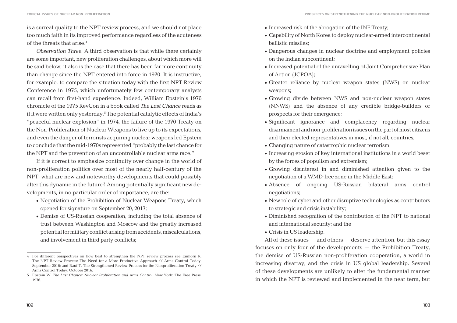is a surreal quality to the NPT review process, and we should not place too much faith in its improved performance regardless of the acuteness of the threats that arise.4

*Observation Three.* A third observation is that while there certainly are some important, new proliferation challenges, about which more will be said below, it also is the case that there has been far more continuity than change since the NPT entered into force in 1970. It is instructive, for example, to compare the situation today with the first NPT Review Conference in 1975, which unfortunately few contemporary analysts can recall from first-hand experience. Indeed, William Epstein's 1976 chronicle of the 1975 RevCon in a book called *The Last Chance* reads as if it were written only yesterday.5 The potential catalytic effects of India's "peaceful nuclear explosion" in 1974, the failure of the 1970 Treaty on the Non-Proliferation of Nuclear Weapons to live up to its expectations, and even the danger of terrorists acquiring nuclear weapons led Epstein to conclude that the mid-1970s represented "probably the last chance for the NPT and the prevention of an uncontrollable nuclear arms race."

If it is correct to emphasize continuity over change in the world of non-proliferation politics over most of the nearly half-century of the NPT, what are new and noteworthy developments that could possibly alter this dynamic in the future? Among potentially significant new developments, in no particular order of importance, are the:

- Negotiation of the Prohibition of Nuclear Weapons Treaty, which opened for signature on September 20, 2017;
- Demise of US-Russian cooperation, including the total absence of trust between Washington and Moscow and the greatly increased potential for military conflict arising from accidents, miscalculations, and involvement in third party conflicts;
- Increased risk of the abrogation of the INF Treaty:
- • Capability of North Korea to deploy nuclear-armed intercontinental ballistic missiles;
- Dangerous changes in nuclear doctrine and employment policies on the Indian subcontinent;
- Increased potential of the unravelling of Joint Comprehensive Plan of Action (JCPOA);
- Greater reliance by nuclear weapon states (NWS) on nuclear weapons;
- Growing divide between NWS and non-nuclear weapon states (NNWS) and the absence of any credible bridge-builders or prospects for their emergence;
- • Significant ignorance and complacency regarding nuclear disarmament and non-proliferation issues on the part of most citizens and their elected representatives in most, if not all, countries;
- Changing nature of catastrophic nuclear terrorism;
- Increasing erosion of key international institutions in a world beset by the forces of populism and extremism;
- • Growing disinterest in and diminished attention given to the negotiation of a WMD-free zone in the Middle East;
- • Absence of ongoing US-Russian bilateral arms control negotiations;
- New role of cyber and other disruptive technologies as contributors to strategic and crisis instability;
- • Diminished recognition of the contribution of the NPT to national and international security; and the
- • Crisis in US leadership.

All of these issues  $-$  and others  $-$  deserve attention, but this essay focuses on only four of the developments – the Prohibition Treaty, the demise of US-Russian non-proliferation cooperation, a world in increasing disarray, and the crisis in US global leadership. Several of these developments are unlikely to alter the fundamental manner in which the NPT is reviewed and implemented in the near term, but

<sup>4</sup> For different perspectives on how best to strengthen the NPT review process see Einhorn R. The NPT Review Process: The Need for a More Productive Approach // Arms Control Today. September 2016; and Rauf T. The Strengthened Review Process for the Nonproliferation Treaty // Arms Control Today. October 2016.

<sup>5</sup> Epstein W. *The Last Chance: Nuclear Proliferation and Arms Control*. New York: The Free Press, 1976.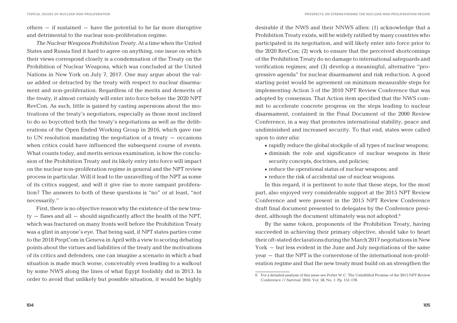others – if sustained – have the potential to be far more disruptive and detrimental to the nuclear non-proliferation regime.

*The Nuclear Weapons Prohibition Treaty.* At a time when the United States and Russia find it hard to agree on anything, one issue on which their views correspond closely is a condemnation of the Treaty on the Prohibition of Nuclear Weapons, which was concluded at the United Nations in New York on July 7, 2017. One may argue about the value added or detracted by the treaty with respect to nuclear disarmament and non-proliferation. Regardless of the merits and demerits of the treaty, it almost certainly will enter into force before the 2020 NPT RevCon. As such, little is gained by casting aspersions about the motivations of the treaty's negotiators, especially as those most inclined to do so boycotted both the treaty's negotiations as well as the deliberations of the Open Ended Working Group in 2016, which gave rise to UN resolution mandating the negotiation of a treaty – occasions when critics could have influenced the subsequent course of events. What counts today, and merits serious examination, is how the conclusion of the Prohibition Treaty and its likely entry into force will impact on the nuclear non-proliferation regime in general and the NPT review process in particular. Will it lead to the unravelling of the NPT as some of its critics suggest, and will it give rise to more rampant proliferation? The answers to both of these questions is "no" or at least, "not necessarily."

First, there is no objective reason why the existence of the new treaty – flaws and all – should significantly affect the health of the NPT, which was fractured on many fronts well before the Prohibition Treaty was a glint in anyone's eye. That being said, if NPT states parties come to the 2018 PrepCom in Geneva in April with a view to scoring debating points about the virtues and liabilities of the treaty and the motivations of its critics and defenders, one can imagine a scenario in which a bad situation is made much worse, conceivably even leading to a walkout by some NWS along the lines of what Egypt foolishly did in 2013. In order to avoid that unlikely but possible situation, it would be highly desirable if the NWS and their NNWS allies: (1) acknowledge that a Prohibition Treaty exists, will be widely ratified by many countries who participated in its negotiation, and will likely enter into force prior to the 2020 RevCon; (2) work to ensure that the perceived shortcomings of the Prohibition Treaty do no damage to international safeguards and verification regimes; and (3) develop a meaningful, alternative "progressive agenda" for nuclear disarmament and risk reduction. A good starting point would be agreement on minimum measurable steps for implementing Action 5 of the 2010 NPT Review Conference that was adopted by consensus. That Action item specified that the NWS commit to accelerate concrete progress on the steps leading to nuclear disarmament, contained in the Final Document of the 2000 Review Conference, in a way that promotes international stability, peace and undiminished and increased security. To that end, states were called upon to *inter alia*:

- rapidly reduce the global stockpile of all types of nuclear weapons;
- diminish the role and significance of nuclear weapons in their security concepts, doctrines, and policies;
- reduce the operational status of nuclear weapons; and
- reduce the risk of accidental use of nuclear weapons.

In this regard, it is pertinent to note that these steps, for the most part, also enjoyed very considerable support at the 2015 NPT Review Conference and were present in the 2015 NPT Review Conference draft final document presented to delegates by the Conference president, although the document ultimately was not adopted.<sup>6</sup>

By the same token, proponents of the Prohibition Treaty, having succeeded in achieving their primary objective, should take to heart their oft-stated declarations during the March 2017 negotiations in New York – but less evident in the June and July negotiations of the same year – that the NPT is the cornerstone of the international non-proliferation regime and that the new treaty must build on an strengthen the

<sup>6</sup> For a detailed analysis of this issue see Potter W.C. The Unfulfilled Promise of the 2015 NPT Review Conference // Survival. 2016. Vol. 58, No. 1. Pp. 151-178.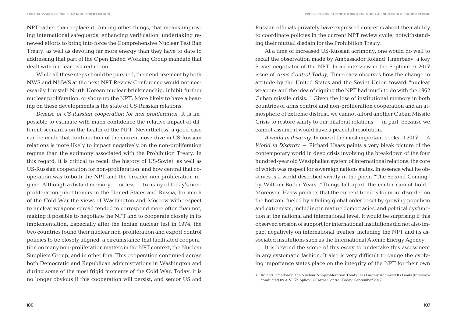NPT rather than replace it. Among other things, that means improving international safeguards, enhancing verification, undertaking renewed efforts to bring into force the Comprehensive Nuclear Test Ban Treaty, as well as devoting far more energy than they have to date to addressing that part of the Open Ended Working Group mandate that dealt with nuclear risk reduction.

While all these steps should be pursued, their endorsement by both NWS and NNWS at the next NPT Review Conference would not necessarily forestall North Korean nuclear brinkmanship, inhibit further nuclear proliferation, or shore up the NPT. More likely to have a bearing on these developments is the state of US-Russian relations.

*Demise of US-Russian cooperation for non-proliferation.* It is impossible to estimate with much confidence the relative impact of different scenarios on the health of the NPT. Nevertheless, a good case can be made that continuation of the current nose-dive in US-Russian relations is more likely to impact negatively on the non-proliferation regime than the acrimony associated with the Prohibition Treaty. In this regard, it is critical to recall the history of US-Soviet, as well as US-Russian cooperation for non-proliferation, and how central that cooperation was to both the NPT and the broader non-proliferation regime. Although a distant memory – or less – to many of today's nonproliferation practitioners in the United States and Russia, for much of the Cold War the views of Washington and Moscow with respect to nuclear weapons spread tended to correspond more often than not, making it possible to negotiate the NPT and to cooperate closely in its implementation. Especially after the Indian nuclear test in 1974, the two countries found their nuclear non-proliferation and export control policies to be closely aligned, a circumstance that facilitated cooperation on many non-proliferation matters in the NPT context, the Nuclear Suppliers Group, and in other fora. This cooperation continued across both Democratic and Republican administrations in Washington and during some of the most frigid moments of the Cold War. Today, it is no longer obvious if this cooperation will persist, and senior US and

Russian officials privately have expressed concerns about their ability to coordinate policies in the current NPT review cycle, notwithstanding their mutual disdain for the Prohibition Treaty.

At a time of increased US-Russian acrimony, one would do well to recall the observation made by Ambassador Roland Timerbaev, a key Soviet negotiator of the NPT. In an interview in the September 2017 issue of *Arms Control Today*, Timerbaev observes how the change in attitude by the United States and the Soviet Union toward "nuclear weapons and the idea of signing the NPT had much to do with the 1962 Cuban missile crisis."7 Given the loss of institutional memory in both countries of arms control and non-proliferation cooperation and an atmosphere of extreme distrust, we cannot afford another Cuban Missile Crisis to restore sanity to our bilateral relations – in part, because we cannot assume it would have a peaceful resolution.

*A world in disarray.* In one of the most important books of 2017 – *A World in Disarray* – Richard Haass paints a very bleak picture of the contemporary world in deep crisis involving the breakdown of the four hundred-year old Westphalian system of international relations, the core of which was respect for sovereign nations states. In essence what he observes is a world described vividly in the poem "The Second Coming" by William Butler Years: "Things fall apart; the center cannot hold." Moreover, Haass predicts that the current trend is for more disorder on the horizon, fueled by a failing global order beset by growing populism and extremism, including in mature democracies, and political dysfunction at the national and international level. It would be surprising if this observed erosion of support for international institutions did not also impact negatively on international treaties, including the NPT and its associated institutions such as the International Atomic Energy Agency.

It is beyond the scope of this essay to undertake this assessment in any systematic fashion. It also is very difficult to gauge the evolving importance states place on the integrity of the NPT for their own

<sup>7</sup> Roland Timerbaev: The Nuclear Nonproliferation Treaty Has Largely Achieved Its Goals (Interview conducted by A.V. Khlopkov) // Arms Control Today. September 2017.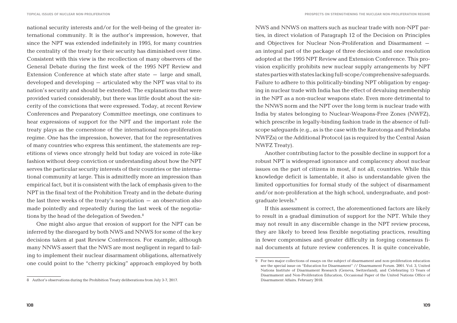national security interests and/or for the well-being of the greater international community. It is the author's impression, however, that since the NPT was extended indefinitely in 1995, for many countries the centrality of the treaty for their security has diminished over time. Consistent with this view is the recollection of many observers of the General Debate during the first week of the 1995 NPT Review and Extension Conference at which state after state  $-$  large and small, developed and developing – articulated why the NPT was vital to its nation's security and should be extended. The explanations that were provided varied considerably, but there was little doubt about the sincerity of the convictions that were expressed. Today, at recent Review Conferences and Preparatory Committee meetings, one continues to hear expressions of support for the NPT and the important role the treaty plays as the cornerstone of the international non-proliferation regime. One has the impression, however, that for the representatives of many countries who express this sentiment, the statements are repetitions of views once strongly held but today are voiced in rote-like fashion without deep conviction or understanding about how the NPT serves the particular security interests of their countries or the international community at large. This is admittedly more an impression than empirical fact, but it is consistent with the lack of emphasis given to the NPT in the final text of the Prohibition Treaty and in the debate during the last three weeks of the treaty's negotiation  $-$  an observation also made pointedly and repeatedly during the last week of the negotiations by the head of the delegation of Sweden.8

One might also argue that erosion of support for the NPT can be inferred by the disregard by both NWS and NNWS for some of the key decisions taken at past Review Conferences. For example, although many NNWS assert that the NWS are most negligent in regard to failing to implement their nuclear disarmament obligations, alternatively one could point to the "cherry picking" approach employed by both

NWS and NNWS on matters such as nuclear trade with non-NPT parties, in direct violation of Paragraph 12 of the Decision on Principles and Objectives for Nuclear Non-Proliferation and Disarmament – an integral part of the package of three decisions and one resolution adopted at the 1995 NPT Review and Extension Conference. This provision explicitly prohibits new nuclear supply arrangements by NPT states parties with states lacking full-scope/comprehensive safeguards. Failure to adhere to this politically-binding NPT obligation by engaging in nuclear trade with India has the effect of devaluing membership in the NPT as a non-nuclear weapons state. Even more detrimental to the NNWS norm and the NPT over the long term is nuclear trade with India by states belonging to Nuclear-Weapons-Free Zones (NWFZ), which prescribe in legally-binding fashion trade in the absence of fullscope safeguards (e.g., as is the case with the Rarotonga and Pelindaba NWFZs) or the Additional Protocol (as is required by the Central Asian NWFZ Treaty).

Another contributing factor to the possible decline in support for a robust NPT is widespread ignorance and complacency about nuclear issues on the part of citizens in most, if not all, countries. While this knowledge deficit is lamentable, it also is understandable given the limited opportunities for formal study of the subject of disarmament and/or non-proliferation at the high school, undergraduate, and postgraduate levels.9

If this assessment is correct, the aforementioned factors are likely to result in a gradual diminution of support for the NPT. While they may not result in any discernible change in the NPT review process, they are likely to breed less flexible negotiating practices, resulting in fewer compromises and greater difficulty in forging consensus final documents at future review conferences. It is quite conceivable,

<sup>8</sup> Author's observations during the Prohibition Treaty deliberations from July 3-7, 2017.

<sup>9</sup> For two major collections of essays on the subject of disarmament and non-proliferation education see the special issue on "Education for Disarmament" // Disarmament Forum. 2001. Vol. 3, United Nations Institute of Disarmament Research (Geneva, Switzerland), and Celebrating 15 Years of Disarmament and Non-Proliferation Education, Occasional Paper of the United Nations Office of Disarmament Affairs. February 2018.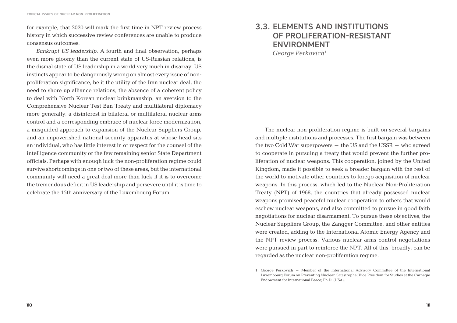for example, that 2020 will mark the first time in NPT review process history in which successive review conferences are unable to produce consensus outcomes.

*Bankrupt US leadership.* A fourth and final observation, perhaps even more gloomy than the current state of US-Russian relations, is the dismal state of US leadership in a world very much in disarray. US instincts appear to be dangerously wrong on almost every issue of nonproliferation significance, be it the utility of the Iran nuclear deal, the need to shore up alliance relations, the absence of a coherent policy to deal with North Korean nuclear brinkmanship, an aversion to the Comprehensive Nuclear Test Ban Treaty and multilateral diplomacy more generally, a disinterest in bilateral or multilateral nuclear arms control and a corresponding embrace of nuclear force modernization, a misguided approach to expansion of the Nuclear Suppliers Group, and an impoverished national security apparatus at whose head sits an individual, who has little interest in or respect for the counsel of the intelligence community or the few remaining senior State Department officials. Perhaps with enough luck the non-proliferation regime could survive shortcomings in one or two of these areas, but the international community will need a great deal more than luck if it is to overcome the tremendous deficit in US leadership and persevere until it is time to celebrate the 15th anniversary of the Luxembourg Forum.

#### 3.3. ELEMENTS AND INSTITUTIONS OF PROLIFERATION-RESISTANT ENVIRONMENT *George Perkovich1*

The nuclear non-proliferation regime is built on several bargains and multiple institutions and processes. The first bargain was between the two Cold War superpowers – the US and the USSR – who agreed to cooperate in pursuing a treaty that would prevent the further proliferation of nuclear weapons. This cooperation, joined by the United Kingdom, made it possible to seek a broader bargain with the rest of the world to motivate other countries to forego acquisition of nuclear weapons. In this process, which led to the Nuclear Non-Proliferation Treaty (NPT) of 1968, the countries that already possessed nuclear weapons promised peaceful nuclear cooperation to others that would eschew nuclear weapons, and also committed to pursue in good faith negotiations for nuclear disarmament. To pursue these objectives, the Nuclear Suppliers Group, the Zangger Committee, and other entities were created, adding to the International Atomic Energy Agency and the NPT review process. Various nuclear arms control negotiations were pursued in part to reinforce the NPT. All of this, broadly, can be regarded as the nuclear non-proliferation regime.

<sup>1</sup> George Perkovich – Member of the International Advisory Committee of the International Luxembourg Forum on Preventing Nuclear Catastrophe; Vice President for Studies at the Carnegie Endowment for International Peace; Ph.D. (USA).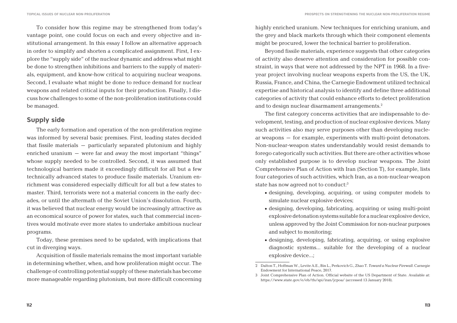To consider how this regime may be strengthened from today's vantage point, one could focus on each and every objective and institutional arrangement. In this essay I follow an alternative approach in order to simplify and shorten a complicated assignment. First, I explore the "supply side" of the nuclear dynamic and address what might be done to strengthen inhibitions and barriers to the supply of materials, equipment, and know-how critical to acquiring nuclear weapons. Second, I evaluate what might be done to reduce demand for nuclear weapons and related critical inputs for their production. Finally, I discuss how challenges to some of the non-proliferation institutions could be managed.

#### **Supply side**

The early formation and operation of the non-proliferation regime was informed by several basic premises. First, leading states decided that fissile materials – particularly separated plutonium and highly enriched uranium – were far and away the most important "things" whose supply needed to be controlled. Second, it was assumed that technological barriers made it exceedingly difficult for all but a few technically advanced states to produce fissile materials. Uranium enrichment was considered especially difficult for all but a few states to master. Third, terrorists were not a material concern in the early decades, or until the aftermath of the Soviet Union's dissolution. Fourth, it was believed that nuclear energy would be increasingly attractive as an economical source of power for states, such that commercial incentives would motivate ever more states to undertake ambitious nuclear programs.

Today, these premises need to be updated, with implications that cut in diverging ways.

Acquisition of fissile materials remains the most important variable in determining whether, when, and how proliferation might occur. The challenge of controlling potential supply of these materials has become more manageable regarding plutonium, but more difficult concerning

highly enriched uranium. New techniques for enriching uranium, and the grey and black markets through which their component elements might be procured, lower the technical barrier to proliferation.

Beyond fissile materials, experience suggests that other categories of activity also deserve attention and consideration for possible constraint, in ways that were not addressed by the NPT in 1968. In a fiveyear project involving nuclear weapons experts from the US, the UK, Russia, France, and China, the Carnegie Endowment utilized technical expertise and historical analysis to identify and define three additional categories of activity that could enhance efforts to detect proliferation and to design nuclear disarmament arrangements.2

The first category concerns activities that are indispensable to development, testing, and production of nuclear explosive devices. Many such activities also may serve purposes other than developing nuclear weapons – for example, experiments with multi-point detonators. Non-nuclear-weapon states understandably would resist demands to forego categorically such activities. But there are other activities whose only established purpose is to develop nuclear weapons. The Joint Comprehensive Plan of Action with Iran (Section T), for example, lists four categories of such activities, which Iran, as a non-nuclear-weapon state has now agreed not to conduct:<sup>3</sup>

- designing, developing, acquiring, or using computer models to simulate nuclear explosive devices;
- designing, developing, fabricating, acquiring or using multi-point explosive detonation systems suitable for a nuclear explosive device, unless approved by the Joint Commission for non-nuclear purposes and subject to monitoring;
- designing, developing, fabricating, acquiring, or using explosive diagnostic systems… suitable for the developing of a nuclear explosive device…;

<sup>2</sup> Dalton T., Hoffman W., Levite A.E., Bin L., Perkovich G., Zhao T. *Toward a Nuclear Firewall*. Carnegie Endowment for International Peace, 2017.

<sup>3</sup> Joint Comprehensive Plan of Action. Official website of the US Department of State. Available at: https://www.state.gov/e/eb/tfs/spi/iran/jcpoa/ (accessed 13 January 2018).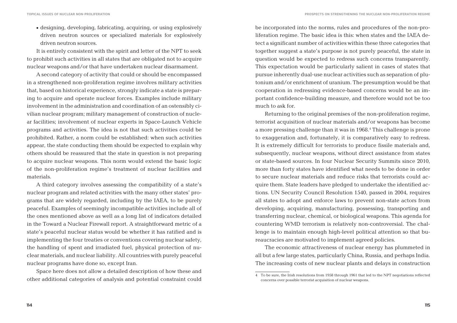• designing, developing, fabricating, acquiring, or using explosively driven neutron sources or specialized materials for explosively driven neutron sources.

It is entirely consistent with the spirit and letter of the NPT to seek to prohibit such activities in all states that are obligated not to acquire nuclear weapons and/or that have undertaken nuclear disarmament.

A second category of activity that could or should be encompassed in a strengthened non-proliferation regime involves military activities that, based on historical experience, strongly indicate a state is preparing to acquire and operate nuclear forces. Examples include military involvement in the administration and coordination of an ostensibly civilian nuclear program; military management of construction of nuclear facilities; involvement of nuclear experts in Space-Launch Vehicle programs and activities. The idea is not that such activities could be prohibited. Rather, a norm could be established: when such activities appear, the state conducting them should be expected to explain why others should be reassured that the state in question is not preparing to acquire nuclear weapons. This norm would extend the basic logic of the non-proliferation regime's treatment of nuclear facilities and materials.

A third category involves assessing the compatibility of a state's nuclear program and related activities with the many other states' programs that are widely regarded, including by the IAEA, to be purely peaceful. Examples of seemingly incompatible activities include all of the ones mentioned above as well as a long list of indicators detailed in the Toward a Nuclear Firewall report. A straightforward metric of a state's peaceful nuclear status would be whether it has ratified and is implementing the four treaties or conventions covering nuclear safety, the handling of spent and irradiated fuel, physical protection of nuclear materials, and nuclear liability. All countries with purely peaceful nuclear programs have done so, except Iran.

Space here does not allow a detailed description of how these and other additional categories of analysis and potential constraint could be incorporated into the norms, rules and procedures of the non-proliferation regime. The basic idea is this: when states and the IAEA detect a significant number of activities within these three categories that together suggest a state's purpose is not purely peaceful, the state in question would be expected to redress such concerns transparently. This expectation would be particularly salient in cases of states that pursue inherently dual-use nuclear activities such as separation of plutonium and/or enrichment of uranium. The presumption would be that cooperation in redressing evidence-based concerns would be an important confidence-building measure, and therefore would not be too much to ask for.

Returning to the original premises of the non-proliferation regime, terrorist acquisition of nuclear materials and/or weapons has become a more pressing challenge than it was in 1968.4 This challenge is prone to exaggeration and, fortunately, it is comparatively easy to redress. It is extremely difficult for terrorists to produce fissile materials and, subsequently, nuclear weapons, without direct assistance from states or state-based sources. In four Nuclear Security Summits since 2010, more than forty states have identified what needs to be done in order to secure nuclear materials and reduce risks that terrorists could acquire them. State leaders have pledged to undertake the identified actions. UN Security Council Resolution 1540, passed in 2004, requires all states to adopt and enforce laws to prevent non-state actors from developing, acquiring, manufacturing, possessing, transporting and transferring nuclear, chemical, or biological weapons. This agenda for countering WMD terrorism is relatively non-controversial. The challenge is to maintain enough high-level political attention so that bureaucracies are motivated to implement agreed policies.

The economic attractiveness of nuclear energy has plummeted in all but a few large states, particularly China, Russia, and perhaps India. The increasing costs of new nuclear plants and delays in construction

<sup>4</sup> To be sure, the Irish resolutions from 1958 through 1961 that led to the NPT negotiations reflected concerns over possible terrorist acquisition of nuclear weapons.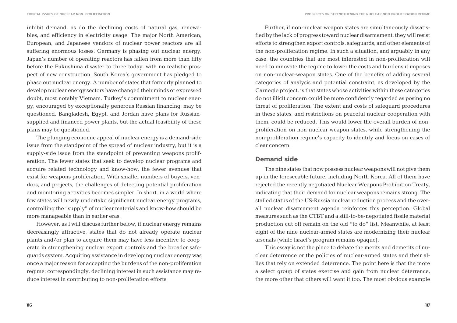inhibit demand, as do the declining costs of natural gas, renewables, and efficiency in electricity usage. The major North American, European, and Japanese vendors of nuclear power reactors are all suffering enormous losses. Germany is phasing out nuclear energy. Japan's number of operating reactors has fallen from more than fifty before the Fukushima disaster to three today, with no realistic prospect of new construction. South Korea's government has pledged to phase out nuclear energy. A number of states that formerly planned to develop nuclear energy sectors have changed their minds or expressed doubt, most notably Vietnam. Turkey's commitment to nuclear energy, encouraged by exceptionally generous Russian financing, may be questioned. Bangladesh, Egypt, and Jordan have plans for Russiansupplied and financed power plants, but the actual feasibility of these plans may be questioned.

The plunging economic appeal of nuclear energy is a demand-side issue from the standpoint of the spread of nuclear industry, but it is a supply-side issue from the standpoint of preventing weapons proliferation. The fewer states that seek to develop nuclear programs and acquire related technology and know-how, the fewer avenues that exist for weapons proliferation. With smaller numbers of buyers, vendors, and projects, the challenges of detecting potential proliferation and monitoring activities becomes simpler. In short, in a world where few states will newly undertake significant nuclear energy programs, controlling the "supply" of nuclear materials and know-how should be more manageable than in earlier eras.

However, as I will discuss further below, if nuclear energy remains decreasingly attractive, states that do not already operate nuclear plants and/or plan to acquire them may have less incentive to cooperate in strengthening nuclear export controls and the broader safeguards system. Acquiring assistance in developing nuclear energy was once a major reason for accepting the burdens of the non-proliferation regime; correspondingly, declining interest in such assistance may reduce interest in contributing to non-proliferation efforts.

Further, if non-nuclear weapon states are simultaneously dissatisfied by the lack of progress toward nuclear disarmament, they will resist efforts to strengthen export controls, safeguards, and other elements of the non-proliferation regime. In such a situation, and arguably in any case, the countries that are most interested in non-proliferation will need to innovate the regime to lower the costs and burdens it imposes on non-nuclear-weapon states. One of the benefits of adding several categories of analysis and potential constraint, as developed by the Carnegie project, is that states whose activities within these categories do not illicit concern could be more confidently regarded as posing no threat of proliferation. The extent and costs of safeguard procedures in these states, and restrictions on peaceful nuclear cooperation with them, could be reduced. This would lower the overall burden of nonproliferation on non-nuclear weapon states, while strengthening the non-proliferation regime's capacity to identify and focus on cases of clear concern.

#### **Demand side**

The nine states that now possess nuclear weapons will not give them up in the foreseeable future, including North Korea. All of them have rejected the recently negotiated Nuclear Weapons Prohibition Treaty, indicating that their demand for nuclear weapons remains strong. The stalled status of the US-Russia nuclear reduction process and the overall nuclear disarmament agenda reinforces this perception. Global measures such as the CTBT and a still-to-be-negotiated fissile material production cut off remain on the old "to do" list. Meanwhile, at least eight of the nine nuclear-armed states are modernizing their nuclear arsenals (while Israel's program remains opaque).

This essay is not the place to debate the merits and demerits of nuclear deterrence or the policies of nuclear-armed states and their allies that rely on extended deterrence. The point here is that the more a select group of states exercise and gain from nuclear deterrence, the more other that others will want it too. The most obvious example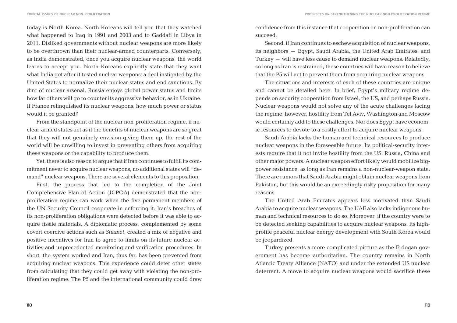today is North Korea. North Koreans will tell you that they watched what happened to Iraq in 1991 and 2003 and to Gaddafi in Libya in 2011. Disliked governments without nuclear weapons are more likely to be overthrown than their nuclear-armed counterparts. Conversely, as India demonstrated, once you acquire nuclear weapons, the world learns to accept you. North Koreans explicitly state that they want what India got after it tested nuclear weapons: a deal instigated by the United States to normalize their nuclear status and end sanctions. By dint of nuclear arsenal, Russia enjoys global power status and limits how far others will go to counter its aggressive behavior, as in Ukraine. If France relinquished its nuclear weapons, how much power or status would it be granted?

From the standpoint of the nuclear non-proliferation regime, if nuclear-armed states act as if the benefits of nuclear weapons are so great that they will not genuinely envision giving them up, the rest of the world will be unwilling to invest in preventing others from acquiring these weapons or the capability to produce them.

Yet, there is also reason to argue that if Iran continues to fulfill its commitment never to acquire nuclear weapons, no additional states will "demand" nuclear weapons. There are several elements to this proposition.

First, the process that led to the completion of the Joint Comprehensive Plan of Action (JCPOA) demonstrated that the nonproliferation regime can work when the five permanent members of the UN Security Council cooperate in enforcing it. Iran's breaches of its non-proliferation obligations were detected before it was able to acquire fissile materials. A diplomatic process, complemented by some covert coercive actions such as *Stuxnet*, created a mix of negative and positive incentives for Iran to agree to limits on its future nuclear activities and unprecedented monitoring and verification procedures. In short, the system worked and Iran, thus far, has been prevented from acquiring nuclear weapons. This experience could deter other states from calculating that they could get away with violating the non-proliferation regime. The P5 and the international community could draw

confidence from this instance that cooperation on non-proliferation can succeed.

Second, if Iran continues to eschew acquisition of nuclear weapons, its neighbors – Egypt, Saudi Arabia, the United Arab Emirates, and Turkey – will have less cause to demand nuclear weapons. Relatedly, so long as Iran is restrained, these countries will have reason to believe that the P5 will act to prevent them from acquiring nuclear weapons.

The situations and interests of each of these countries are unique and cannot be detailed here. In brief, Egypt's military regime depends on security cooperation from Israel, the US, and perhaps Russia. Nuclear weapons would not solve any of the acute challenges facing the regime; however, hostility from Tel Aviv, Washington and Moscow would certainly add to these challenges. Nor does Egypt have economic resources to devote to a costly effort to acquire nuclear weapons.

Saudi Arabia lacks the human and technical resources to produce nuclear weapons in the foreseeable future. Its political-security interests require that it not invite hostility from the US, Russia, China and other major powers. A nuclear weapon effort likely would mobilize bigpower resistance, as long as Iran remains a non-nuclear-weapon state. There are rumors that Saudi Arabia might obtain nuclear weapons from Pakistan, but this would be an exceedingly risky proposition for many reasons.

The United Arab Emirates appears less motivated than Saudi Arabia to acquire nuclear weapons. The UAE also lacks indigenous human and technical resources to do so. Moreover, if the country were to be detected seeking capabilities to acquire nuclear weapons, its highprofile peaceful nuclear energy development with South Korea would be jeopardized.

Turkey presents a more complicated picture as the Erdogan government has become authoritarian. The country remains in North Atlantic Treaty Alliance (NATO) and under the extended US nuclear deterrent. A move to acquire nuclear weapons would sacrifice these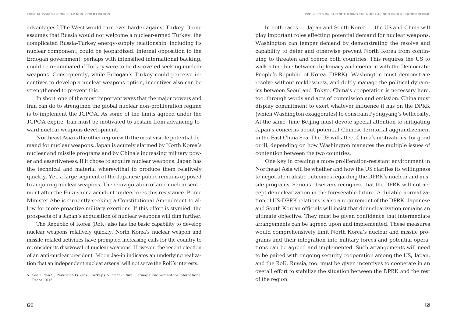advantages.<sup>5</sup> The West would turn ever harder against Turkey. If one assumes that Russia would not welcome a nuclear-armed Turkey, the complicated Russia-Turkey energy-supply relationship, including its nuclear component, could be jeopardized. Internal opposition to the Erdogan government, perhaps with intensified international backing, could be re-animated if Turkey were to be discovered seeking nuclear weapons. Consequently, while Erdogan's Turkey could perceive incentives to develop a nuclear weapons option, incentives also can be strengthened to prevent this.

In short, one of the most important ways that the major powers and Iran can do to strengthen the global nuclear non-proliferation regime is to implement the JCPOA. As some of the limits agreed under the JCPOA expire, Iran must be motivated to abstain from advancing toward nuclear weapons development.

Northeast Asia is the other region with the most visible potential demand for nuclear weapons. Japan is acutely alarmed by North Korea's nuclear and missile programs and by China's increasing military power and assertiveness. If it chose to acquire nuclear weapons, Japan has the technical and material wherewithal to produce them relatively quickly. Yet, a large segment of the Japanese public remains opposed to acquiring nuclear weapons. The reinvigoration of anti-nuclear sentiment after the Fukushima accident underscores this resistance. Prime Minister Abe is currently seeking a Constitutional Amendment to allow for more proactive military exertions. If this effort is stymied, the prospects of a Japan's acquisition of nuclear weapons will dim further.

The Republic of Korea (RoK) also has the basic capability to develop nuclear weapons relatively quickly. North Korea's nuclear weapon and missile-related activities have prompted increasing calls for the country to reconsider its disavowal of nuclear weapons. However, the recent election of an anti-nuclear president, Moon Jae-in indicates an underlying realization that an independent nuclear arsenal will not serve the RoK's interests.

In both cases – Japan and South Korea – the US and China will play important roles affecting potential demand for nuclear weapons. Washington can temper demand by demonstrating the resolve and capability to deter and otherwise prevent North Korea from continuing to threaten and coerce both countries. This requires the US to walk a fine line between diplomacy and coercion with the Democratic People's Republic of Korea (DPRK). Washington must demonstrate resolve without recklessness, and deftly manage the political dynamics between Seoul and Tokyo. China's cooperation is necessary here, too, through words and acts of commission and omission. China must display commitment to exert whatever influence it has on the DPRK (which Washington exaggerates) to constrain Pyongyang's bellicosity. At the same, time Beijing must devote special attention to mitigating Japan's concerns about potential Chinese territorial aggrandizement in the East China Sea. The US will affect China's motivations, for good or ill, depending on how Washington manages the multiple issues of contention between the two countries.

One key in creating a more proliferation-resistant environment in Northeast Asia will be whether and how the US clarifies its willingness to negotiate realistic outcomes regarding the DPRK's nuclear and missile programs. Serious observers recognize that the DPRK will not accept denuclearization in the foreseeable future. A durable normalization of US-DPRK relations is also a requirement of the DPRK. Japanese and South Korean officials will insist that denuclearization remains an ultimate objective. They must be given confidence that intermediate arrangements can be agreed upon and implemented. These measures would comprehensively limit North Korea's nuclear and missile programs and their integration into military forces and potential operations can be agreed and implemented. Such arrangements will need to be paired with ongoing security cooperation among the US, Japan, and the RoK. Russia, too, must be given incentives to cooperate in an overall effort to stabilize the situation between the DPRK and the rest of the region.

<sup>5</sup> See Ulgen S., Perkovich G. (eds). *Turkey's Nuclear Future*. Carnegie Endowment for International Peace, 2015.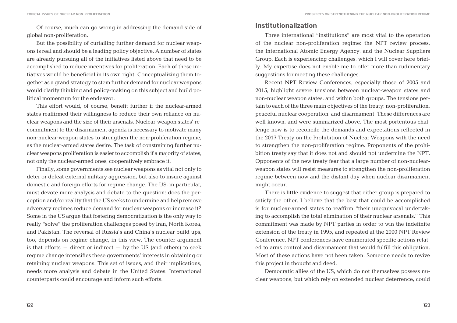Of course, much can go wrong in addressing the demand side of global non-proliferation.

But the possibility of curtailing further demand for nuclear weapons is real and should be a leading policy objective. A number of states are already pursuing all of the initiatives listed above that need to be accomplished to reduce incentives for proliferation. Each of these initiatives would be beneficial in its own right. Conceptualizing them together as a grand strategy to stem further demand for nuclear weapons would clarify thinking and policy-making on this subject and build political momentum for the endeavor.

This effort would, of course, benefit further if the nuclear-armed states reaffirmed their willingness to reduce their own reliance on nuclear weapons and the size of their arsenals. Nuclear-weapon states' recommitment to the disarmament agenda is necessary to motivate many non-nuclear-weapon states to strengthen the non-proliferation regime, as the nuclear-armed states desire. The task of constraining further nuclear weapons proliferation is easier to accomplish if a majority of states, not only the nuclear-armed ones, cooperatively embrace it.

Finally, some governments see nuclear weapons as vital not only to deter or defeat external military aggression, but also to insure against domestic and foreign efforts for regime change. The US, in particular, must devote more analysis and debate to the question: does the perception and/or reality that the US seeks to undermine and help remove adversary regimes reduce demand for nuclear weapons or increase it? Some in the US argue that fostering democratization is the only way to really "solve" the proliferation challenges posed by Iran, North Korea, and Pakistan. The reversal of Russia's and China's nuclear build ups, too, depends on regime change, in this view. The counter-argument is that efforts  $-$  direct or indirect  $-$  by the US (and others) to seek regime change intensifies these governments' interests in obtaining or retaining nuclear weapons. This set of issues, and their implications, needs more analysis and debate in the United States. International counterparts could encourage and inform such efforts.

#### **Institutionalization**

Three international "institutions" are most vital to the operation of the nuclear non-proliferation regime: the NPT review process, the International Atomic Energy Agency, and the Nuclear Suppliers Group. Each is experiencing challenges, which I will cover here briefly. My expertise does not enable me to offer more than rudimentary suggestions for meeting these challenges.

Recent NPT Review Conferences, especially those of 2005 and 2015, highlight severe tensions between nuclear-weapon states and non-nuclear weapon states, and within both groups. The tensions pertain to each of the three main objectives of the treaty: non-proliferation, peaceful nuclear cooperation, and disarmament. These differences are well known, and were summarized above. The most portentous challenge now is to reconcile the demands and expectations reflected in the 2017 Treaty on the Prohibition of Nuclear Weapons with the need to strengthen the non-proliferation regime. Proponents of the prohibition treaty say that it does not and should not undermine the NPT. Opponents of the new treaty fear that a large number of non-nuclearweapon states will resist measures to strengthen the non-proliferation regime between now and the distant day when nuclear disarmament might occur.

There is little evidence to suggest that either group is prepared to satisfy the other. I believe that the best that could be accomplished is for nuclear-armed states to reaffirm "their unequivocal undertaking to accomplish the total elimination of their nuclear arsenals." This commitment was made by NPT parties in order to win the indefinite extension of the treaty in 1995, and repeated at the 2000 NPT Review Conference. NPT conferences have enumerated specific actions related to arms control and disarmament that would fulfill this obligation. Most of these actions have not been taken. Someone needs to revive this project in thought and deed.

Democratic allies of the US, which do not themselves possess nuclear weapons, but which rely on extended nuclear deterrence, could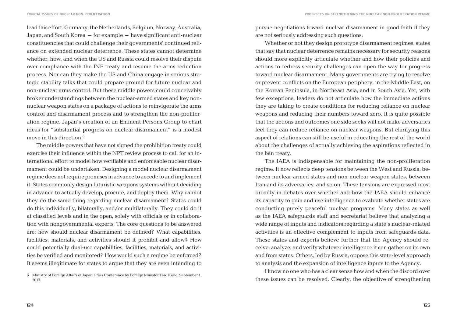lead this effort. Germany, the Netherlands, Belgium, Norway, Australia, Japan, and South Korea – for example – have significant anti-nuclear constituencies that could challenge their governments' continued reliance on extended nuclear deterrence. These states cannot determine whether, how, and when the US and Russia could resolve their dispute over compliance with the INF treaty and resume the arms reduction process. Nor can they make the US and China engage in serious strategic stability talks that could prepare ground for future nuclear and non-nuclear arms control. But these middle powers could conceivably broker understandings between the nuclear-armed states and key nonnuclear weapon states on a package of actions to reinvigorate the arms control and disarmament process and to strengthen the non-proliferation regime. Japan's creation of an Eminent Persons Group to chart ideas for "substantial progress on nuclear disarmament" is a modest move in this direction.<sup>6</sup>

The middle powers that have not signed the prohibition treaty could exercise their influence within the NPT review process to call for an international effort to model how verifiable and enforceable nuclear disarmament could be undertaken. Designing a model nuclear disarmament regime does not require promises in advance to accede to and implement it. States commonly design futuristic weapons systems without deciding in advance to actually develop, procure, and deploy them. Why cannot they do the same thing regarding nuclear disarmament? States could do this individually, bilaterally, and/or multilaterally. They could do it at classified levels and in the open, solely with officials or in collaboration with nongovernmental experts. The core questions to be answered are: how should nuclear disarmament be defined? What capabilities, facilities, materials, and activities should it prohibit and allow? How could potentially dual-use capabilities, facilities, materials, and activities be verified and monitored? How would such a regime be enforced? It seems illegitimate for states to argue that they are even intending to

pursue negotiations toward nuclear disarmament in good faith if they are not seriously addressing such questions.

Whether or not they design prototype disarmament regimes, states that say that nuclear deterrence remains necessary for security reasons should more explicitly articulate whether and how their policies and actions to redress security challenges can open the way for progress toward nuclear disarmament. Many governments are trying to resolve or prevent conflicts on the European periphery, in the Middle East, on the Korean Peninsula, in Northeast Asia, and in South Asia. Yet, with few exceptions, leaders do not articulate how the immediate actions they are taking to create conditions for reducing reliance on nuclear weapons and reducing their numbers toward zero. It is quite possible that the actions and outcomes one side seeks will not make adversaries feel they can reduce reliance on nuclear weapons. But clarifying this aspect of relations can still be useful in educating the rest of the world about the challenges of actually achieving the aspirations reflected in the ban treaty.

The IAEA is indispensable for maintaining the non-proliferation regime. It now reflects deep tensions between the West and Russia, between nuclear-armed states and non-nuclear weapon states, between Iran and its adversaries, and so on. These tensions are expressed most broadly in debates over whether and how the IAEA should enhance its capacity to gain and use intelligence to evaluate whether states are conducting purely peaceful nuclear programs. Many states as well as the IAEA safeguards staff and secretariat believe that analyzing a wide range of inputs and indicators regarding a state's nuclear-related activities is an effective complement to inputs from safeguards data. These states and experts believe further that the Agency should receive, analyze, and verify whatever intelligence it can gather on its own and from states. Others, led by Russia, oppose this state-level approach to analysis and the expansion of intelligence inputs to the Agency.

I know no one who has a clear sense how and when the discord over these issues can be resolved. Clearly, the objective of strengthening

<sup>6</sup> Ministry of Foreign Affairs of Japan, Press Conference by Foreign Minister Taro Kono, September 1, 2017.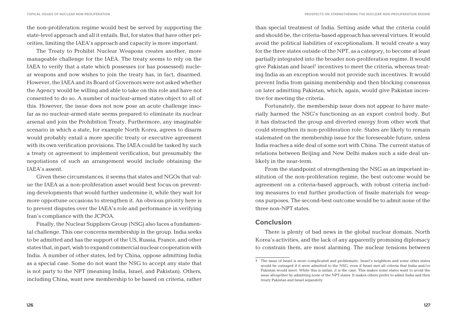the non-proliferation regime would best be served by supporting the state-level approach and all it entails. But, for states that have other priorities, limiting the IAEA's approach and capacity is more important.

The Treaty to Prohibit Nuclear Weapons creates another, more manageable challenge for the IAEA. The treaty seems to rely on the IAEA to verify that a state which possesses (or has possessed) nuclear weapons and now wishes to join the treaty has, in fact, disarmed. However, the IAEA and its Board of Governors were not asked whether the Agency would be willing and able to take on this role and have not consented to do so. A number of nuclear-armed states object to all of this. However, the issue does not now pose an acute challenge insofar as no nuclear-armed state seems prepared to eliminate its nuclear arsenal and join the Prohibition Treaty. Furthermore, any imaginable scenario in which a state, for example North Korea, agrees to disarm would probably entail a more specific treaty or executive agreement with its own verification provisions. The IAEA could be tasked by such a treaty or agreement to implement verification, but presumably the negotiations of such an arrangement would include obtaining the IAEA's assent.

Given these circumstances, it seems that states and NGOs that value the IAEA as a non-proliferation asset would best focus on preventing developments that would further undermine it, while they wait for more opportune occasions to strengthen it. An obvious priority here is to prevent disputes over the IAEA's role and performance in verifying Iran's compliance with the JCPOA.

Finally, the Nuclear Suppliers Group (NSG) also faces a fundamental challenge. This one concerns membership in the group. India seeks to be admitted and has the support of the US, Russia, France, and other states that, in part, wish to expand commercial nuclear cooperation with India. A number of other states, led by China, oppose admitting India as a special case. Some do not want the NSG to accept any state that is not party to the NPT (meaning India, Israel, and Pakistan). Others, including China, want new membership to be based on criteria, rather

than special treatment of India. Setting aside what the criteria could and should be, the criteria-based approach has several virtues. It would avoid the political liabilities of exceptionalism. It would create a way for the three states outside of the NPT, as a category, to become at least partially integrated into the broader non-proliferation regime. It would give Pakistan and Israel<sup>7</sup> incentives to meet the criteria, whereas treating India as an exception would not provide such incentives. It would prevent India from gaining membership and then blocking consensus on later admitting Pakistan, which, again, would give Pakistan incentive for meeting the criteria.

Fortunately, the membership issue does not appear to have materially harmed the NSG's functioning as an export control body. But it has distracted the group and diverted energy from other work that could strengthen its non-proliferation role. States are likely to remain stalemated on the membership issue for the foreseeable future, unless India reaches a side deal of some sort with China. The current status of relations between Beijing and New Delhi makes such a side deal unlikely in the near-term.

From the standpoint of strengthening the NSG as an important institution of the non-proliferation regime, the best outcome would be agreement on a criteria-based approach, with robust criteria including measures to end further production of fissile materials for weapons purposes. The second-best outcome would be to admit none of the three non-NPT states.

#### **Conclusion**

There is plenty of bad news in the global nuclear domain. North Korea's activities, and the lack of any apparently promising diplomacy to constrain them, are most alarming. The nuclear tensions between

<sup>7</sup> The issue of Israel is more complicated and problematic. Israel's neighbors and some other states would be outraged if it were admitted to the NSG, even if Israel met all criteria that India and/or Pakistan would meet. While this is unfair, it is the case. This makes some states want to avoid the issue altogether by admitting none of the NPT states. It makes others prefer to admit India and then treaty Pakistan and Israel separately.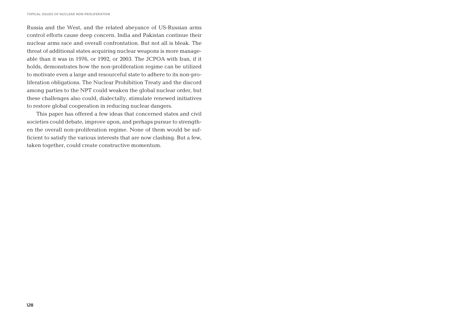Russia and the West, and the related abeyance of US-Russian arms control efforts cause deep concern. India and Pakistan continue their nuclear arms race and overall confrontation. But not all is bleak. The threat of additional states acquiring nuclear weapons is more manageable than it was in 1976, or 1992, or 2003. The JCPOA with Iran, if it holds, demonstrates how the non-proliferation regime can be utilized to motivate even a large and resourceful state to adhere to its non-proliferation obligations. The Nuclear Prohibition Treaty and the discord among parties to the NPT could weaken the global nuclear order, but these challenges also could, dialectally, stimulate renewed initiatives to restore global cooperation in reducing nuclear dangers.

This paper has offered a few ideas that concerned states and civil societies could debate, improve upon, and perhaps pursue to strengthen the overall non-proliferation regime. None of them would be sufficient to satisfy the various interests that are now clashing. But a few, taken together, could create constructive momentum.